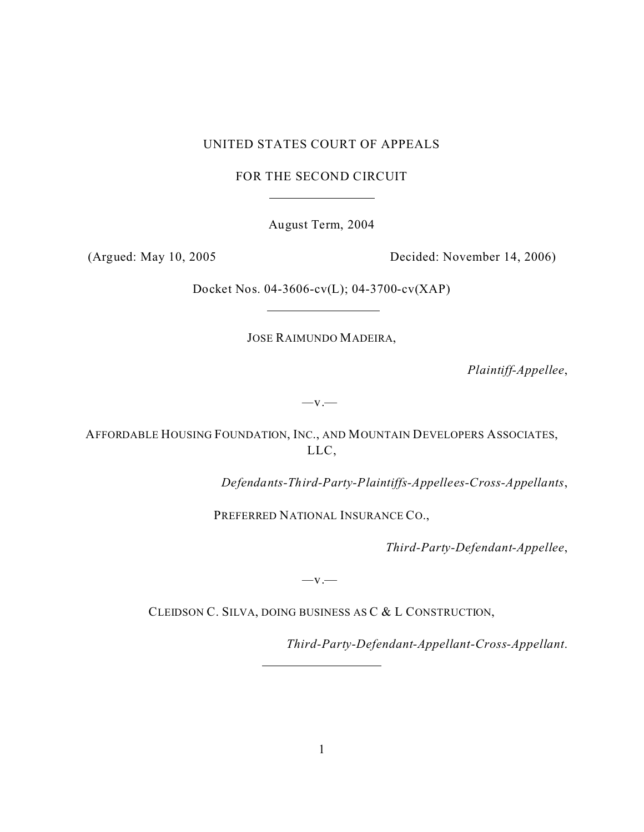## UNITED STATES COURT OF APPEALS

FOR THE SECOND CIRCUIT

 $\overline{a}$ 

August Term, 2004

(Argued: May 10, 2005 Decided: November 14, 2006)

Docket Nos. 04-3606-cv(L); 04-3700-cv(XAP)

JOSE RAIMUNDO MADEIRA,

*Plaintiff-Appellee*,

*—*v.—

AFFORDABLE HOUSING FOUNDATION, INC., AND MOUNTAIN DEVELOPERS ASSOCIATES, LLC,

*Defendants-Third-Party-Plaintiffs-Appellees-Cross-Appellants*,

PREFERRED NATIONAL INSURANCE CO.,

*Third-Party-Defendant-Appellee*,

*—*v.—

CLEIDSON C. SILVA, DOING BUSINESS AS C & L CONSTRUCTION,

 $\overline{a}$ 

*Third-Party-Defendant-Appellant-Cross-Appellant*.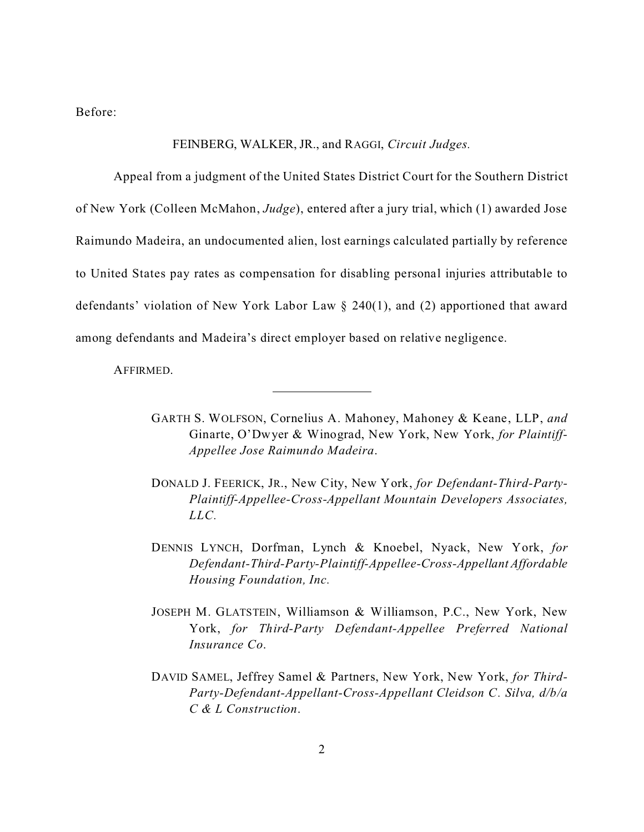Before:

## FEINBERG, WALKER, JR., and RAGGI, *Circuit Judges.*

Appeal from a judgment of the United States District Court for the Southern District of New York (Colleen McMahon, *Judge*), entered after a jury trial, which (1) awarded Jose Raimundo Madeira, an undocumented alien, lost earnings calculated partially by reference to United States pay rates as compensation for disabling personal injuries attributable to defendants' violation of New York Labor Law § 240(1), and (2) apportioned that award among defendants and Madeira's direct employer based on relative negligence.

 $\overline{a}$ 

AFFIRMED.

- GARTH S. WOLFSON, Cornelius A. Mahoney, Mahoney & Keane, LLP, *and* Ginarte, O'Dwyer & Winograd, New York, New York, *for Plaintiff-Appellee Jose Raimundo Madeira*.
- DONALD J. FEERICK, JR., New City, New York, *for Defendant-Third-Party-Plaintiff-Appellee-Cross-Appellant Mountain Developers Associates, LLC.*
- DENNIS LYNCH, Dorfman, Lynch & Knoebel, Nyack, New York, *for Defendant-Third-Party-Plaintiff-Appellee-Cross-Appellant Affordable Housing Foundation, Inc.*
- JOSEPH M. GLATSTEIN, Williamson & Williamson, P.C., New York, New York, *for Third-Party Defendant-Appellee Preferred National Insurance Co*.
- DAVID SAMEL, Jeffrey Samel & Partners, New York, New York, *for Third-Party-Defendant-Appellant-Cross-Appellant Cleidson C. Silva, d/b/a C & L Construction*.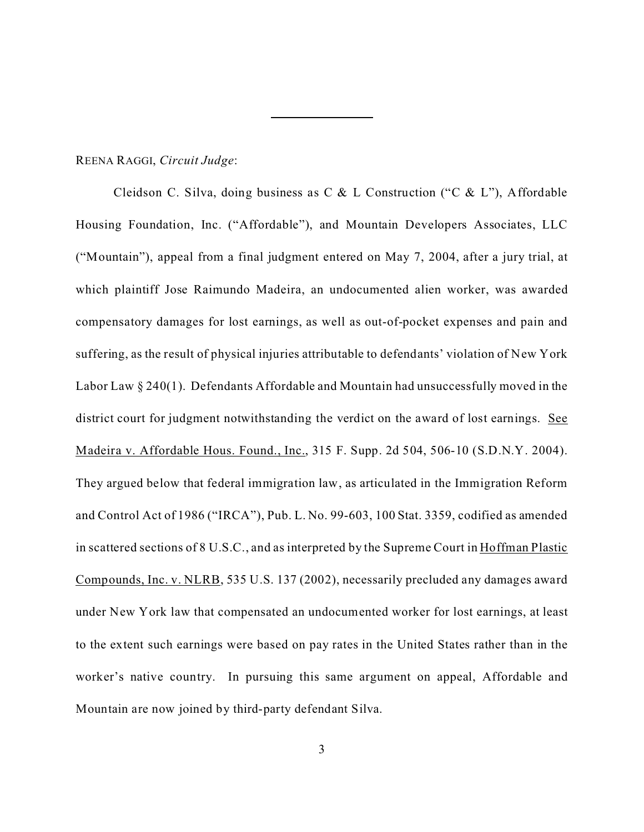## REENA RAGGI, *Circuit Judge*:

Cleidson C. Silva, doing business as C & L Construction ("C & L"), Affordable Housing Foundation, Inc. ("Affordable"), and Mountain Developers Associates, LLC ("Mountain"), appeal from a final judgment entered on May 7, 2004, after a jury trial, at which plaintiff Jose Raimundo Madeira, an undocumented alien worker, was awarded compensatory damages for lost earnings, as well as out-of-pocket expenses and pain and suffering, as the result of physical injuries attributable to defendants' violation of New York Labor Law § 240(1). Defendants Affordable and Mountain had unsuccessfully moved in the district court for judgment notwithstanding the verdict on the award of lost earnings. See Madeira v. Affordable Hous. Found., Inc., 315 F. Supp. 2d 504, 506-10 (S.D.N.Y. 2004). They argued below that federal immigration law, as articulated in the Immigration Reform and Control Act of 1986 ("IRCA"), Pub. L. No. 99-603, 100 Stat. 3359, codified as amended in scattered sections of 8 U.S.C., and as interpreted by the Supreme Court in Hoffman Plastic Compounds, Inc. v. NLRB, 535 U.S. 137 (2002), necessarily precluded any damages award under New York law that compensated an undocumented worker for lost earnings, at least to the extent such earnings were based on pay rates in the United States rather than in the worker's native country. In pursuing this same argument on appeal, Affordable and Mountain are now joined by third-party defendant Silva.

l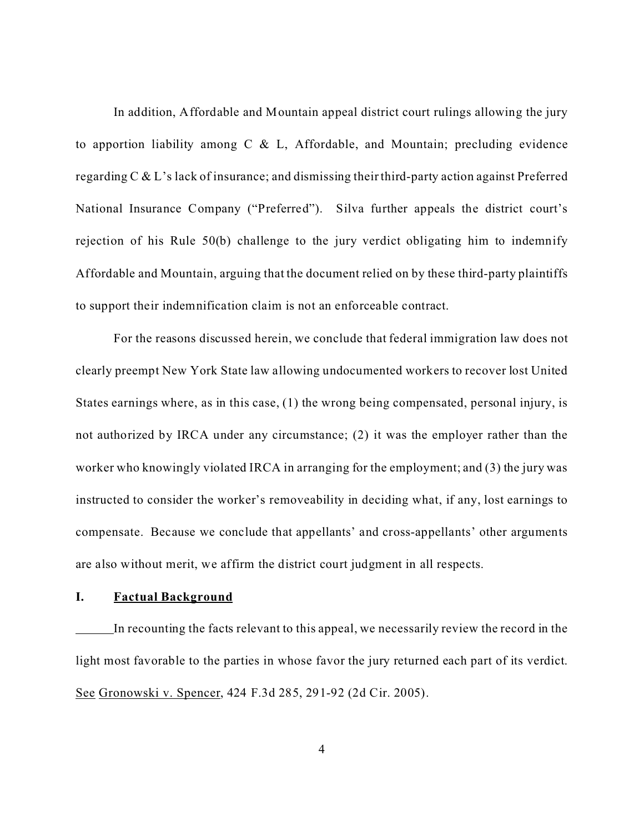In addition, Affordable and Mountain appeal district court rulings allowing the jury to apportion liability among C & L, Affordable, and Mountain; precluding evidence regarding C & L's lack of insurance; and dismissing their third-party action against Preferred National Insurance Company ("Preferred"). Silva further appeals the district court's rejection of his Rule 50(b) challenge to the jury verdict obligating him to indemnify Affordable and Mountain, arguing that the document relied on by these third-party plaintiffs to support their indemnification claim is not an enforceable contract.

For the reasons discussed herein, we conclude that federal immigration law does not clearly preempt New York State law allowing undocumented workers to recover lost United States earnings where, as in this case, (1) the wrong being compensated, personal injury, is not authorized by IRCA under any circumstance; (2) it was the employer rather than the worker who knowingly violated IRCA in arranging for the employment; and (3) the jury was instructed to consider the worker's removeability in deciding what, if any, lost earnings to compensate. Because we conclude that appellants' and cross-appellants' other arguments are also without merit, we affirm the district court judgment in all respects.

## **I. Factual Background**

In recounting the facts relevant to this appeal, we necessarily review the record in the light most favorable to the parties in whose favor the jury returned each part of its verdict. See Gronowski v. Spencer, 424 F.3d 285, 291-92 (2d Cir. 2005).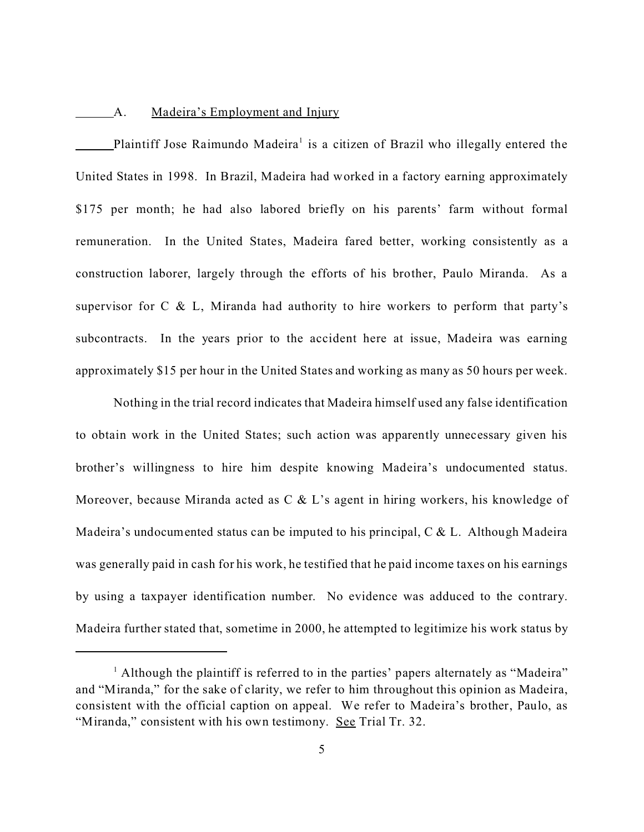## A. Madeira's Employment and Injury

Plaintiff Jose Raimundo Madeira<sup>1</sup> is a citizen of Brazil who illegally entered the United States in 1998. In Brazil, Madeira had worked in a factory earning approximately \$175 per month; he had also labored briefly on his parents' farm without formal remuneration. In the United States, Madeira fared better, working consistently as a construction laborer, largely through the efforts of his brother, Paulo Miranda. As a supervisor for C & L, Miranda had authority to hire workers to perform that party's subcontracts. In the years prior to the accident here at issue, Madeira was earning approximately \$15 per hour in the United States and working as many as 50 hours per week.

Nothing in the trial record indicates that Madeira himself used any false identification to obtain work in the United States; such action was apparently unnecessary given his brother's willingness to hire him despite knowing Madeira's undocumented status. Moreover, because Miranda acted as C & L's agent in hiring workers, his knowledge of Madeira's undocumented status can be imputed to his principal,  $C & L$ . Although Madeira was generally paid in cash for his work, he testified that he paid income taxes on his earnings by using a taxpayer identification number. No evidence was adduced to the contrary. Madeira further stated that, sometime in 2000, he attempted to legitimize his work status by

<sup>&</sup>lt;sup>1</sup> Although the plaintiff is referred to in the parties' papers alternately as "Madeira" and "Miranda," for the sake of clarity, we refer to him throughout this opinion as Madeira, consistent with the official caption on appeal. We refer to Madeira's brother, Paulo, as "Miranda," consistent with his own testimony. See Trial Tr. 32.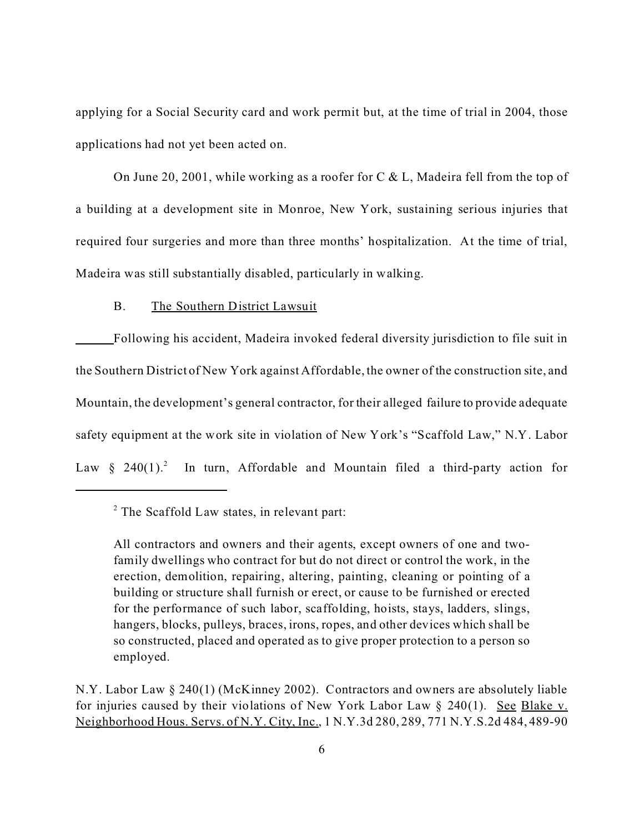applying for a Social Security card and work permit but, at the time of trial in 2004, those applications had not yet been acted on.

On June 20, 2001, while working as a roofer for C & L, Madeira fell from the top of a building at a development site in Monroe, New York, sustaining serious injuries that required four surgeries and more than three months' hospitalization. At the time of trial, Madeira was still substantially disabled, particularly in walking.

# B. The Southern District Lawsuit

Following his accident, Madeira invoked federal diversity jurisdiction to file suit in the Southern District of New York against Affordable, the owner of the construction site, and Mountain, the development's general contractor, for their alleged failure to provide adequate safety equipment at the work site in violation of New York's "Scaffold Law," N.Y. Labor Law  $§$  240(1).<sup>2</sup> In turn, Affordable and Mountain filed a third-party action for

<sup>&</sup>lt;sup>2</sup> The Scaffold Law states, in relevant part:

All contractors and owners and their agents, except owners of one and twofamily dwellings who contract for but do not direct or control the work, in the erection, demolition, repairing, altering, painting, cleaning or pointing of a building or structure shall furnish or erect, or cause to be furnished or erected for the performance of such labor, scaffolding, hoists, stays, ladders, slings, hangers, blocks, pulleys, braces, irons, ropes, and other devices which shall be so constructed, placed and operated as to give proper protection to a person so employed.

N.Y. Labor Law § 240(1) (McKinney 2002). Contractors and owners are absolutely liable for injuries caused by their violations of New York Labor Law § 240(1). See Blake v. Neighborhood Hous. Servs. of N.Y. City, Inc., 1 N.Y.3d 280, 289, 771 N.Y.S.2d 484, 489-90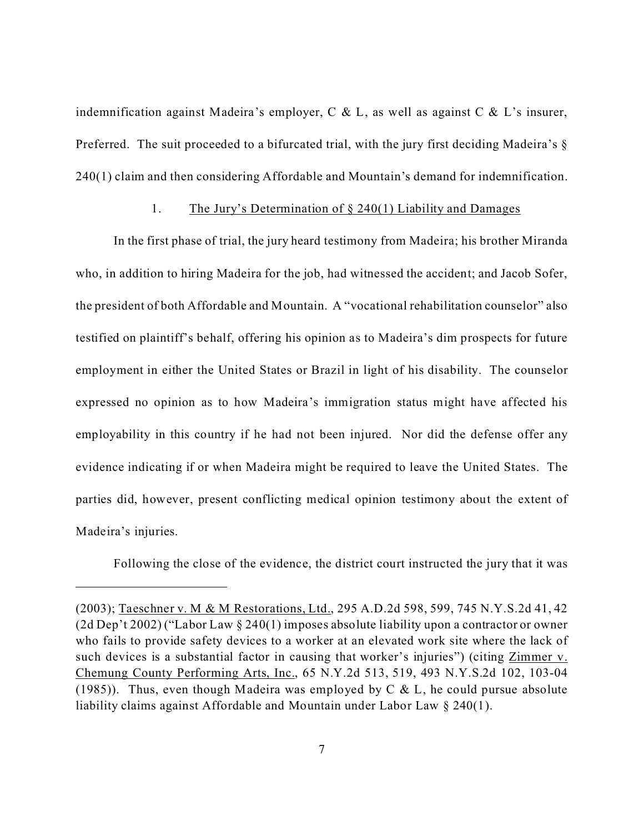indemnification against Madeira's employer, C & L, as well as against C & L's insurer, Preferred. The suit proceeded to a bifurcated trial, with the jury first deciding Madeira's § 240(1) claim and then considering Affordable and Mountain's demand for indemnification.

### 1. The Jury's Determination of § 240(1) Liability and Damages

In the first phase of trial, the jury heard testimony from Madeira; his brother Miranda who, in addition to hiring Madeira for the job, had witnessed the accident; and Jacob Sofer, the president of both Affordable and Mountain. A "vocational rehabilitation counselor" also testified on plaintiff's behalf, offering his opinion as to Madeira's dim prospects for future employment in either the United States or Brazil in light of his disability. The counselor expressed no opinion as to how Madeira's immigration status might have affected his employability in this country if he had not been injured. Nor did the defense offer any evidence indicating if or when Madeira might be required to leave the United States. The parties did, however, present conflicting medical opinion testimony about the extent of Madeira's injuries.

Following the close of the evidence, the district court instructed the jury that it was

<sup>(2003);</sup> Taeschner v. M & M Restorations, Ltd., 295 A.D.2d 598, 599, 745 N.Y.S.2d 41, 42 (2d Dep't 2002) ("Labor Law § 240(1) imposes absolute liability upon a contractor or owner who fails to provide safety devices to a worker at an elevated work site where the lack of such devices is a substantial factor in causing that worker's injuries") (citing Zimmer v. Chemung County Performing Arts, Inc., 65 N.Y.2d 513, 519, 493 N.Y.S.2d 102, 103-04 (1985)). Thus, even though Madeira was employed by C & L, he could pursue absolute liability claims against Affordable and Mountain under Labor Law § 240(1).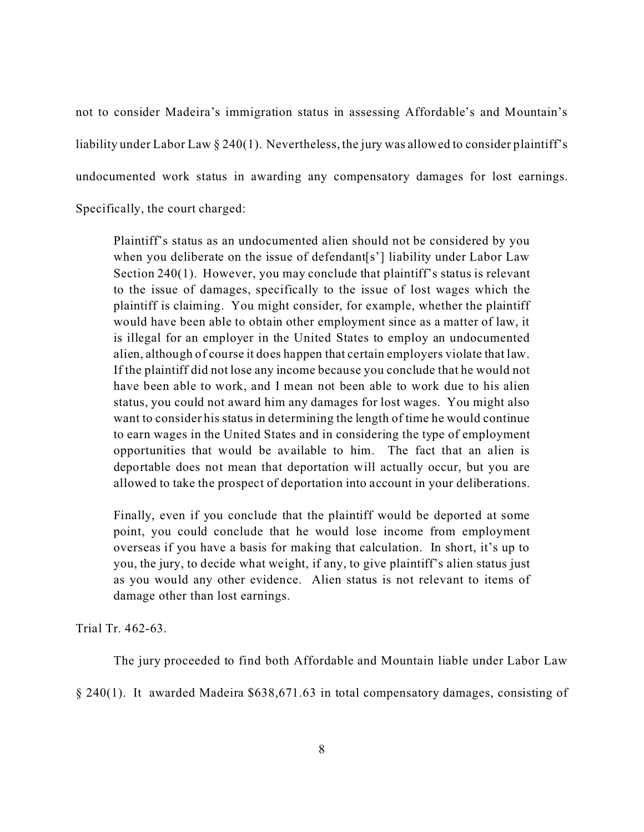not to consider Madeira's immigration status in assessing Affordable's and Mountain's liability under Labor Law § 240(1). Nevertheless, the jury was allowed to consider plaintiff's undocumented work status in awarding any compensatory damages for lost earnings.

Specifically, the court charged:

Plaintiff's status as an undocumented alien should not be considered by you when you deliberate on the issue of defendant[s'] liability under Labor Law Section 240(1). However, you may conclude that plaintiff's status is relevant to the issue of damages, specifically to the issue of lost wages which the plaintiff is claiming. You might consider, for example, whether the plaintiff would have been able to obtain other employment since as a matter of law, it is illegal for an employer in the United States to employ an undocumented alien, although of course it does happen that certain employers violate that law. If the plaintiff did not lose any income because you conclude that he would not have been able to work, and I mean not been able to work due to his alien status, you could not award him any damages for lost wages. You might also want to consider his status in determining the length of time he would continue to earn wages in the United States and in considering the type of employment opportunities that would be available to him. The fact that an alien is deportable does not mean that deportation will actually occur, but you are allowed to take the prospect of deportation into account in your deliberations.

Finally, even if you conclude that the plaintiff would be deported at some point, you could conclude that he would lose income from employment overseas if you have a basis for making that calculation. In short, it's up to you, the jury, to decide what weight, if any, to give plaintiff's alien status just as you would any other evidence. Alien status is not relevant to items of damage other than lost earnings.

Trial Tr. 462-63.

The jury proceeded to find both Affordable and Mountain liable under Labor Law

§ 240(1). It awarded Madeira \$638,671.63 in total compensatory damages, consisting of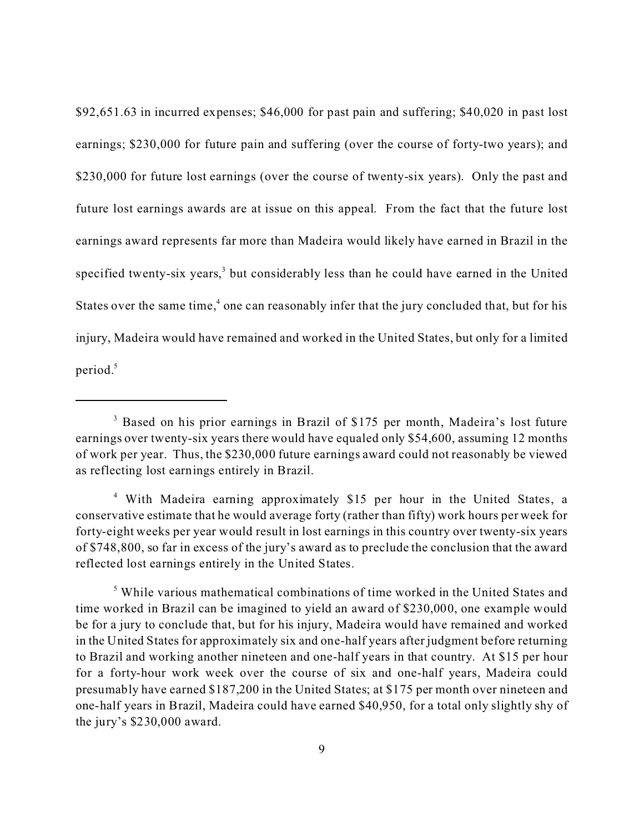\$92,651.63 in incurred expenses; \$46,000 for past pain and suffering; \$40,020 in past lost earnings; \$230,000 for future pain and suffering (over the course of forty-two years); and \$230,000 for future lost earnings (over the course of twenty-six years). Only the past and future lost earnings awards are at issue on this appeal. From the fact that the future lost earnings award represents far more than Madeira would likely have earned in Brazil in the specified twenty-six years,<sup>3</sup> but considerably less than he could have earned in the United States over the same time,<sup>4</sup> one can reasonably infer that the jury concluded that, but for his injury, Madeira would have remained and worked in the United States, but only for a limited period.<sup>5</sup>

<sup>&</sup>lt;sup>3</sup> Based on his prior earnings in Brazil of \$175 per month, Madeira's lost future earnings over twenty-six years there would have equaled only \$54,600, assuming 12 months of work per year. Thus, the \$230,000 future earnings award could not reasonably be viewed as reflecting lost earnings entirely in Brazil.

<sup>4</sup> With Madeira earning approximately \$15 per hour in the United States, a conservative estimate that he would average forty (rather than fifty) work hours per week for forty-eight weeks per year would result in lost earnings in this country over twenty-six years of \$748,800, so far in excess of the jury's award as to preclude the conclusion that the award reflected lost earnings entirely in the United States.

<sup>&</sup>lt;sup>5</sup> While various mathematical combinations of time worked in the United States and time worked in Brazil can be imagined to yield an award of \$230,000, one example would be for a jury to conclude that, but for his injury, Madeira would have remained and worked in the United States for approximately six and one-half years after judgment before returning to Brazil and working another nineteen and one-half years in that country. At \$15 per hour for a forty-hour work week over the course of six and one-half years, Madeira could presumably have earned \$187,200 in the United States; at \$175 per month over nineteen and one-half years in Brazil, Madeira could have earned \$40,950, for a total only slightly shy of the jury's \$230,000 award.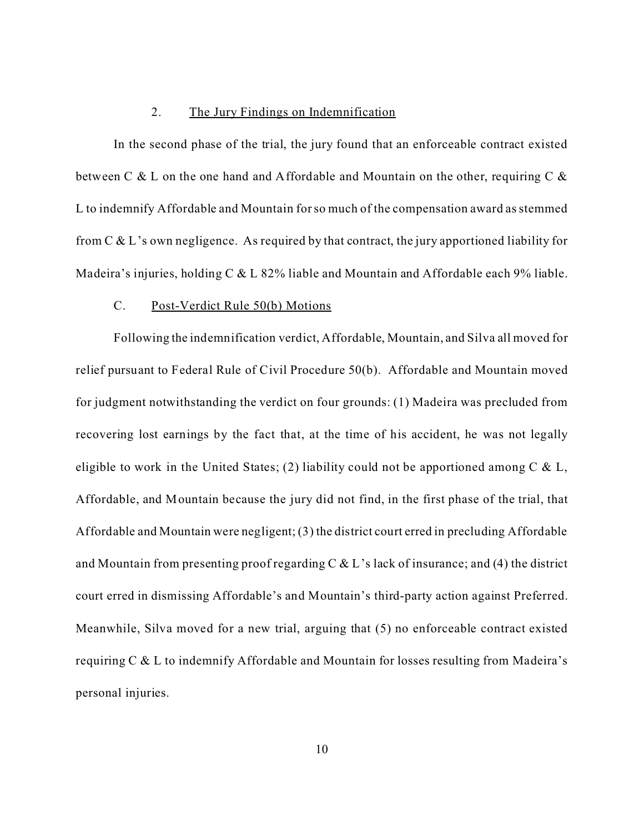### 2. The Jury Findings on Indemnification

In the second phase of the trial, the jury found that an enforceable contract existed between C & L on the one hand and Affordable and Mountain on the other, requiring C & L to indemnify Affordable and Mountain for so much of the compensation award as stemmed from  $C & L$ 's own negligence. As required by that contract, the jury apportioned liability for Madeira's injuries, holding C & L 82% liable and Mountain and Affordable each 9% liable.

#### C. Post-Verdict Rule 50(b) Motions

Following the indemnification verdict, Affordable, Mountain, and Silva all moved for relief pursuant to Federal Rule of Civil Procedure 50(b). Affordable and Mountain moved for judgment notwithstanding the verdict on four grounds: (1) Madeira was precluded from recovering lost earnings by the fact that, at the time of his accident, he was not legally eligible to work in the United States; (2) liability could not be apportioned among  $C \& L$ , Affordable, and Mountain because the jury did not find, in the first phase of the trial, that Affordable and Mountain were negligent; (3) the district court erred in precluding Affordable and Mountain from presenting proof regarding C & L's lack of insurance; and (4) the district court erred in dismissing Affordable's and Mountain's third-party action against Preferred. Meanwhile, Silva moved for a new trial, arguing that (5) no enforceable contract existed requiring C & L to indemnify Affordable and Mountain for losses resulting from Madeira's personal injuries.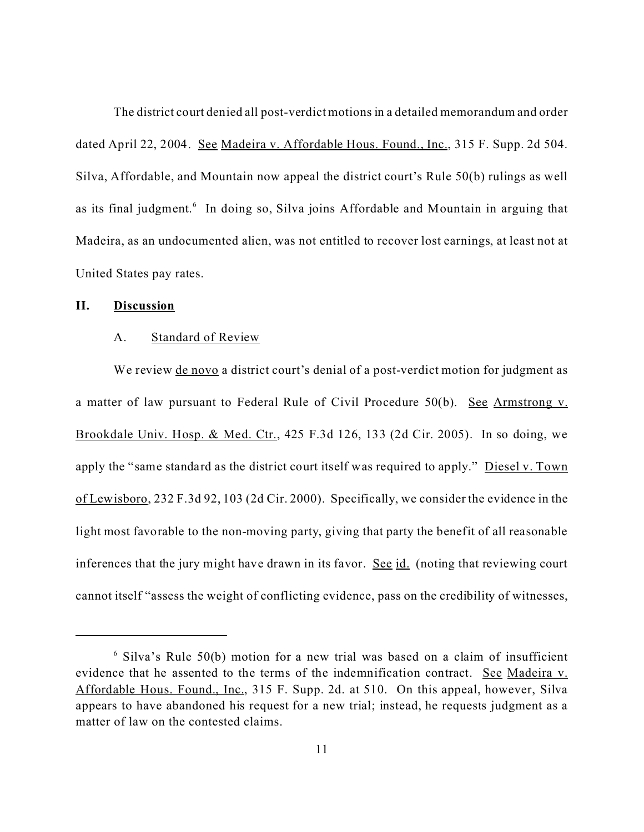The district court denied all post-verdict motions in a detailed memorandum and order dated April 22, 2004. See Madeira v. Affordable Hous. Found., Inc., 315 F. Supp. 2d 504. Silva, Affordable, and Mountain now appeal the district court's Rule 50(b) rulings as well as its final judgment.<sup>6</sup> In doing so, Silva joins Affordable and Mountain in arguing that Madeira, as an undocumented alien, was not entitled to recover lost earnings, at least not at United States pay rates.

#### **II. Discussion**

### A. Standard of Review

We review de novo a district court's denial of a post-verdict motion for judgment as a matter of law pursuant to Federal Rule of Civil Procedure 50(b). See Armstrong v. Brookdale Univ. Hosp. & Med. Ctr., 425 F.3d 126, 133 (2d Cir. 2005). In so doing, we apply the "same standard as the district court itself was required to apply." Diesel v. Town of Lewisboro, 232 F.3d 92, 103 (2d Cir. 2000). Specifically, we consider the evidence in the light most favorable to the non-moving party, giving that party the benefit of all reasonable inferences that the jury might have drawn in its favor. See id. (noting that reviewing court cannot itself "assess the weight of conflicting evidence, pass on the credibility of witnesses,

<sup>6</sup> Silva's Rule 50(b) motion for a new trial was based on a claim of insufficient evidence that he assented to the terms of the indemnification contract. See Madeira v. Affordable Hous. Found., Inc., 315 F. Supp. 2d. at 510. On this appeal, however, Silva appears to have abandoned his request for a new trial; instead, he requests judgment as a matter of law on the contested claims.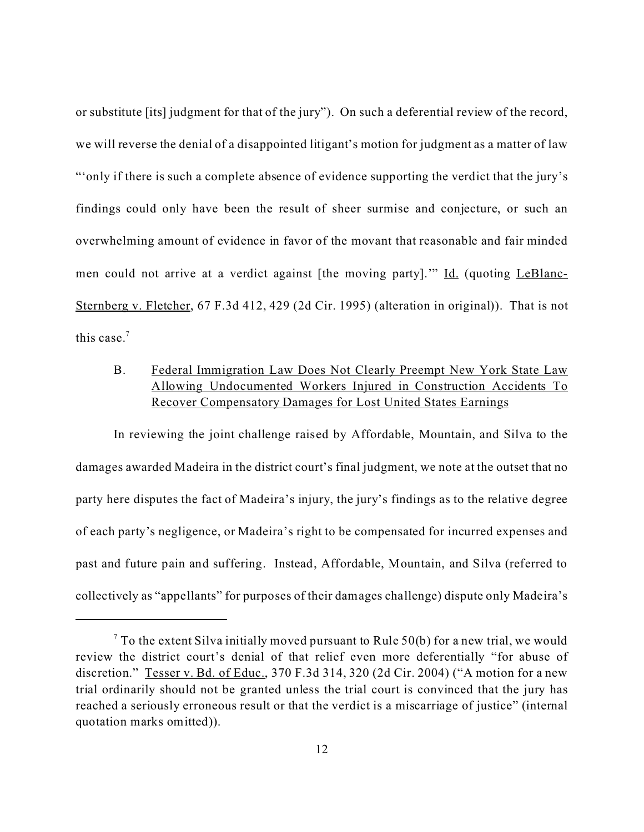or substitute [its] judgment for that of the jury"). On such a deferential review of the record, we will reverse the denial of a disappointed litigant's motion for judgment as a matter of law "'only if there is such a complete absence of evidence supporting the verdict that the jury's findings could only have been the result of sheer surmise and conjecture, or such an overwhelming amount of evidence in favor of the movant that reasonable and fair minded men could not arrive at a verdict against [the moving party]."" Id. (quoting LeBlanc-Sternberg v. Fletcher, 67 F.3d 412, 429 (2d Cir. 1995) (alteration in original)). That is not this case.<sup>7</sup>

# B. Federal Immigration Law Does Not Clearly Preempt New York State Law Allowing Undocumented Workers Injured in Construction Accidents To Recover Compensatory Damages for Lost United States Earnings

In reviewing the joint challenge raised by Affordable, Mountain, and Silva to the damages awarded Madeira in the district court's final judgment, we note at the outset that no party here disputes the fact of Madeira's injury, the jury's findings as to the relative degree of each party's negligence, or Madeira's right to be compensated for incurred expenses and past and future pain and suffering. Instead, Affordable, Mountain, and Silva (referred to collectively as "appellants" for purposes of their damages challenge) dispute only Madeira's

 $7$  To the extent Silva initially moved pursuant to Rule 50(b) for a new trial, we would review the district court's denial of that relief even more deferentially "for abuse of discretion." Tesser v. Bd. of Educ., 370 F.3d 314, 320 (2d Cir. 2004) ("A motion for a new trial ordinarily should not be granted unless the trial court is convinced that the jury has reached a seriously erroneous result or that the verdict is a miscarriage of justice" (internal quotation marks omitted)).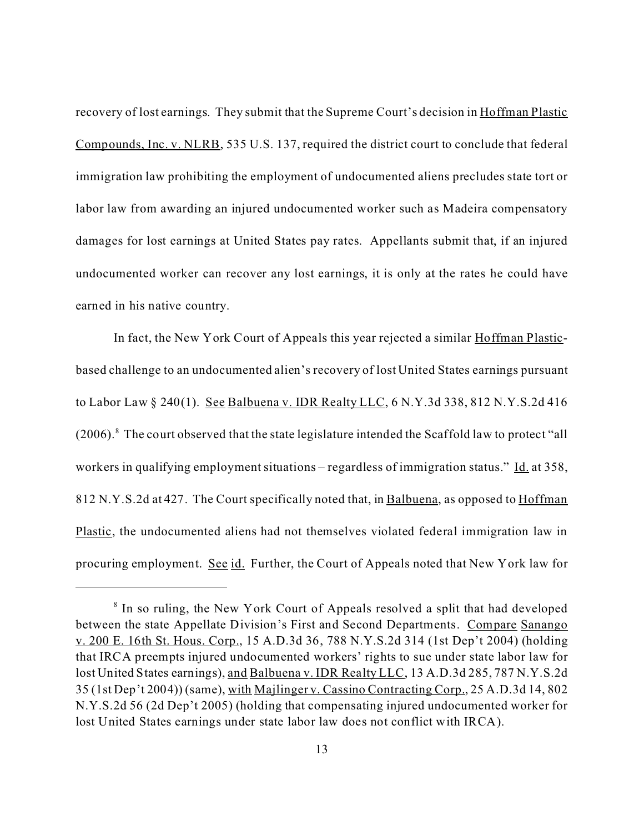recovery of lost earnings. They submit that the Supreme Court's decision in Hoffman Plastic Compounds, Inc. v. NLRB, 535 U.S. 137, required the district court to conclude that federal immigration law prohibiting the employment of undocumented aliens precludes state tort or labor law from awarding an injured undocumented worker such as Madeira compensatory damages for lost earnings at United States pay rates. Appellants submit that, if an injured undocumented worker can recover any lost earnings, it is only at the rates he could have earned in his native country.

In fact, the New York Court of Appeals this year rejected a similar Hoffman Plasticbased challenge to an undocumented alien's recovery of lost United States earnings pursuant to Labor Law § 240(1). See Balbuena v. IDR Realty LLC, 6 N.Y.3d 338, 812 N.Y.S.2d 416  $(2006)$ .<sup>8</sup> The court observed that the state legislature intended the Scaffold law to protect "all workers in qualifying employment situations – regardless of immigration status." Id. at 358, 812 N.Y.S.2d at 427. The Court specifically noted that, in Balbuena, as opposed to Hoffman Plastic, the undocumented aliens had not themselves violated federal immigration law in procuring employment. See id. Further, the Court of Appeals noted that New York law for

<sup>&</sup>lt;sup>8</sup> In so ruling, the New York Court of Appeals resolved a split that had developed between the state Appellate Division's First and Second Departments. Compare Sanango v. 200 E. 16th St. Hous. Corp., 15 A.D.3d 36, 788 N.Y.S.2d 314 (1st Dep't 2004) (holding that IRCA preempts injured undocumented workers' rights to sue under state labor law for lost United States earnings), and Balbuena v. IDR Realty LLC, 13 A.D.3d 285, 787 N.Y.S.2d 35 (1st Dep't 2004)) (same), with Majlinger v. Cassino Contracting Corp., 25 A.D.3d 14, 802 N.Y.S.2d 56 (2d Dep't 2005) (holding that compensating injured undocumented worker for lost United States earnings under state labor law does not conflict with IRCA).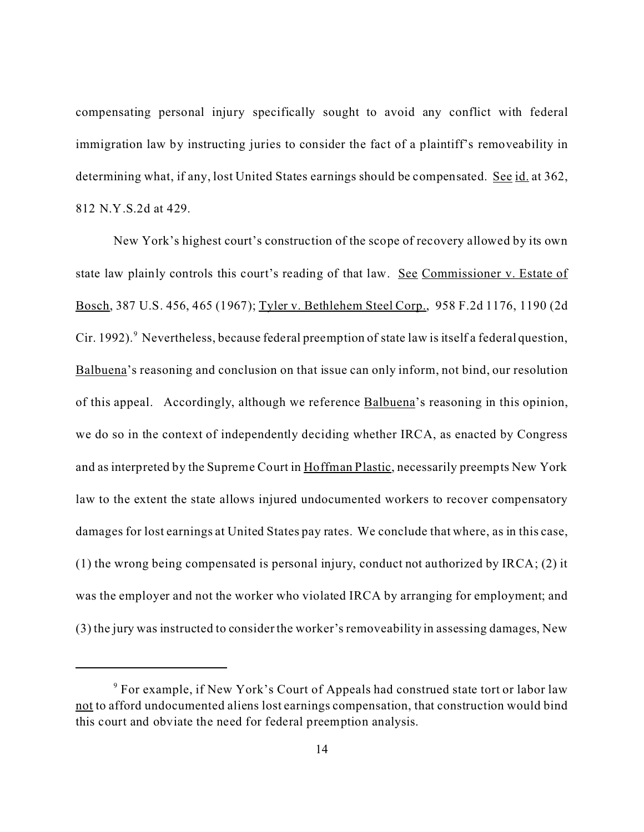compensating personal injury specifically sought to avoid any conflict with federal immigration law by instructing juries to consider the fact of a plaintiff's removeability in determining what, if any, lost United States earnings should be compensated. See id. at 362, 812 N.Y.S.2d at 429.

New York's highest court's construction of the scope of recovery allowed by its own state law plainly controls this court's reading of that law. See Commissioner v. Estate of Bosch, 387 U.S. 456, 465 (1967); Tyler v. Bethlehem Steel Corp., 958 F.2d 1176, 1190 (2d Cir. 1992). <sup>9</sup> Nevertheless, because federal preemption of state law is itself a federal question, Balbuena's reasoning and conclusion on that issue can only inform, not bind, our resolution of this appeal. Accordingly, although we reference Balbuena's reasoning in this opinion, we do so in the context of independently deciding whether IRCA, as enacted by Congress and as interpreted by the Supreme Court in Hoffman Plastic, necessarily preempts New York law to the extent the state allows injured undocumented workers to recover compensatory damages for lost earnings at United States pay rates. We conclude that where, as in this case, (1) the wrong being compensated is personal injury, conduct not authorized by IRCA; (2) it was the employer and not the worker who violated IRCA by arranging for employment; and (3) the jury was instructed to consider the worker's removeability in assessing damages, New

<sup>&</sup>lt;sup>9</sup> For example, if New York's Court of Appeals had construed state tort or labor law not to afford undocumented aliens lost earnings compensation, that construction would bind this court and obviate the need for federal preemption analysis.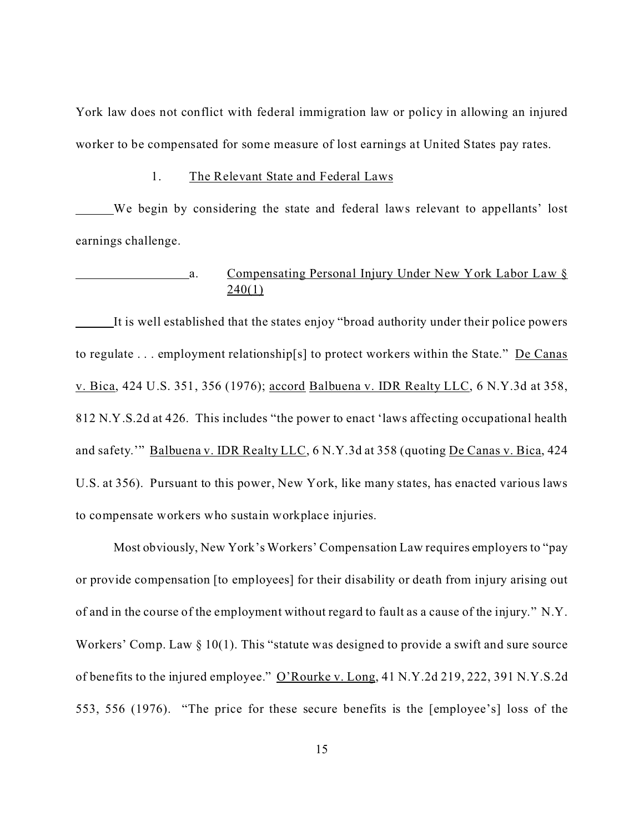York law does not conflict with federal immigration law or policy in allowing an injured worker to be compensated for some measure of lost earnings at United States pay rates.

#### 1. The Relevant State and Federal Laws

We begin by considering the state and federal laws relevant to appellants' lost earnings challenge.

# a. Compensating Personal Injury Under New York Labor Law §  $240(1)$

It is well established that the states enjoy "broad authority under their police powers to regulate . . . employment relationship[s] to protect workers within the State." De Canas v. Bica, 424 U.S. 351, 356 (1976); accord Balbuena v. IDR Realty LLC, 6 N.Y.3d at 358, 812 N.Y.S.2d at 426. This includes "the power to enact 'laws affecting occupational health and safety.'" Balbuena v. IDR Realty LLC, 6 N.Y.3d at 358 (quoting De Canas v. Bica, 424 U.S. at 356). Pursuant to this power, New York, like many states, has enacted various laws to compensate workers who sustain workplace injuries.

Most obviously, New York's Workers' Compensation Law requires employers to "pay or provide compensation [to employees] for their disability or death from injury arising out of and in the course of the employment without regard to fault as a cause of the injury." N.Y. Workers' Comp. Law § 10(1). This "statute was designed to provide a swift and sure source of benefits to the injured employee." O'Rourke v. Long, 41 N.Y.2d 219, 222, 391 N.Y.S.2d 553, 556 (1976). "The price for these secure benefits is the [employee's] loss of the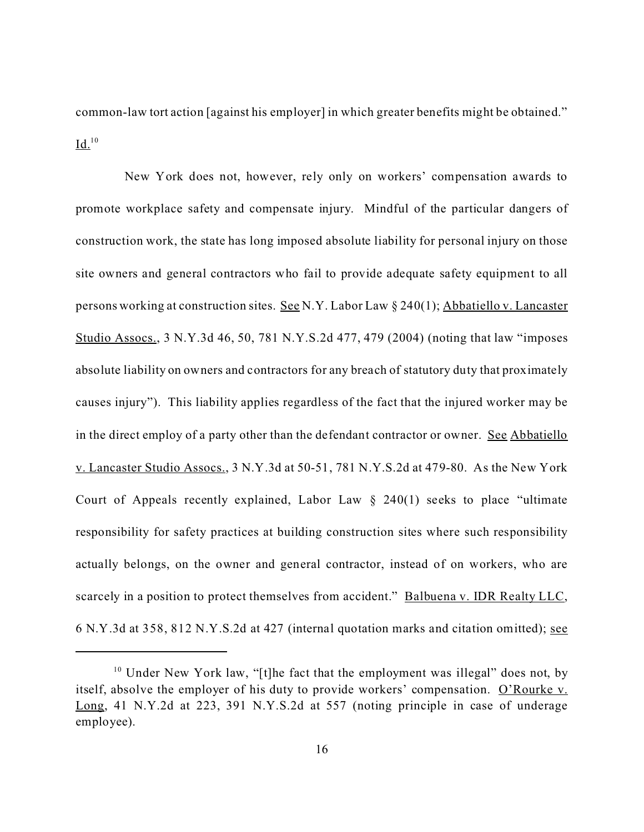common-law tort action [against his employer] in which greater benefits might be obtained."  $Id.$ <sup>10</sup>

 New York does not, however, rely only on workers' compensation awards to promote workplace safety and compensate injury. Mindful of the particular dangers of construction work, the state has long imposed absolute liability for personal injury on those site owners and general contractors who fail to provide adequate safety equipment to all persons working at construction sites. See N.Y. Labor Law § 240(1); Abbatiello v. Lancaster Studio Assocs., 3 N.Y.3d 46, 50, 781 N.Y.S.2d 477, 479 (2004) (noting that law "imposes absolute liability on owners and contractors for any breach of statutory duty that proximately causes injury"). This liability applies regardless of the fact that the injured worker may be in the direct employ of a party other than the defendant contractor or owner. See Abbatiello v. Lancaster Studio Assocs., 3 N.Y.3d at 50-51, 781 N.Y.S.2d at 479-80. As the New York Court of Appeals recently explained, Labor Law  $\S$  240(1) seeks to place "ultimate responsibility for safety practices at building construction sites where such responsibility actually belongs, on the owner and general contractor, instead of on workers, who are scarcely in a position to protect themselves from accident." Balbuena v. IDR Realty LLC, 6 N.Y.3d at 358, 812 N.Y.S.2d at 427 (internal quotation marks and citation omitted); see

<sup>&</sup>lt;sup>10</sup> Under New York law, "[t]he fact that the employment was illegal" does not, by itself, absolve the employer of his duty to provide workers' compensation. O'Rourke v. Long, 41 N.Y.2d at 223, 391 N.Y.S.2d at 557 (noting principle in case of underage employee).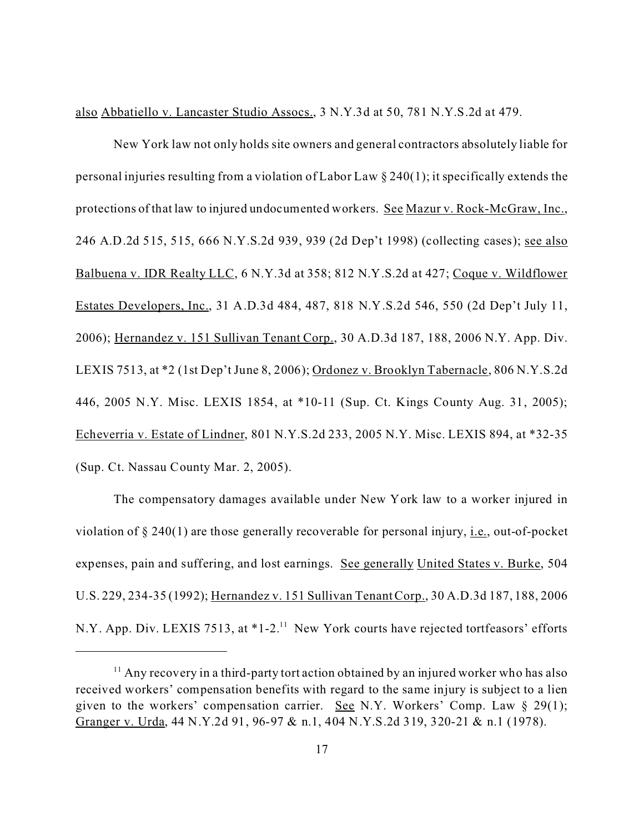also Abbatiello v. Lancaster Studio Assocs., 3 N.Y.3d at 50, 781 N.Y.S.2d at 479.

New York law not only holds site owners and general contractors absolutely liable for personal injuries resulting from a violation of Labor Law § 240(1); it specifically extends the protections of that law to injured undocumented workers. See Mazur v. Rock-McGraw, Inc., 246 A.D.2d 515, 515, 666 N.Y.S.2d 939, 939 (2d Dep't 1998) (collecting cases); see also Balbuena v. IDR Realty LLC, 6 N.Y.3d at 358; 812 N.Y.S.2d at 427; Coque v. Wildflower Estates Developers, Inc., 31 A.D.3d 484, 487, 818 N.Y.S.2d 546, 550 (2d Dep't July 11, 2006); Hernandez v. 151 Sullivan Tenant Corp., 30 A.D.3d 187, 188, 2006 N.Y. App. Div. LEXIS 7513, at \*2 (1st Dep't June 8, 2006); Ordonez v. Brooklyn Tabernacle, 806 N.Y.S.2d 446, 2005 N.Y. Misc. LEXIS 1854, at \*10-11 (Sup. Ct. Kings County Aug. 31, 2005); Echeverria v. Estate of Lindner, 801 N.Y.S.2d 233, 2005 N.Y. Misc. LEXIS 894, at \*32-35 (Sup. Ct. Nassau County Mar. 2, 2005).

The compensatory damages available under New York law to a worker injured in violation of  $\S 240(1)$  are those generally recoverable for personal injury, i.e., out-of-pocket expenses, pain and suffering, and lost earnings. See generally United States v. Burke, 504 U.S. 229, 234-35 (1992); Hernandez v. 151 Sullivan Tenant Corp., 30 A.D.3d 187, 188, 2006 N.Y. App. Div. LEXIS 7513, at \*1-2.<sup>11</sup> New York courts have rejected tortfeasors' efforts

 $11$  Any recovery in a third-party tort action obtained by an injured worker who has also received workers' compensation benefits with regard to the same injury is subject to a lien given to the workers' compensation carrier. See N.Y. Workers' Comp. Law § 29(1); Granger v. Urda, 44 N.Y.2d 91, 96-97 & n.1, 404 N.Y.S.2d 319, 320-21 & n.1 (1978).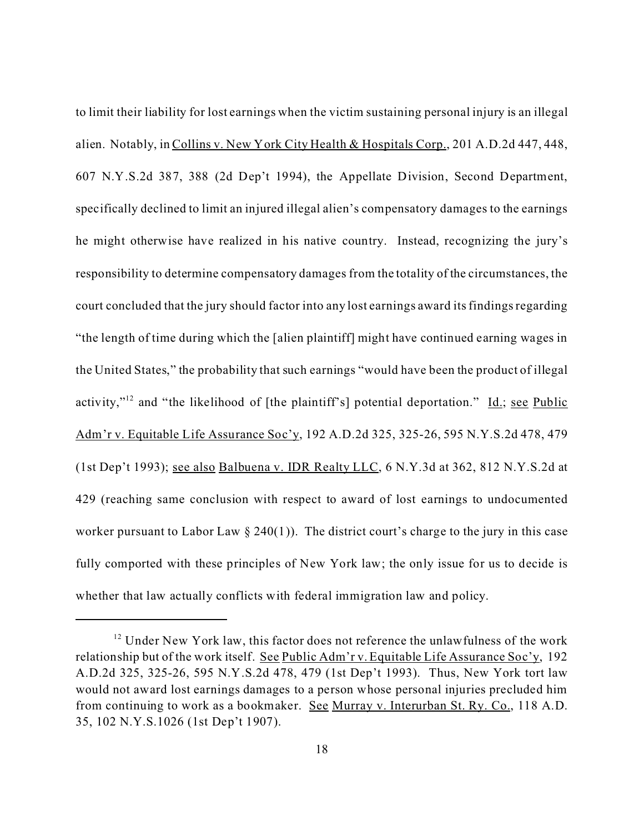to limit their liability for lost earnings when the victim sustaining personal injury is an illegal alien. Notably, in Collins v. New York City Health & Hospitals Corp., 201 A.D.2d 447, 448, 607 N.Y.S.2d 387, 388 (2d Dep't 1994), the Appellate Division, Second Department, specifically declined to limit an injured illegal alien's compensatory damages to the earnings he might otherwise have realized in his native country. Instead, recognizing the jury's responsibility to determine compensatory damages from the totality of the circumstances, the court concluded that the jury should factor into any lost earnings award its findings regarding "the length of time during which the [alien plaintiff] might have continued earning wages in the United States," the probability that such earnings "would have been the product of illegal activity,"<sup>12</sup> and "the likelihood of [the plaintiff's] potential deportation." <u>Id.; see Public</u> Adm'r v. Equitable Life Assurance Soc'y, 192 A.D.2d 325, 325-26, 595 N.Y.S.2d 478, 479 (1st Dep't 1993); see also Balbuena v. IDR Realty LLC, 6 N.Y.3d at 362, 812 N.Y.S.2d at 429 (reaching same conclusion with respect to award of lost earnings to undocumented worker pursuant to Labor Law  $\S 240(1)$ ). The district court's charge to the jury in this case fully comported with these principles of New York law; the only issue for us to decide is whether that law actually conflicts with federal immigration law and policy.

<sup>&</sup>lt;sup>12</sup> Under New York law, this factor does not reference the unlawfulness of the work relationship but of the work itself. See Public Adm'r v. Equitable Life Assurance Soc'y, 192 A.D.2d 325, 325-26, 595 N.Y.S.2d 478, 479 (1st Dep't 1993). Thus, New York tort law would not award lost earnings damages to a person whose personal injuries precluded him from continuing to work as a bookmaker. See Murray v. Interurban St. Ry. Co., 118 A.D. 35, 102 N.Y.S.1026 (1st Dep't 1907).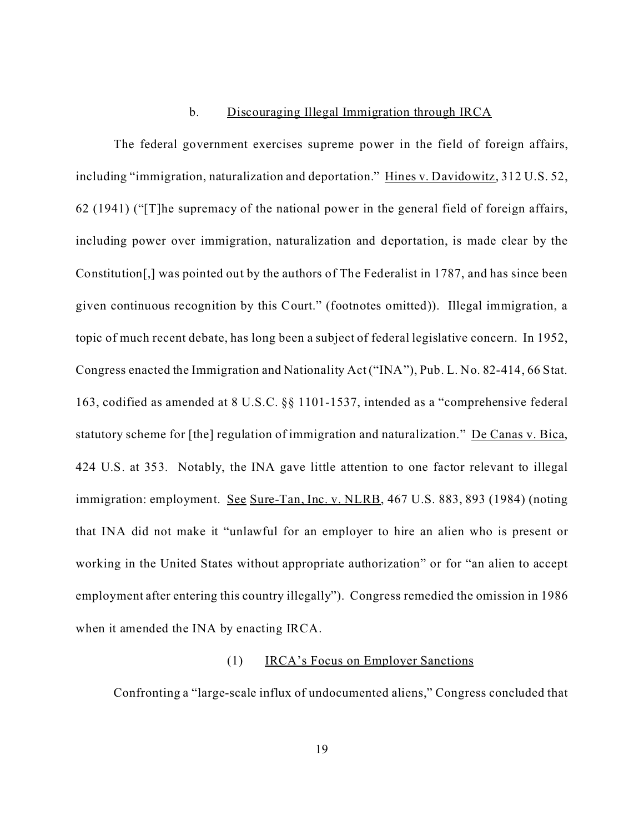### b. Discouraging Illegal Immigration through IRCA

The federal government exercises supreme power in the field of foreign affairs, including "immigration, naturalization and deportation." Hines v. Davidowitz, 312 U.S. 52, 62 (1941) ("[T]he supremacy of the national power in the general field of foreign affairs, including power over immigration, naturalization and deportation, is made clear by the Constitution[,] was pointed out by the authors of The Federalist in 1787, and has since been given continuous recognition by this Court." (footnotes omitted)). Illegal immigration, a topic of much recent debate, has long been a subject of federal legislative concern. In 1952, Congress enacted the Immigration and Nationality Act ("INA"), Pub. L. No. 82-414, 66 Stat. 163, codified as amended at 8 U.S.C. §§ 1101-1537, intended as a "comprehensive federal statutory scheme for [the] regulation of immigration and naturalization." De Canas v. Bica, 424 U.S. at 353. Notably, the INA gave little attention to one factor relevant to illegal immigration: employment. See Sure-Tan, Inc. v. NLRB, 467 U.S. 883, 893 (1984) (noting that INA did not make it "unlawful for an employer to hire an alien who is present or working in the United States without appropriate authorization" or for "an alien to accept employment after entering this country illegally"). Congress remedied the omission in 1986 when it amended the INA by enacting IRCA.

## (1) IRCA's Focus on Employer Sanctions

Confronting a "large-scale influx of undocumented aliens," Congress concluded that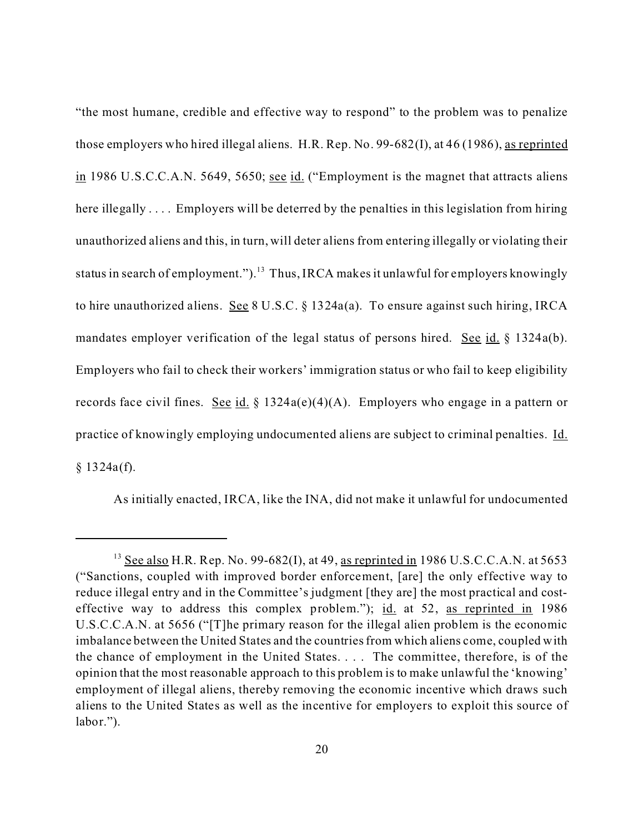"the most humane, credible and effective way to respond" to the problem was to penalize those employers who hired illegal aliens. H.R. Rep. No. 99-682(I), at 46 (1986), as reprinted in 1986 U.S.C.C.A.N. 5649, 5650; see id. ("Employment is the magnet that attracts aliens here illegally .... Employers will be deterred by the penalties in this legislation from hiring unauthorized aliens and this, in turn, will deter aliens from entering illegally or violating their status in search of employment.").<sup>13</sup> Thus, IRCA makes it unlawful for employers knowingly to hire unauthorized aliens. See 8 U.S.C. § 1324a(a). To ensure against such hiring, IRCA mandates employer verification of the legal status of persons hired. See id.  $\S$  1324a(b). Employers who fail to check their workers' immigration status or who fail to keep eligibility records face civil fines. See id. § 1324a(e)(4)(A). Employers who engage in a pattern or practice of knowingly employing undocumented aliens are subject to criminal penalties. Id.  $§ 1324a(f).$ 

As initially enacted, IRCA, like the INA, did not make it unlawful for undocumented

 $13$  See also H.R. Rep. No. 99-682(I), at 49, as reprinted in 1986 U.S.C.C.A.N. at 5653 ("Sanctions, coupled with improved border enforcement, [are] the only effective way to reduce illegal entry and in the Committee's judgment [they are] the most practical and costeffective way to address this complex problem."); id. at 52, as reprinted in  $1986$ U.S.C.C.A.N. at 5656 ("[T]he primary reason for the illegal alien problem is the economic imbalance between the United States and the countries from which aliens come, coupled with the chance of employment in the United States. . . . The committee, therefore, is of the opinion that the most reasonable approach to this problem is to make unlawful the 'knowing' employment of illegal aliens, thereby removing the economic incentive which draws such aliens to the United States as well as the incentive for employers to exploit this source of labor.").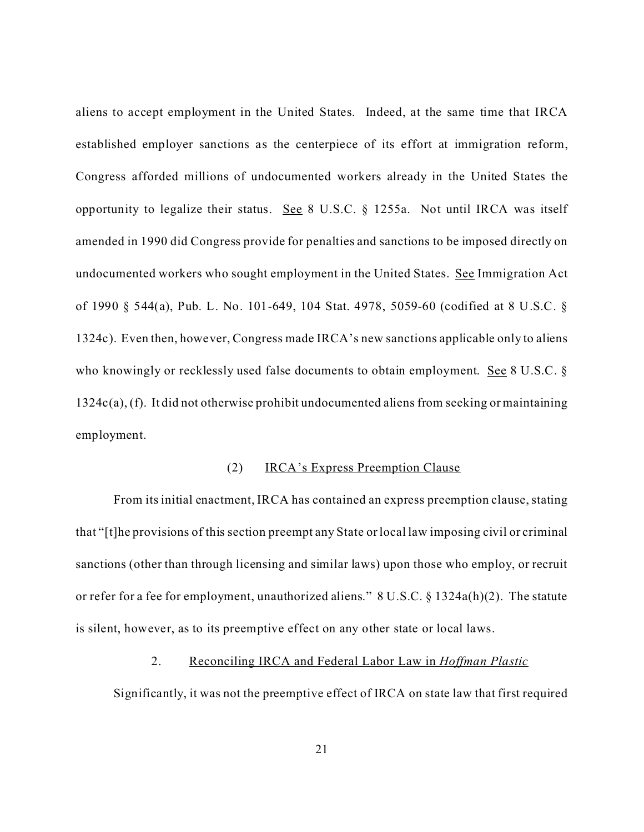aliens to accept employment in the United States. Indeed, at the same time that IRCA established employer sanctions as the centerpiece of its effort at immigration reform, Congress afforded millions of undocumented workers already in the United States the opportunity to legalize their status. See 8 U.S.C. § 1255a. Not until IRCA was itself amended in 1990 did Congress provide for penalties and sanctions to be imposed directly on undocumented workers who sought employment in the United States. See Immigration Act of 1990 § 544(a), Pub. L. No. 101-649, 104 Stat. 4978, 5059-60 (codified at 8 U.S.C. § 1324c). Even then, however, Congress made IRCA's new sanctions applicable only to aliens who knowingly or recklessly used false documents to obtain employment. See 8 U.S.C. § 1324c(a), (f). It did not otherwise prohibit undocumented aliens from seeking or maintaining employment.

#### (2) IRCA's Express Preemption Clause

From its initial enactment, IRCA has contained an express preemption clause, stating that "[t]he provisions of this section preempt any State or local law imposing civil or criminal sanctions (other than through licensing and similar laws) upon those who employ, or recruit or refer for a fee for employment, unauthorized aliens." 8 U.S.C. § 1324a(h)(2). The statute is silent, however, as to its preemptive effect on any other state or local laws.

#### 2. Reconciling IRCA and Federal Labor Law in *Hoffman Plastic*

Significantly, it was not the preemptive effect of IRCA on state law that first required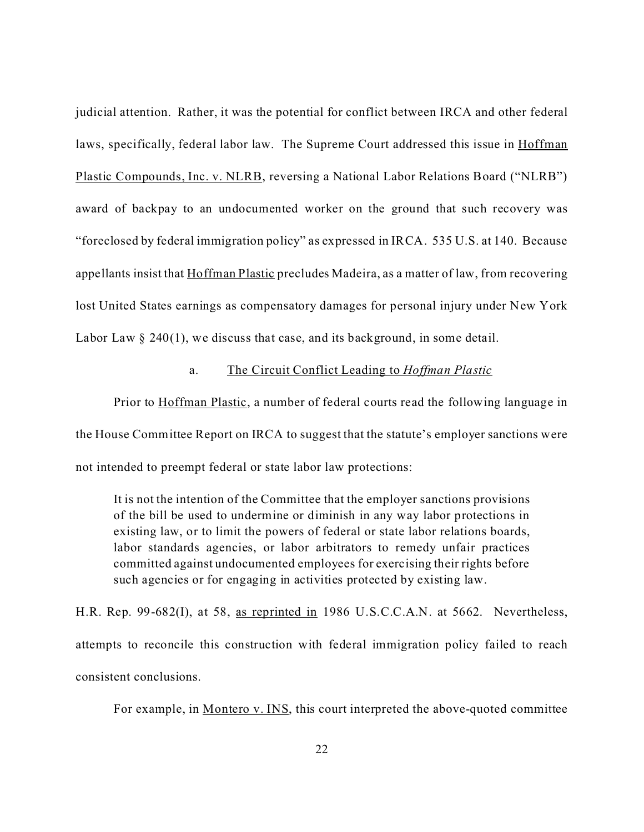judicial attention. Rather, it was the potential for conflict between IRCA and other federal laws, specifically, federal labor law. The Supreme Court addressed this issue in Hoffman Plastic Compounds, Inc. v. NLRB, reversing a National Labor Relations Board ("NLRB") award of backpay to an undocumented worker on the ground that such recovery was "foreclosed by federal immigration policy" as expressed in IRCA. 535 U.S. at 140. Because appellants insist that Hoffman Plastic precludes Madeira, as a matter of law, from recovering lost United States earnings as compensatory damages for personal injury under New York Labor Law  $\S$  240(1), we discuss that case, and its background, in some detail.

# a. The Circuit Conflict Leading to *Hoffman Plastic*

Prior to Hoffman Plastic, a number of federal courts read the following language in the House Committee Report on IRCA to suggest that the statute's employer sanctions were not intended to preempt federal or state labor law protections:

It is not the intention of the Committee that the employer sanctions provisions of the bill be used to undermine or diminish in any way labor protections in existing law, or to limit the powers of federal or state labor relations boards, labor standards agencies, or labor arbitrators to remedy unfair practices committed against undocumented employees for exercising their rights before such agencies or for engaging in activities protected by existing law.

H.R. Rep. 99-682(I), at 58, as reprinted in 1986 U.S.C.C.A.N. at 5662. Nevertheless, attempts to reconcile this construction with federal immigration policy failed to reach consistent conclusions.

For example, in Montero v. INS, this court interpreted the above-quoted committee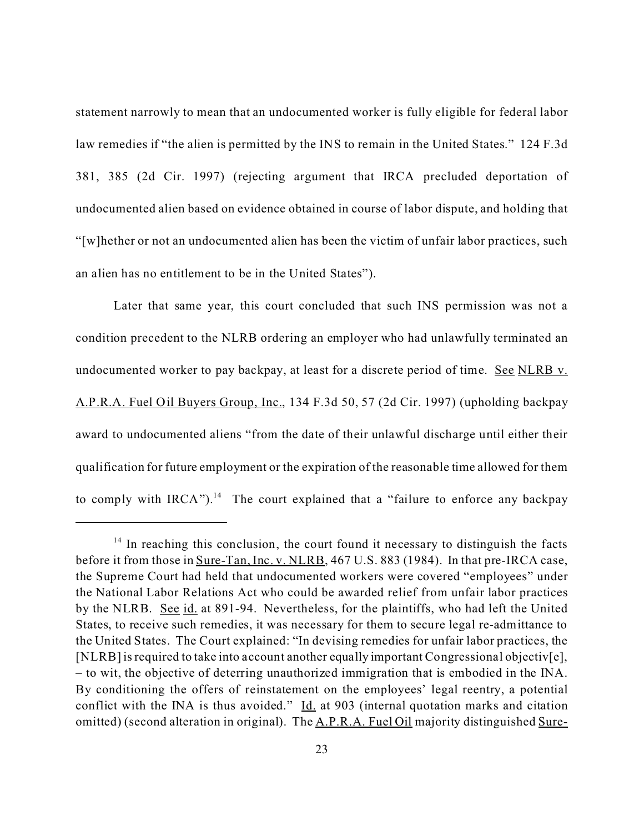statement narrowly to mean that an undocumented worker is fully eligible for federal labor law remedies if "the alien is permitted by the INS to remain in the United States." 124 F.3d 381, 385 (2d Cir. 1997) (rejecting argument that IRCA precluded deportation of undocumented alien based on evidence obtained in course of labor dispute, and holding that "[w]hether or not an undocumented alien has been the victim of unfair labor practices, such an alien has no entitlement to be in the United States").

Later that same year, this court concluded that such INS permission was not a condition precedent to the NLRB ordering an employer who had unlawfully terminated an undocumented worker to pay backpay, at least for a discrete period of time. See NLRB v. A.P.R.A. Fuel Oil Buyers Group, Inc., 134 F.3d 50, 57 (2d Cir. 1997) (upholding backpay award to undocumented aliens "from the date of their unlawful discharge until either their qualification for future employment or the expiration of the reasonable time allowed for them to comply with  $IRCA$ ").<sup>14</sup> The court explained that a "failure to enforce any backpay

 $14$  In reaching this conclusion, the court found it necessary to distinguish the facts before it from those in <u>Sure-Tan, Inc. v. NLRB</u>, 467 U.S. 883 (1984). In that pre-IRCA case, the Supreme Court had held that undocumented workers were covered "employees" under the National Labor Relations Act who could be awarded relief from unfair labor practices by the NLRB. See id. at 891-94. Nevertheless, for the plaintiffs, who had left the United States, to receive such remedies, it was necessary for them to secure legal re-admittance to the United States. The Court explained: "In devising remedies for unfair labor practices, the [NLRB] is required to take into account another equally important Congressional objectiv[e], – to wit, the objective of deterring unauthorized immigration that is embodied in the INA. By conditioning the offers of reinstatement on the employees' legal reentry, a potential conflict with the INA is thus avoided." Id. at 903 (internal quotation marks and citation omitted) (second alteration in original). The A.P.R.A. Fuel Oil majority distinguished Sure-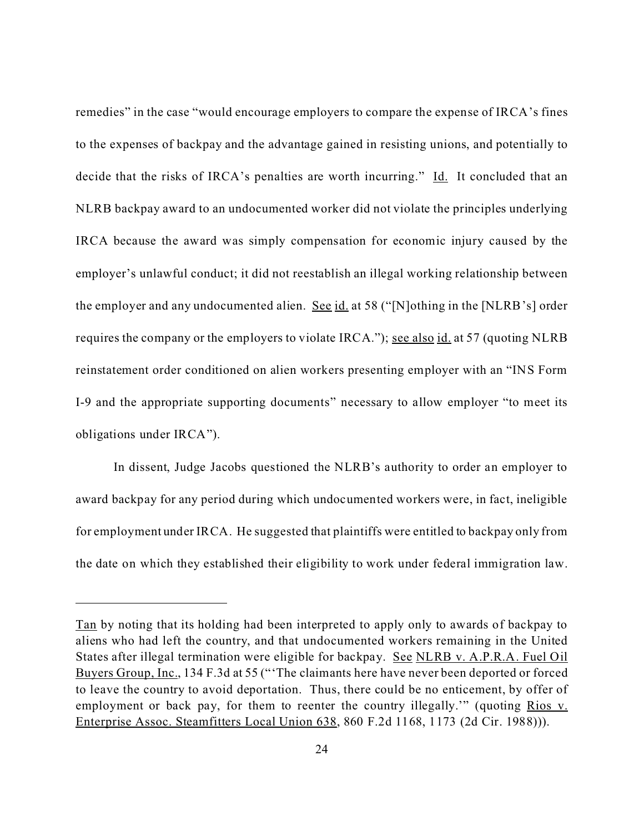remedies" in the case "would encourage employers to compare the expense of IRCA's fines to the expenses of backpay and the advantage gained in resisting unions, and potentially to decide that the risks of IRCA's penalties are worth incurring." Id. It concluded that an NLRB backpay award to an undocumented worker did not violate the principles underlying IRCA because the award was simply compensation for economic injury caused by the employer's unlawful conduct; it did not reestablish an illegal working relationship between the employer and any undocumented alien. See id. at 58 ("[N]othing in the [NLRB's] order requires the company or the employers to violate IRCA."); <u>see also id.</u> at 57 (quoting NLRB reinstatement order conditioned on alien workers presenting employer with an "INS Form I-9 and the appropriate supporting documents" necessary to allow employer "to meet its obligations under IRCA").

In dissent, Judge Jacobs questioned the NLRB's authority to order an employer to award backpay for any period during which undocumented workers were, in fact, ineligible for employment under IRCA. He suggested that plaintiffs were entitled to backpay only from the date on which they established their eligibility to work under federal immigration law.

Tan by noting that its holding had been interpreted to apply only to awards of backpay to aliens who had left the country, and that undocumented workers remaining in the United States after illegal termination were eligible for backpay. See NLRB v. A.P.R.A. Fuel Oil Buyers Group, Inc., 134 F.3d at 55 ("'The claimants here have never been deported or forced to leave the country to avoid deportation. Thus, there could be no enticement, by offer of employment or back pay, for them to reenter the country illegally.'" (quoting Rios v. Enterprise Assoc. Steamfitters Local Union 638, 860 F.2d 1168, 1173 (2d Cir. 1988))).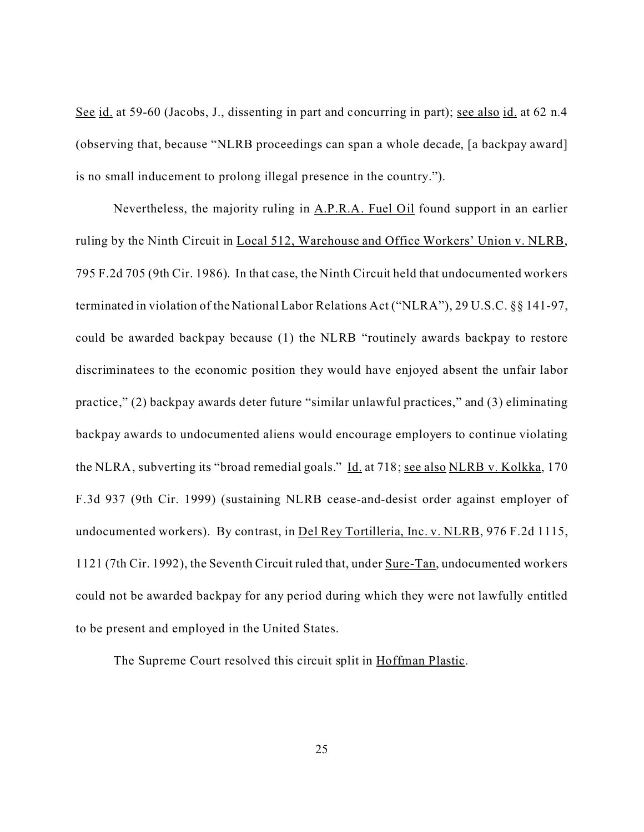See id. at 59-60 (Jacobs, J., dissenting in part and concurring in part); <u>see also id.</u> at 62 n.4 (observing that, because "NLRB proceedings can span a whole decade, [a backpay award] is no small inducement to prolong illegal presence in the country.").

Nevertheless, the majority ruling in A.P.R.A. Fuel Oil found support in an earlier ruling by the Ninth Circuit in Local 512, Warehouse and Office Workers' Union v. NLRB, 795 F.2d 705 (9th Cir. 1986). In that case, the Ninth Circuit held that undocumented workers terminated in violation of the National Labor Relations Act ("NLRA"), 29 U.S.C. §§ 141-97, could be awarded backpay because (1) the NLRB "routinely awards backpay to restore discriminatees to the economic position they would have enjoyed absent the unfair labor practice," (2) backpay awards deter future "similar unlawful practices," and (3) eliminating backpay awards to undocumented aliens would encourage employers to continue violating the NLRA, subverting its "broad remedial goals." Id. at 718; see also NLRB v. Kolkka, 170 F.3d 937 (9th Cir. 1999) (sustaining NLRB cease-and-desist order against employer of undocumented workers). By contrast, in Del Rey Tortilleria, Inc. v. NLRB, 976 F.2d 1115, 1121 (7th Cir. 1992), the Seventh Circuit ruled that, under Sure-Tan, undocumented workers could not be awarded backpay for any period during which they were not lawfully entitled to be present and employed in the United States.

The Supreme Court resolved this circuit split in Hoffman Plastic.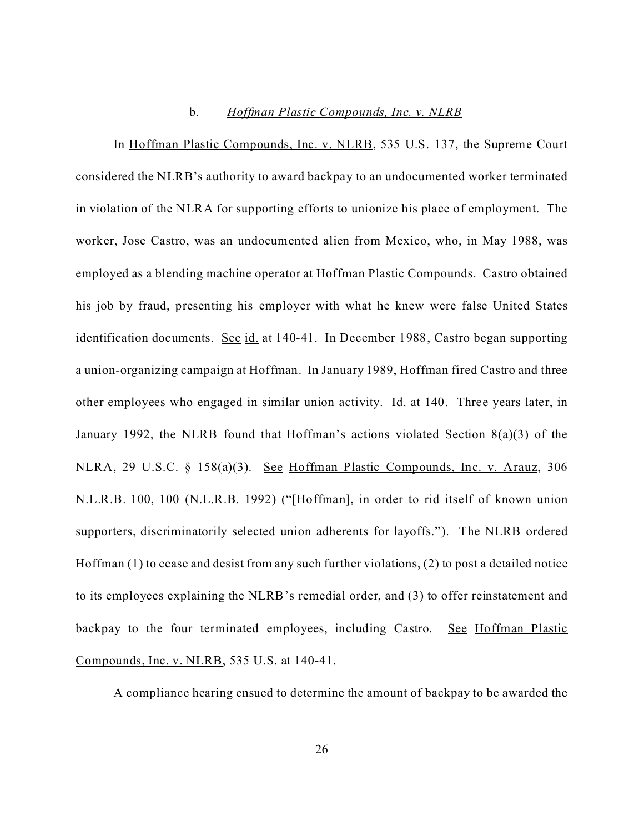### b. *Hoffman Plastic Compounds, Inc. v. NLRB*

In Hoffman Plastic Compounds, Inc. v. NLRB, 535 U.S. 137, the Supreme Court considered the NLRB's authority to award backpay to an undocumented worker terminated in violation of the NLRA for supporting efforts to unionize his place of employment. The worker, Jose Castro, was an undocumented alien from Mexico, who, in May 1988, was employed as a blending machine operator at Hoffman Plastic Compounds. Castro obtained his job by fraud, presenting his employer with what he knew were false United States identification documents. See id. at 140-41. In December 1988, Castro began supporting a union-organizing campaign at Hoffman. In January 1989, Hoffman fired Castro and three other employees who engaged in similar union activity. **Id.** at 140. Three years later, in January 1992, the NLRB found that Hoffman's actions violated Section 8(a)(3) of the NLRA, 29 U.S.C. § 158(a)(3). See Hoffman Plastic Compounds, Inc. v. Arauz, 306 N.L.R.B. 100, 100 (N.L.R.B. 1992) ("[Hoffman], in order to rid itself of known union supporters, discriminatorily selected union adherents for layoffs."). The NLRB ordered Hoffman (1) to cease and desist from any such further violations, (2) to post a detailed notice to its employees explaining the NLRB's remedial order, and (3) to offer reinstatement and backpay to the four terminated employees, including Castro. See Hoffman Plastic Compounds, Inc. v. NLRB, 535 U.S. at 140-41.

A compliance hearing ensued to determine the amount of backpay to be awarded the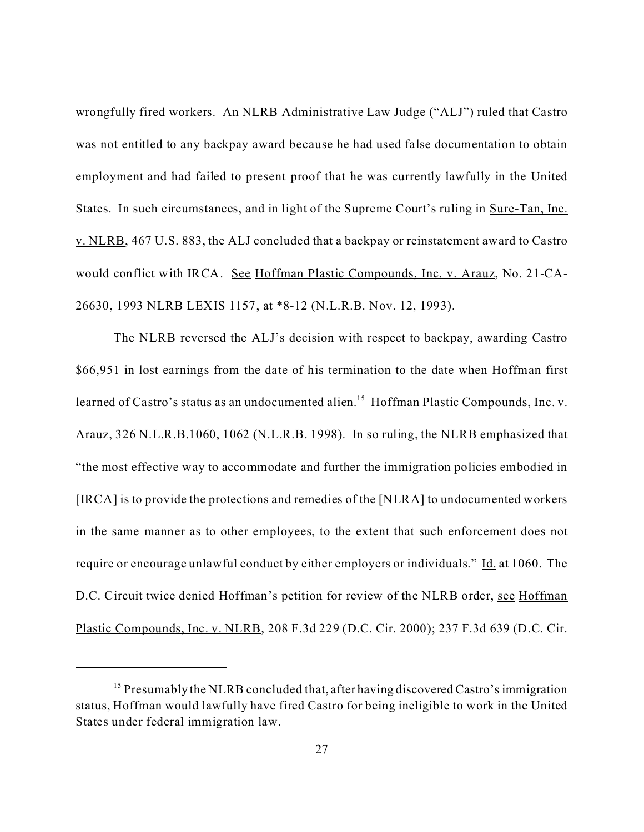wrongfully fired workers. An NLRB Administrative Law Judge ("ALJ") ruled that Castro was not entitled to any backpay award because he had used false documentation to obtain employment and had failed to present proof that he was currently lawfully in the United States. In such circumstances, and in light of the Supreme Court's ruling in Sure-Tan, Inc. v. NLRB, 467 U.S. 883, the ALJ concluded that a backpay or reinstatement award to Castro would conflict with IRCA. See Hoffman Plastic Compounds, Inc. v. Arauz, No. 21-CA-26630, 1993 NLRB LEXIS 1157, at \*8-12 (N.L.R.B. Nov. 12, 1993).

The NLRB reversed the ALJ's decision with respect to backpay, awarding Castro \$66,951 in lost earnings from the date of his termination to the date when Hoffman first learned of Castro's status as an undocumented alien.<sup>15</sup> Hoffman Plastic Compounds, Inc. v. Arauz, 326 N.L.R.B.1060, 1062 (N.L.R.B. 1998). In so ruling, the NLRB emphasized that "the most effective way to accommodate and further the immigration policies embodied in [IRCA] is to provide the protections and remedies of the [NLRA] to undocumented workers in the same manner as to other employees, to the extent that such enforcement does not require or encourage unlawful conduct by either employers or individuals." Id. at 1060. The D.C. Circuit twice denied Hoffman's petition for review of the NLRB order, see Hoffman Plastic Compounds, Inc. v. NLRB, 208 F.3d 229 (D.C. Cir. 2000); 237 F.3d 639 (D.C. Cir.

<sup>&</sup>lt;sup>15</sup> Presumably the NLRB concluded that, after having discovered Castro's immigration status, Hoffman would lawfully have fired Castro for being ineligible to work in the United States under federal immigration law.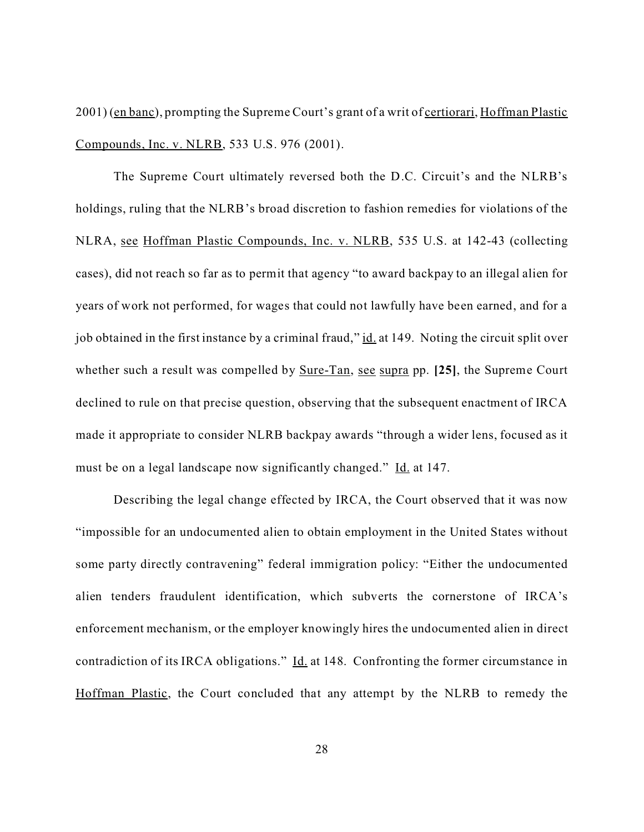2001) (en banc), prompting the Supreme Court's grant of a writ of certiorari, Hoffman Plastic Compounds, Inc. v. NLRB, 533 U.S. 976 (2001).

The Supreme Court ultimately reversed both the D.C. Circuit's and the NLRB's holdings, ruling that the NLRB's broad discretion to fashion remedies for violations of the NLRA, see Hoffman Plastic Compounds, Inc. v. NLRB, 535 U.S. at 142-43 (collecting cases), did not reach so far as to permit that agency "to award backpay to an illegal alien for years of work not performed, for wages that could not lawfully have been earned, and for a job obtained in the first instance by a criminal fraud," id. at 149. Noting the circuit split over whether such a result was compelled by Sure-Tan, see supra pp. **[25]**, the Supreme Court declined to rule on that precise question, observing that the subsequent enactment of IRCA made it appropriate to consider NLRB backpay awards "through a wider lens, focused as it must be on a legal landscape now significantly changed." Id. at 147.

Describing the legal change effected by IRCA, the Court observed that it was now "impossible for an undocumented alien to obtain employment in the United States without some party directly contravening" federal immigration policy: "Either the undocumented alien tenders fraudulent identification, which subverts the cornerstone of IRCA's enforcement mechanism, or the employer knowingly hires the undocumented alien in direct contradiction of its IRCA obligations." Id. at 148. Confronting the former circumstance in Hoffman Plastic, the Court concluded that any attempt by the NLRB to remedy the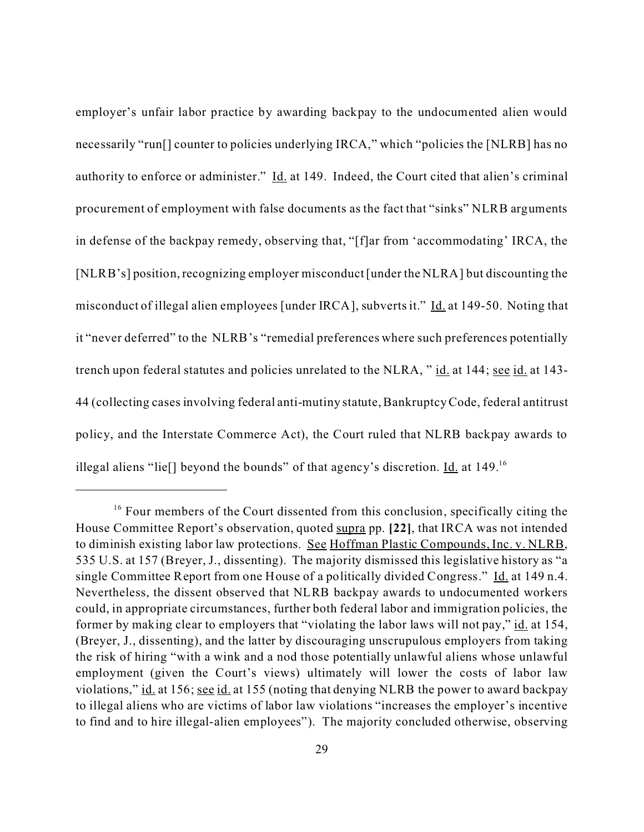employer's unfair labor practice by awarding backpay to the undocumented alien would necessarily "run<sup>[]</sup> counter to policies underlying IRCA," which "policies the [NLRB] has no authority to enforce or administer." Id. at 149. Indeed, the Court cited that alien's criminal procurement of employment with false documents as the fact that "sinks" NLRB arguments in defense of the backpay remedy, observing that, "[f]ar from 'accommodating' IRCA, the [NLRB's] position, recognizing employer misconduct [under the NLRA] but discounting the misconduct of illegal alien employees [under IRCA], subverts it." Id. at 149-50. Noting that it "never deferred" to the NLRB's "remedial preferences where such preferences potentially trench upon federal statutes and policies unrelated to the NLRA, " id. at 144; see id. at 143- 44 (collecting cases involving federal anti-mutiny statute, Bankruptcy Code, federal antitrust policy, and the Interstate Commerce Act), the Court ruled that NLRB backpay awards to illegal aliens "lie[] beyond the bounds" of that agency's discretion.  $\underline{Id}$  at 149.<sup>16</sup>

<sup>&</sup>lt;sup>16</sup> Four members of the Court dissented from this conclusion, specifically citing the House Committee Report's observation, quoted supra pp. **[22]**, that IRCA was not intended to diminish existing labor law protections. See Hoffman Plastic Compounds, Inc. v. NLRB, 535 U.S. at 157 (Breyer, J., dissenting). The majority dismissed this legislative history as "a single Committee Report from one House of a politically divided Congress." Id. at 149 n.4. Nevertheless, the dissent observed that NLRB backpay awards to undocumented workers could, in appropriate circumstances, further both federal labor and immigration policies, the former by making clear to employers that "violating the labor laws will not pay," id. at 154, (Breyer, J., dissenting), and the latter by discouraging unscrupulous employers from taking the risk of hiring "with a wink and a nod those potentially unlawful aliens whose unlawful employment (given the Court's views) ultimately will lower the costs of labor law violations," id. at 156; see id. at 155 (noting that denying NLRB the power to award backpay to illegal aliens who are victims of labor law violations "increases the employer's incentive to find and to hire illegal-alien employees"). The majority concluded otherwise, observing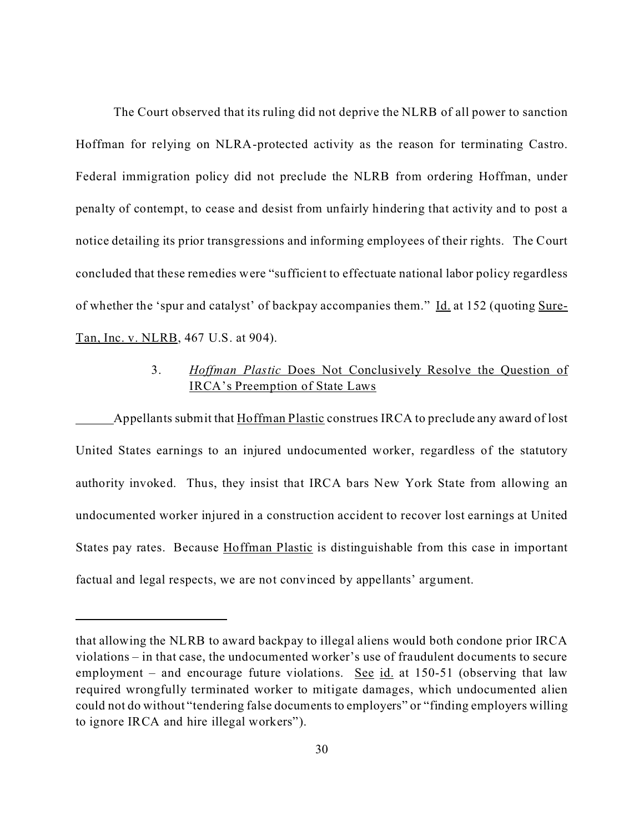The Court observed that its ruling did not deprive the NLRB of all power to sanction Hoffman for relying on NLRA-protected activity as the reason for terminating Castro. Federal immigration policy did not preclude the NLRB from ordering Hoffman, under penalty of contempt, to cease and desist from unfairly hindering that activity and to post a notice detailing its prior transgressions and informing employees of their rights. The Court concluded that these remedies were "sufficient to effectuate national labor policy regardless of whether the 'spur and catalyst' of backpay accompanies them." Id. at 152 (quoting Sure-Tan, Inc. v. NLRB, 467 U.S. at 904).

# 3. *Hoffman Plastic* Does Not Conclusively Resolve the Question of IRCA's Preemption of State Laws

Appellants submit that Hoffman Plastic construes IRCA to preclude any award of lost United States earnings to an injured undocumented worker, regardless of the statutory authority invoked. Thus, they insist that IRCA bars New York State from allowing an undocumented worker injured in a construction accident to recover lost earnings at United States pay rates. Because Hoffman Plastic is distinguishable from this case in important factual and legal respects, we are not convinced by appellants' argument.

that allowing the NLRB to award backpay to illegal aliens would both condone prior IRCA violations – in that case, the undocumented worker's use of fraudulent documents to secure employment – and encourage future violations. See id. at 150-51 (observing that law required wrongfully terminated worker to mitigate damages, which undocumented alien could not do without "tendering false documents to employers" or "finding employers willing to ignore IRCA and hire illegal workers").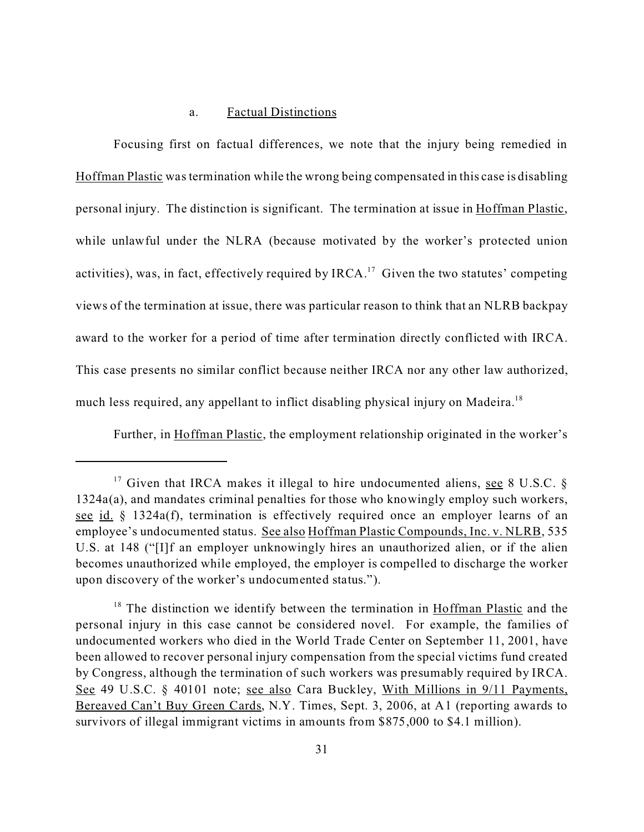## a. Factual Distinctions

Focusing first on factual differences, we note that the injury being remedied in Hoffman Plastic was termination while the wrong being compensated in this case is disabling personal injury. The distinction is significant. The termination at issue in Hoffman Plastic, while unlawful under the NLRA (because motivated by the worker's protected union activities), was, in fact, effectively required by IRCA.<sup>17</sup> Given the two statutes' competing views of the termination at issue, there was particular reason to think that an NLRB backpay award to the worker for a period of time after termination directly conflicted with IRCA. This case presents no similar conflict because neither IRCA nor any other law authorized, much less required, any appellant to inflict disabling physical injury on Madeira.<sup>18</sup>

Further, in Hoffman Plastic, the employment relationship originated in the worker's

<sup>&</sup>lt;sup>17</sup> Given that IRCA makes it illegal to hire undocumented aliens, <u>see</u> 8 U.S.C. § 1324a(a), and mandates criminal penalties for those who knowingly employ such workers, see id. § 1324a(f), termination is effectively required once an employer learns of an employee's undocumented status. See also Hoffman Plastic Compounds, Inc. v. NLRB, 535 U.S. at 148 ("[I]f an employer unknowingly hires an unauthorized alien, or if the alien becomes unauthorized while employed, the employer is compelled to discharge the worker upon discovery of the worker's undocumented status.").

<sup>&</sup>lt;sup>18</sup> The distinction we identify between the termination in Hoffman Plastic and the personal injury in this case cannot be considered novel. For example, the families of undocumented workers who died in the World Trade Center on September 11, 2001, have been allowed to recover personal injury compensation from the special victims fund created by Congress, although the termination of such workers was presumably required by IRCA. See 49 U.S.C. § 40101 note; see also Cara Buckley, With Millions in 9/11 Payments, Bereaved Can't Buy Green Cards, N.Y. Times, Sept. 3, 2006, at A1 (reporting awards to survivors of illegal immigrant victims in amounts from \$875,000 to \$4.1 million).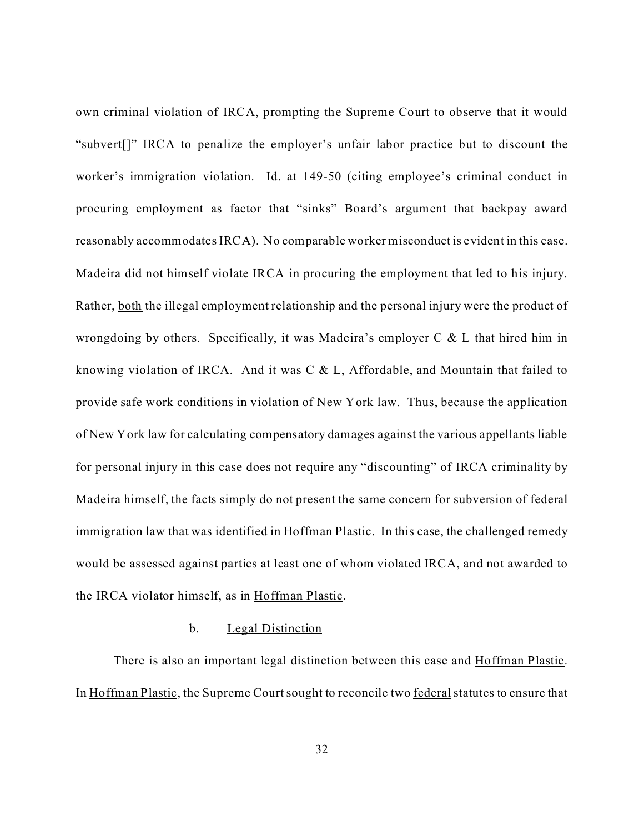own criminal violation of IRCA, prompting the Supreme Court to observe that it would "subvert[]" IRCA to penalize the employer's unfair labor practice but to discount the worker's immigration violation. Id. at 149-50 (citing employee's criminal conduct in procuring employment as factor that "sinks" Board's argument that backpay award reasonably accommodates IRCA). No comparable worker misconduct is evident in this case. Madeira did not himself violate IRCA in procuring the employment that led to his injury. Rather, both the illegal employment relationship and the personal injury were the product of wrongdoing by others. Specifically, it was Madeira's employer C & L that hired him in knowing violation of IRCA. And it was C & L, Affordable, and Mountain that failed to provide safe work conditions in violation of New York law. Thus, because the application of New York law for calculating compensatory damages against the various appellants liable for personal injury in this case does not require any "discounting" of IRCA criminality by Madeira himself, the facts simply do not present the same concern for subversion of federal immigration law that was identified in Hoffman Plastic. In this case, the challenged remedy would be assessed against parties at least one of whom violated IRCA, and not awarded to the IRCA violator himself, as in Hoffman Plastic.

## b. Legal Distinction

There is also an important legal distinction between this case and Hoffman Plastic. In Hoffman Plastic, the Supreme Court sought to reconcile two federal statutes to ensure that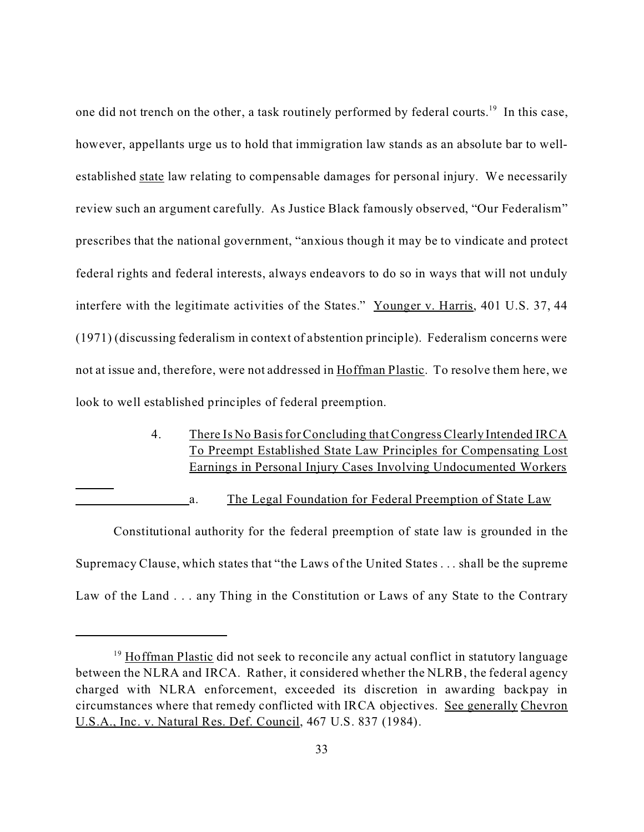one did not trench on the other, a task routinely performed by federal courts.<sup>19</sup> In this case, however, appellants urge us to hold that immigration law stands as an absolute bar to wellestablished state law relating to compensable damages for personal injury. We necessarily review such an argument carefully. As Justice Black famously observed, "Our Federalism" prescribes that the national government, "anxious though it may be to vindicate and protect federal rights and federal interests, always endeavors to do so in ways that will not unduly interfere with the legitimate activities of the States." Younger v. Harris, 401 U.S. 37, 44 (1971) (discussing federalism in context of abstention principle). Federalism concerns were not at issue and, therefore, were not addressed in Hoffman Plastic. To resolve them here, we look to well established principles of federal preemption.

> 4. There Is No Basis for Concluding that Congress Clearly Intended IRCA To Preempt Established State Law Principles for Compensating Lost Earnings in Personal Injury Cases Involving Undocumented Workers

a. The Legal Foundation for Federal Preemption of State Law

Constitutional authority for the federal preemption of state law is grounded in the Supremacy Clause, which states that "the Laws of the United States . . . shall be the supreme Law of the Land . . . any Thing in the Constitution or Laws of any State to the Contrary

<sup>&</sup>lt;sup>19</sup> Hoffman Plastic did not seek to reconcile any actual conflict in statutory language between the NLRA and IRCA. Rather, it considered whether the NLRB, the federal agency charged with NLRA enforcement, exceeded its discretion in awarding backpay in circumstances where that remedy conflicted with IRCA objectives. See generally Chevron U.S.A., Inc. v. Natural Res. Def. Council, 467 U.S. 837 (1984).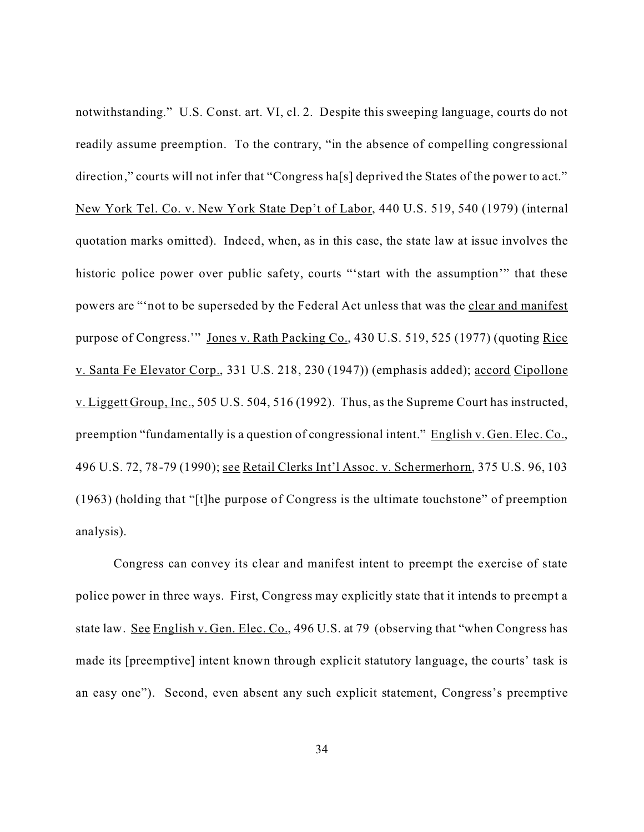notwithstanding." U.S. Const. art. VI, cl. 2. Despite this sweeping language, courts do not readily assume preemption. To the contrary, "in the absence of compelling congressional direction," courts will not infer that "Congress ha<sup>[s]</sup> deprived the States of the power to act." New York Tel. Co. v. New York State Dep't of Labor, 440 U.S. 519, 540 (1979) (internal quotation marks omitted). Indeed, when, as in this case, the state law at issue involves the historic police power over public safety, courts "'start with the assumption'" that these powers are "'not to be superseded by the Federal Act unless that was the clear and manifest purpose of Congress." Jones v. Rath Packing Co., 430 U.S. 519, 525 (1977) (quoting Rice v. Santa Fe Elevator Corp., 331 U.S. 218, 230 (1947)) (emphasis added); accord Cipollone v. Liggett Group, Inc., 505 U.S. 504, 516 (1992). Thus, as the Supreme Court has instructed, preemption "fundamentally is a question of congressional intent." English v. Gen. Elec. Co., 496 U.S. 72, 78-79 (1990); see Retail Clerks Int'l Assoc. v. Schermerhorn, 375 U.S. 96, 103 (1963) (holding that "[t]he purpose of Congress is the ultimate touchstone" of preemption analysis).

Congress can convey its clear and manifest intent to preempt the exercise of state police power in three ways. First, Congress may explicitly state that it intends to preempt a state law. See English v. Gen. Elec. Co., 496 U.S. at 79 (observing that "when Congress has made its [preemptive] intent known through explicit statutory language, the courts' task is an easy one"). Second, even absent any such explicit statement, Congress's preemptive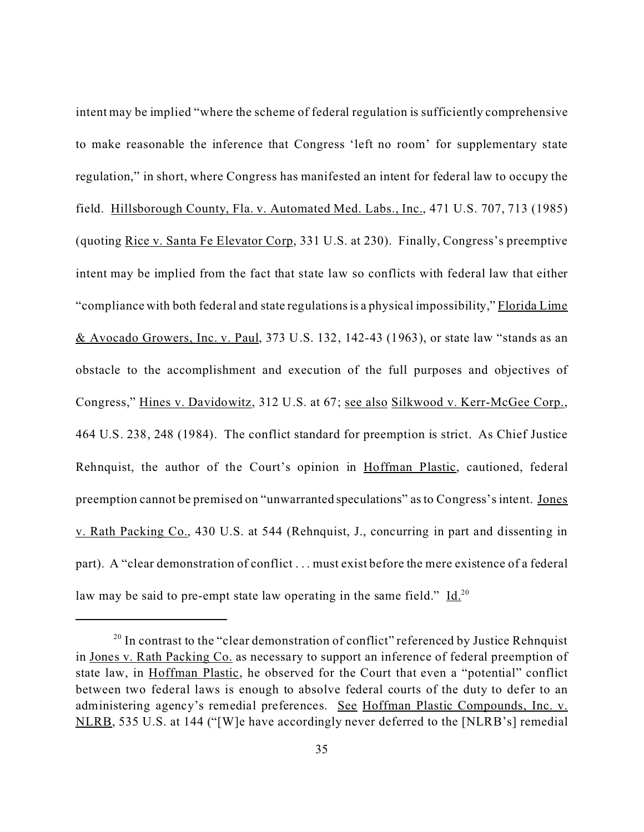intent may be implied "where the scheme of federal regulation is sufficiently comprehensive to make reasonable the inference that Congress 'left no room' for supplementary state regulation," in short, where Congress has manifested an intent for federal law to occupy the field. Hillsborough County, Fla. v. Automated Med. Labs., Inc., 471 U.S. 707, 713 (1985) (quoting Rice v. Santa Fe Elevator Corp, 331 U.S. at 230). Finally, Congress's preemptive intent may be implied from the fact that state law so conflicts with federal law that either "compliance with both federal and state regulations is a physical impossibility," Florida Lime & Avocado Growers, Inc. v. Paul, 373 U.S. 132, 142-43 (1963), or state law "stands as an obstacle to the accomplishment and execution of the full purposes and objectives of Congress," Hines v. Davidowitz, 312 U.S. at 67; see also Silkwood v. Kerr-McGee Corp., 464 U.S. 238, 248 (1984). The conflict standard for preemption is strict. As Chief Justice Rehnquist, the author of the Court's opinion in Hoffman Plastic, cautioned, federal preemption cannot be premised on "unwarranted speculations" as to Congress's intent. Jones v. Rath Packing Co., 430 U.S. at 544 (Rehnquist, J., concurring in part and dissenting in part). A "clear demonstration of conflict . . . must exist before the mere existence of a federal law may be said to pre-empt state law operating in the same field."  $\underline{Id}^{20}$ 

<sup>&</sup>lt;sup>20</sup> In contrast to the "clear demonstration of conflict" referenced by Justice Rehnquist in Jones v. Rath Packing Co. as necessary to support an inference of federal preemption of state law, in Hoffman Plastic, he observed for the Court that even a "potential" conflict between two federal laws is enough to absolve federal courts of the duty to defer to an administering agency's remedial preferences. See Hoffman Plastic Compounds, Inc. v. NLRB, 535 U.S. at 144 ("[W]e have accordingly never deferred to the [NLRB's] remedial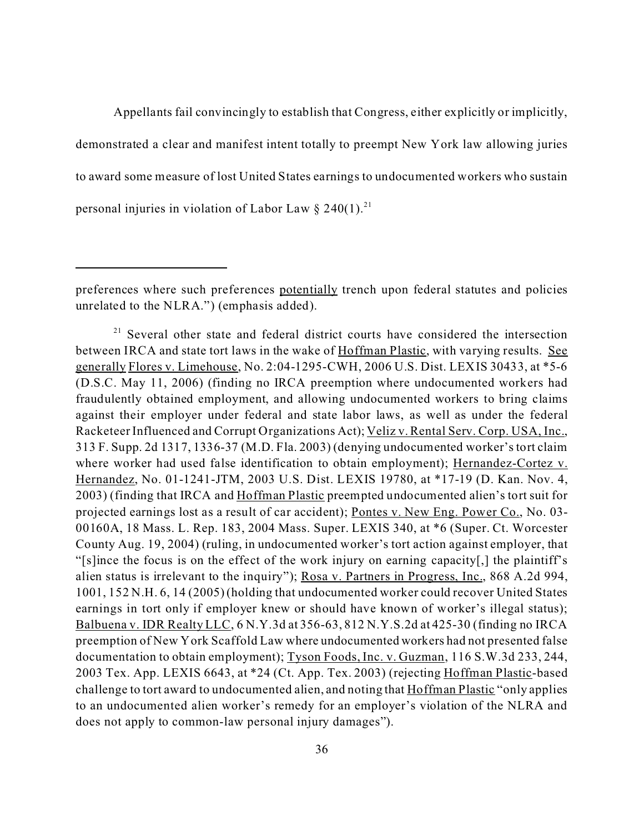Appellants fail convincingly to establish that Congress, either explicitly or implicitly, demonstrated a clear and manifest intent totally to preempt New York law allowing juries to award some measure of lost United States earnings to undocumented workers who sustain personal injuries in violation of Labor Law  $\S 240(1)$ .<sup>21</sup>

preferences where such preferences potentially trench upon federal statutes and policies unrelated to the NLRA.") (emphasis added).

<sup>&</sup>lt;sup>21</sup> Several other state and federal district courts have considered the intersection between IRCA and state tort laws in the wake of Hoffman Plastic, with varying results. See generally Flores v. Limehouse, No. 2:04-1295-CWH, 2006 U.S. Dist. LEXIS 30433, at \*5-6 (D.S.C. May 11, 2006) (finding no IRCA preemption where undocumented workers had fraudulently obtained employment, and allowing undocumented workers to bring claims against their employer under federal and state labor laws, as well as under the federal Racketeer Influenced and Corrupt Organizations Act); Veliz v. Rental Serv. Corp. USA, Inc., 313 F. Supp. 2d 1317, 1336-37 (M.D. Fla. 2003) (denying undocumented worker's tort claim where worker had used false identification to obtain employment); Hernandez-Cortez v. Hernandez, No. 01-1241-JTM, 2003 U.S. Dist. LEXIS 19780, at \*17-19 (D. Kan. Nov. 4, 2003) (finding that IRCA and Hoffman Plastic preempted undocumented alien's tort suit for projected earnings lost as a result of car accident); Pontes v. New Eng. Power Co., No. 03- 00160A, 18 Mass. L. Rep. 183, 2004 Mass. Super. LEXIS 340, at \*6 (Super. Ct. Worcester County Aug. 19, 2004) (ruling, in undocumented worker's tort action against employer, that "[s]ince the focus is on the effect of the work injury on earning capacity[,] the plaintiff's alien status is irrelevant to the inquiry"); Rosa v. Partners in Progress, Inc., 868 A.2d 994, 1001, 152 N.H. 6, 14 (2005) (holding that undocumented worker could recover United States earnings in tort only if employer knew or should have known of worker's illegal status); Balbuena v. IDR Realty LLC, 6 N.Y.3d at 356-63, 812 N.Y.S.2d at 425-30 (finding no IRCA preemption of New York Scaffold Law where undocumented workers had not presented false documentation to obtain employment); Tyson Foods, Inc. v. Guzman, 116 S.W.3d 233, 244, 2003 Tex. App. LEXIS 6643, at \*24 (Ct. App. Tex. 2003) (rejecting Hoffman Plastic-based challenge to tort award to undocumented alien, and noting that Hoffman Plastic "only applies to an undocumented alien worker's remedy for an employer's violation of the NLRA and does not apply to common-law personal injury damages").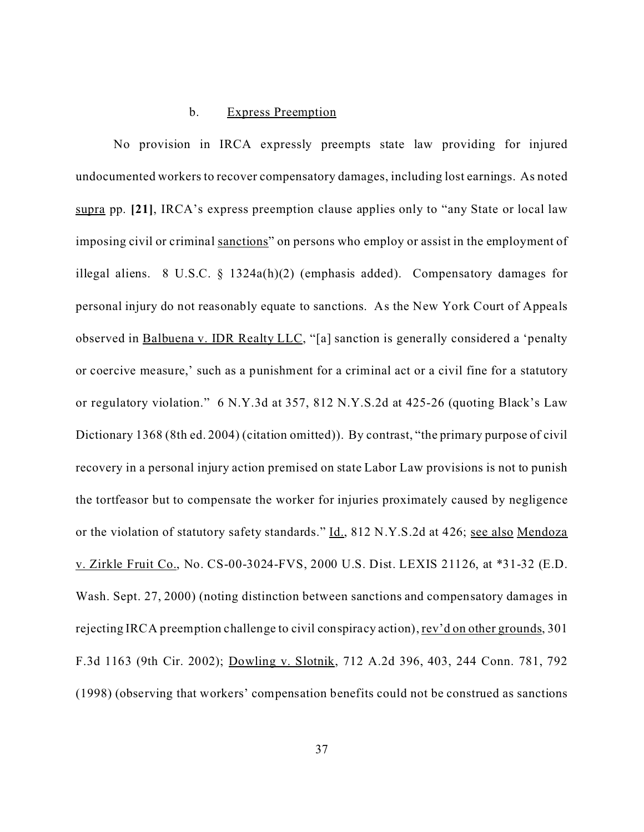## b. Express Preemption

No provision in IRCA expressly preempts state law providing for injured undocumented workers to recover compensatory damages, including lost earnings. As noted supra pp. **[21]**, IRCA's express preemption clause applies only to "any State or local law imposing civil or criminal sanctions" on persons who employ or assist in the employment of illegal aliens. 8 U.S.C. § 1324a(h)(2) (emphasis added). Compensatory damages for personal injury do not reasonably equate to sanctions. As the New York Court of Appeals observed in Balbuena v. IDR Realty LLC, "[a] sanction is generally considered a 'penalty or coercive measure,' such as a punishment for a criminal act or a civil fine for a statutory or regulatory violation." 6 N.Y.3d at 357, 812 N.Y.S.2d at 425-26 (quoting Black's Law Dictionary 1368 (8th ed. 2004) (citation omitted)). By contrast, "the primary purpose of civil recovery in a personal injury action premised on state Labor Law provisions is not to punish the tortfeasor but to compensate the worker for injuries proximately caused by negligence or the violation of statutory safety standards." Id., 812 N.Y.S.2d at 426; see also Mendoza v. Zirkle Fruit Co., No. CS-00-3024-FVS, 2000 U.S. Dist. LEXIS 21126, at \*31-32 (E.D. Wash. Sept. 27, 2000) (noting distinction between sanctions and compensatory damages in rejecting IRCA preemption challenge to civil conspiracy action), rev'd on other grounds, 301 F.3d 1163 (9th Cir. 2002); Dowling v. Slotnik, 712 A.2d 396, 403, 244 Conn. 781, 792 (1998) (observing that workers' compensation benefits could not be construed as sanctions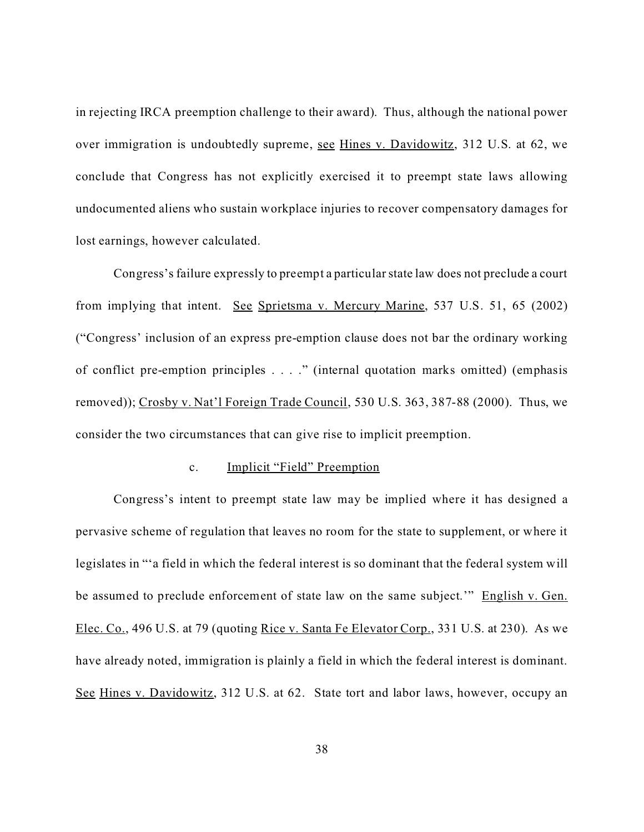in rejecting IRCA preemption challenge to their award). Thus, although the national power over immigration is undoubtedly supreme, see Hines v. Davidowitz, 312 U.S. at 62, we conclude that Congress has not explicitly exercised it to preempt state laws allowing undocumented aliens who sustain workplace injuries to recover compensatory damages for lost earnings, however calculated.

Congress's failure expressly to preempt a particular state law does not preclude a court from implying that intent. See Sprietsma v. Mercury Marine, 537 U.S. 51, 65 (2002) ("Congress' inclusion of an express pre-emption clause does not bar the ordinary working of conflict pre-emption principles . . . ." (internal quotation marks omitted) (emphasis removed)); Crosby v. Nat'l Foreign Trade Council, 530 U.S. 363, 387-88 (2000). Thus, we consider the two circumstances that can give rise to implicit preemption.

#### c. Implicit "Field" Preemption

Congress's intent to preempt state law may be implied where it has designed a pervasive scheme of regulation that leaves no room for the state to supplement, or where it legislates in "'a field in which the federal interest is so dominant that the federal system will be assumed to preclude enforcement of state law on the same subject.'" English v. Gen. Elec. Co., 496 U.S. at 79 (quoting Rice v. Santa Fe Elevator Corp., 331 U.S. at 230). As we have already noted, immigration is plainly a field in which the federal interest is dominant. See Hines v. Davidowitz, 312 U.S. at 62. State tort and labor laws, however, occupy an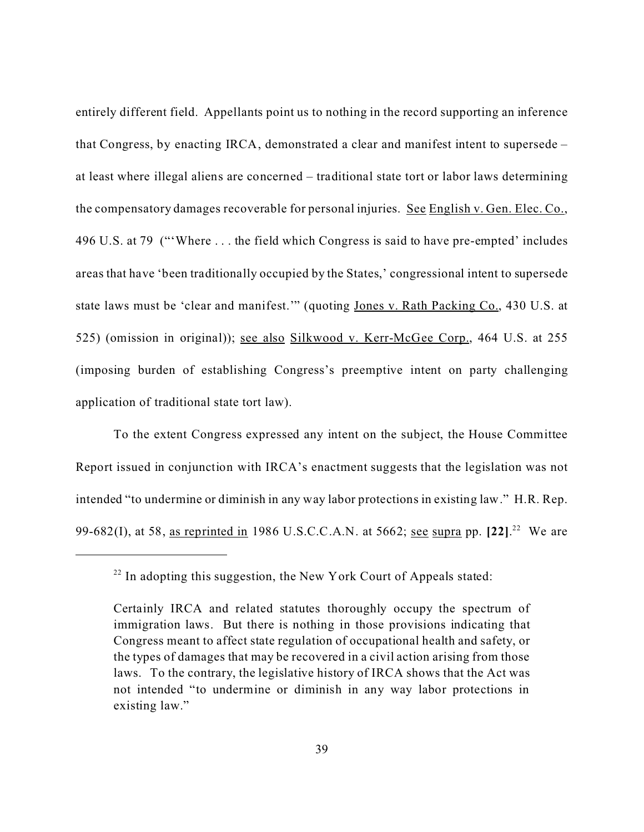entirely different field. Appellants point us to nothing in the record supporting an inference that Congress, by enacting IRCA, demonstrated a clear and manifest intent to supersede – at least where illegal aliens are concerned – traditional state tort or labor laws determining the compensatory damages recoverable for personal injuries. See English v. Gen. Elec. Co., 496 U.S. at 79 ("'Where . . . the field which Congress is said to have pre-empted' includes areas that have 'been traditionally occupied by the States,' congressional intent to supersede state laws must be 'clear and manifest." (quoting Jones v. Rath Packing Co., 430 U.S. at 525) (omission in original)); see also Silkwood v. Kerr-McGee Corp., 464 U.S. at 255 (imposing burden of establishing Congress's preemptive intent on party challenging application of traditional state tort law).

To the extent Congress expressed any intent on the subject, the House Committee Report issued in conjunction with IRCA's enactment suggests that the legislation was not intended "to undermine or diminish in any way labor protections in existing law." H.R. Rep. 99-682(I), at 58, as reprinted in 1986 U.S.C.C.A.N. at 5662; <u>see supra</u> pp. [22].<sup>22</sup> We are

 $22$  In adopting this suggestion, the New York Court of Appeals stated:

Certainly IRCA and related statutes thoroughly occupy the spectrum of immigration laws. But there is nothing in those provisions indicating that Congress meant to affect state regulation of occupational health and safety, or the types of damages that may be recovered in a civil action arising from those laws. To the contrary, the legislative history of IRCA shows that the Act was not intended "to undermine or diminish in any way labor protections in existing law."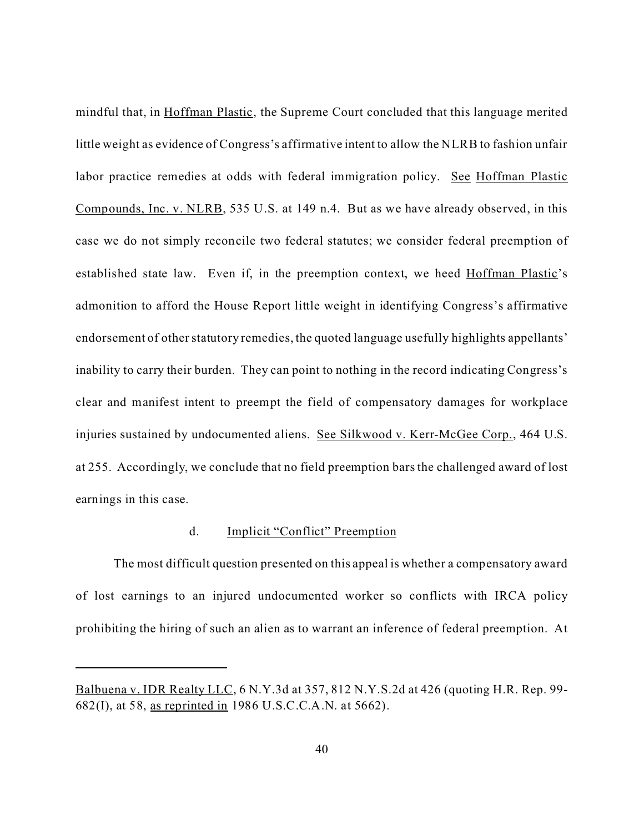mindful that, in Hoffman Plastic, the Supreme Court concluded that this language merited little weight as evidence of Congress's affirmative intent to allow the NLRB to fashion unfair labor practice remedies at odds with federal immigration policy. See Hoffman Plastic Compounds, Inc. v. NLRB, 535 U.S. at 149 n.4. But as we have already observed, in this case we do not simply reconcile two federal statutes; we consider federal preemption of established state law. Even if, in the preemption context, we heed Hoffman Plastic's admonition to afford the House Report little weight in identifying Congress's affirmative endorsement of other statutory remedies, the quoted language usefully highlights appellants' inability to carry their burden. They can point to nothing in the record indicating Congress's clear and manifest intent to preempt the field of compensatory damages for workplace injuries sustained by undocumented aliens. See Silkwood v. Kerr-McGee Corp., 464 U.S. at 255. Accordingly, we conclude that no field preemption bars the challenged award of lost earnings in this case.

# d. Implicit "Conflict" Preemption

The most difficult question presented on this appeal is whether a compensatory award of lost earnings to an injured undocumented worker so conflicts with IRCA policy prohibiting the hiring of such an alien as to warrant an inference of federal preemption. At

Balbuena v. IDR Realty LLC, 6 N.Y.3d at 357, 812 N.Y.S.2d at 426 (quoting H.R. Rep. 99- 682(I), at 58, as reprinted in 1986 U.S.C.C.A.N. at 5662).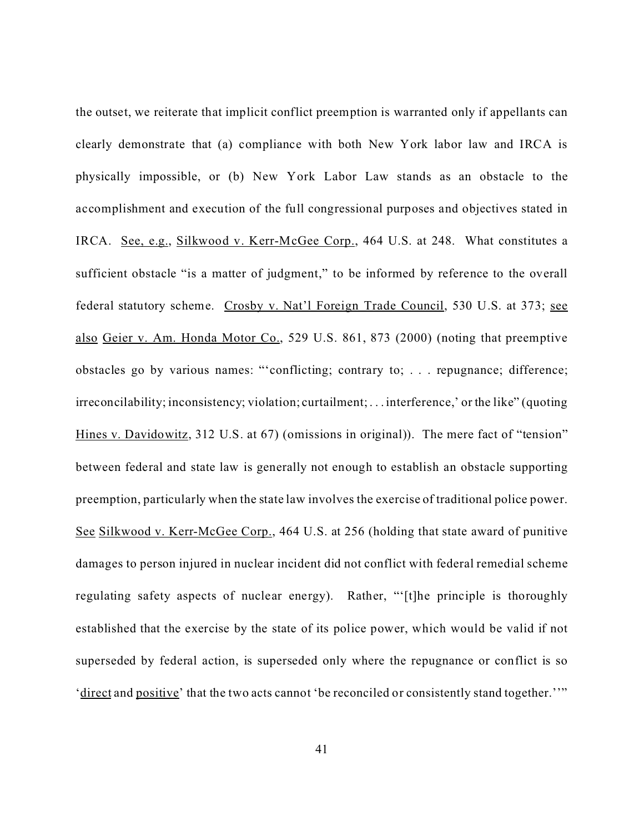the outset, we reiterate that implicit conflict preemption is warranted only if appellants can clearly demonstrate that (a) compliance with both New York labor law and IRCA is physically impossible, or (b) New York Labor Law stands as an obstacle to the accomplishment and execution of the full congressional purposes and objectives stated in IRCA. See, e.g., Silkwood v. Kerr-McGee Corp., 464 U.S. at 248. What constitutes a sufficient obstacle "is a matter of judgment," to be informed by reference to the overall federal statutory scheme. Crosby v. Nat'l Foreign Trade Council, 530 U.S. at 373; see also Geier v. Am. Honda Motor Co., 529 U.S. 861, 873 (2000) (noting that preemptive obstacles go by various names: "'conflicting; contrary to; . . . repugnance; difference; irreconcilability; inconsistency; violation; curtailment; . . . interference,' or the like" (quoting Hines v. Davidowitz, 312 U.S. at 67) (omissions in original)). The mere fact of "tension" between federal and state law is generally not enough to establish an obstacle supporting preemption, particularly when the state law involves the exercise of traditional police power. See Silkwood v. Kerr-McGee Corp., 464 U.S. at 256 (holding that state award of punitive damages to person injured in nuclear incident did not conflict with federal remedial scheme regulating safety aspects of nuclear energy). Rather, "'[t]he principle is thoroughly established that the exercise by the state of its police power, which would be valid if not superseded by federal action, is superseded only where the repugnance or conflict is so 'direct and positive' that the two acts cannot 'be reconciled or consistently stand together.''"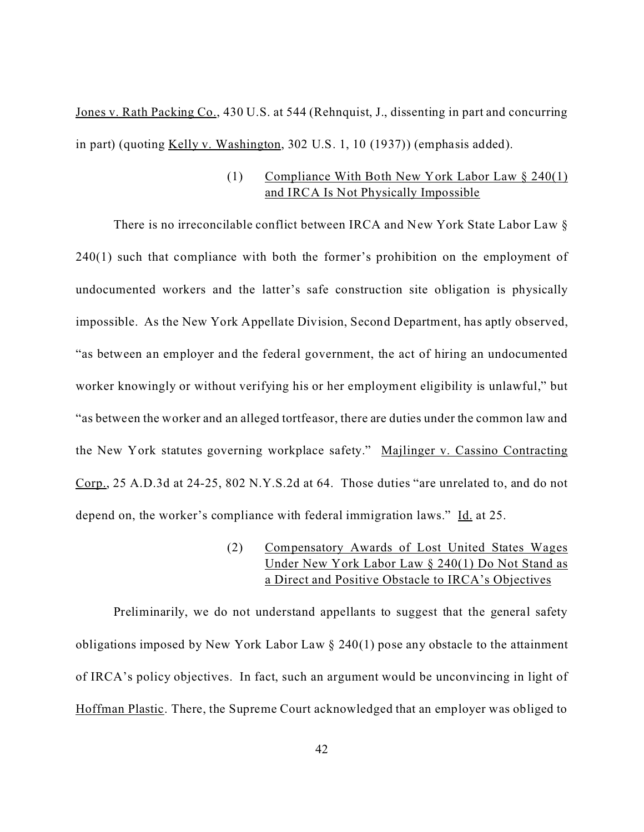Jones v. Rath Packing Co., 430 U.S. at 544 (Rehnquist, J., dissenting in part and concurring in part) (quoting Kelly v. Washington, 302 U.S. 1, 10 (1937)) (emphasis added).

# (1) Compliance With Both New York Labor Law § 240(1) and IRCA Is Not Physically Impossible

There is no irreconcilable conflict between IRCA and New York State Labor Law § 240(1) such that compliance with both the former's prohibition on the employment of undocumented workers and the latter's safe construction site obligation is physically impossible. As the New York Appellate Division, Second Department, has aptly observed, "as between an employer and the federal government, the act of hiring an undocumented worker knowingly or without verifying his or her employment eligibility is unlawful," but "as between the worker and an alleged tortfeasor, there are duties under the common law and the New York statutes governing workplace safety." Majlinger v. Cassino Contracting Corp., 25 A.D.3d at 24-25, 802 N.Y.S.2d at 64. Those duties "are unrelated to, and do not depend on, the worker's compliance with federal immigration laws." Id. at 25.

> (2) Compensatory Awards of Lost United States Wages Under New York Labor Law § 240(1) Do Not Stand as a Direct and Positive Obstacle to IRCA's Objectives

Preliminarily, we do not understand appellants to suggest that the general safety obligations imposed by New York Labor Law § 240(1) pose any obstacle to the attainment of IRCA's policy objectives. In fact, such an argument would be unconvincing in light of Hoffman Plastic. There, the Supreme Court acknowledged that an employer was obliged to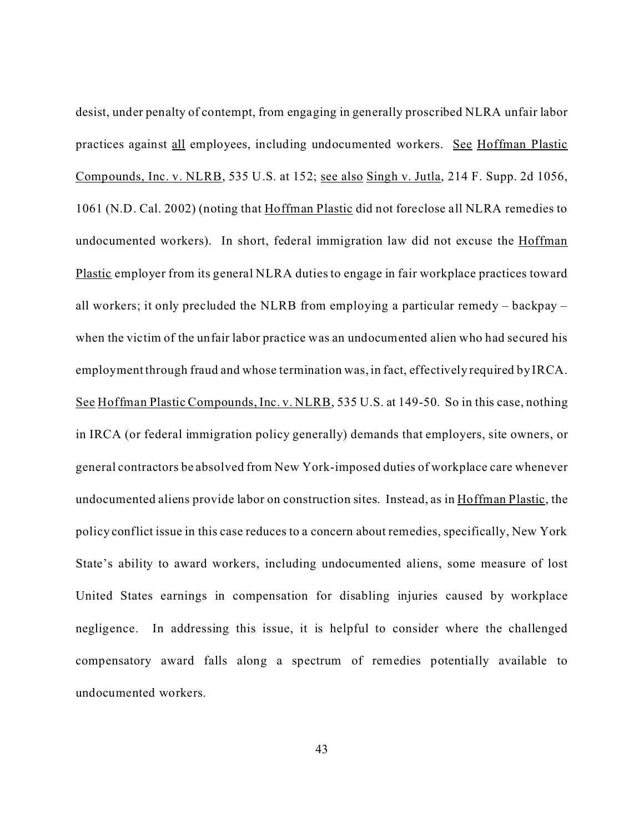desist, under penalty of contempt, from engaging in generally proscribed NLRA unfair labor practices against all employees, including undocumented workers. See Hoffman Plastic Compounds, Inc. v. NLRB, 535 U.S. at 152; see also Singh v. Jutla, 214 F. Supp. 2d 1056, 1061 (N.D. Cal. 2002) (noting that Hoffman Plastic did not foreclose all NLRA remedies to undocumented workers). In short, federal immigration law did not excuse the Hoffman Plastic employer from its general NLRA duties to engage in fair workplace practices toward all workers; it only precluded the NLRB from employing a particular remedy – backpay – when the victim of the unfair labor practice was an undocumented alien who had secured his employment through fraud and whose termination was, in fact, effectively required by IRCA. See Hoffman Plastic Compounds, Inc. v. NLRB, 535 U.S. at 149-50. So in this case, nothing in IRCA (or federal immigration policy generally) demands that employers, site owners, or general contractors be absolved from New York-imposed duties of workplace care whenever undocumented aliens provide labor on construction sites. Instead, as in Hoffman Plastic, the policy conflict issue in this case reduces to a concern about remedies, specifically, New York State's ability to award workers, including undocumented aliens, some measure of lost United States earnings in compensation for disabling injuries caused by workplace negligence. In addressing this issue, it is helpful to consider where the challenged compensatory award falls along a spectrum of remedies potentially available to undocumented workers.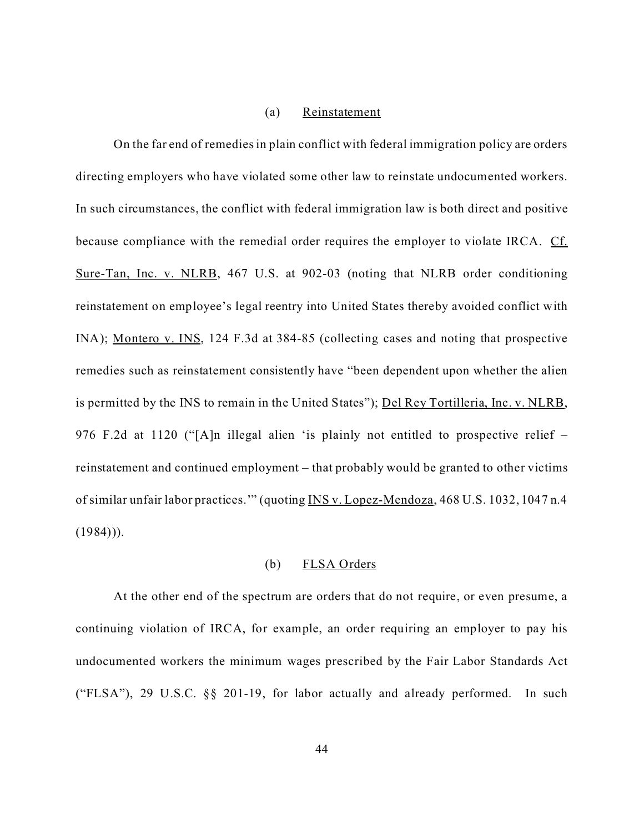## (a) Reinstatement

On the far end of remedies in plain conflict with federal immigration policy are orders directing employers who have violated some other law to reinstate undocumented workers. In such circumstances, the conflict with federal immigration law is both direct and positive because compliance with the remedial order requires the employer to violate IRCA.Cf. Sure-Tan, Inc. v. NLRB, 467 U.S. at 902-03 (noting that NLRB order conditioning reinstatement on employee's legal reentry into United States thereby avoided conflict with INA); Montero v. INS, 124 F.3d at 384-85 (collecting cases and noting that prospective remedies such as reinstatement consistently have "been dependent upon whether the alien is permitted by the INS to remain in the United States"); Del Rey Tortilleria, Inc. v. NLRB, 976 F.2d at 1120 ("[A]n illegal alien 'is plainly not entitled to prospective relief – reinstatement and continued employment – that probably would be granted to other victims of similar unfair labor practices.'" (quoting INS v. Lopez-Mendoza, 468 U.S. 1032, 1047 n.4  $(1984))$ .

## (b) FLSA Orders

At the other end of the spectrum are orders that do not require, or even presume, a continuing violation of IRCA, for example, an order requiring an employer to pay his undocumented workers the minimum wages prescribed by the Fair Labor Standards Act ("FLSA"), 29 U.S.C. §§ 201-19, for labor actually and already performed. In such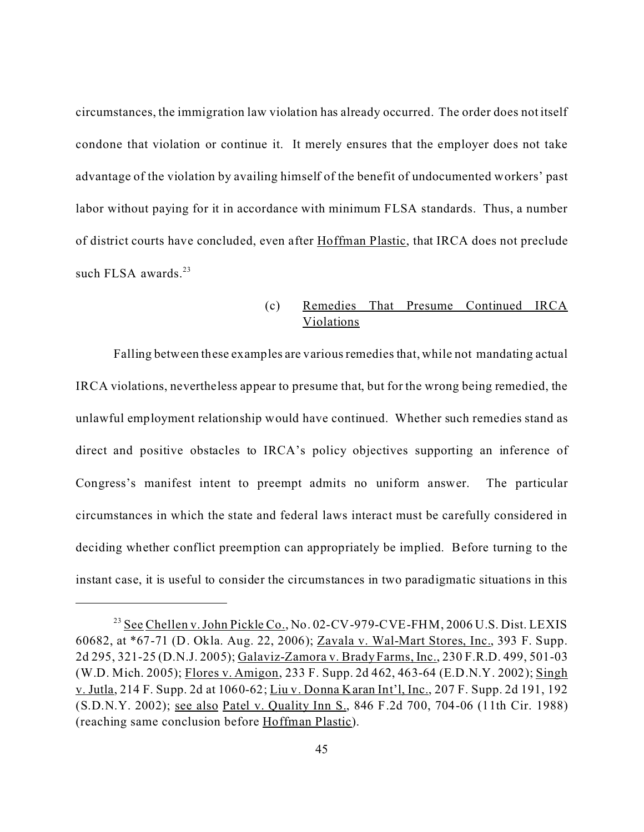circumstances, the immigration law violation has already occurred. The order does not itself condone that violation or continue it. It merely ensures that the employer does not take advantage of the violation by availing himself of the benefit of undocumented workers' past labor without paying for it in accordance with minimum FLSA standards. Thus, a number of district courts have concluded, even after Hoffman Plastic, that IRCA does not preclude such FLSA awards. $23$ 

# (c) Remedies That Presume Continued IRCA Violations

Falling between these examples are variousremedies that, while not mandating actual IRCA violations, nevertheless appear to presume that, but for the wrong being remedied, the unlawful employment relationship would have continued. Whether such remedies stand as direct and positive obstacles to IRCA's policy objectives supporting an inference of Congress's manifest intent to preempt admits no uniform answer. The particular circumstances in which the state and federal laws interact must be carefully considered in deciding whether conflict preemption can appropriately be implied. Before turning to the instant case, it is useful to consider the circumstances in two paradigmatic situations in this

<sup>&</sup>lt;sup>23</sup> See Chellen v. John Pickle Co., No. 02-CV-979-CVE-FHM, 2006 U.S. Dist. LEXIS 60682, at \*67-71 (D. Okla. Aug. 22, 2006); Zavala v. Wal-Mart Stores, Inc., 393 F. Supp. 2d 295, 321-25 (D.N.J. 2005); Galaviz-Zamora v. Brady Farms, Inc., 230 F.R.D. 499, 501-03 (W.D. Mich. 2005); Flores v. Amigon, 233 F. Supp. 2d 462, 463-64 (E.D.N.Y. 2002); Singh v. Jutla, 214 F. Supp. 2d at 1060-62; Liu v. Donna Karan Int'l, Inc., 207 F. Supp. 2d 191, 192 (S.D.N.Y. 2002); see also Patel v. Quality Inn S., 846 F.2d 700, 704-06 (11th Cir. 1988) (reaching same conclusion before Hoffman Plastic).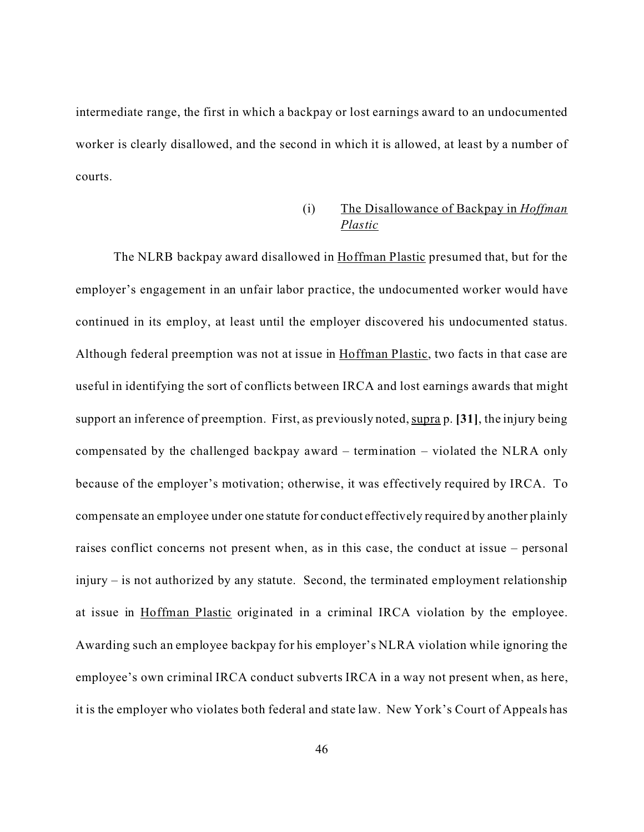intermediate range, the first in which a backpay or lost earnings award to an undocumented worker is clearly disallowed, and the second in which it is allowed, at least by a number of courts.

# (i) The Disallowance of Backpay in *Hoffman Plastic*

The NLRB backpay award disallowed in Hoffman Plastic presumed that, but for the employer's engagement in an unfair labor practice, the undocumented worker would have continued in its employ, at least until the employer discovered his undocumented status. Although federal preemption was not at issue in Hoffman Plastic, two facts in that case are useful in identifying the sort of conflicts between IRCA and lost earnings awards that might support an inference of preemption. First, as previously noted, supra p. [31], the injury being compensated by the challenged backpay award – termination – violated the NLRA only because of the employer's motivation; otherwise, it was effectively required by IRCA. To compensate an employee under one statute for conduct effectively required by another plainly raises conflict concerns not present when, as in this case, the conduct at issue – personal injury – is not authorized by any statute. Second, the terminated employment relationship at issue in Hoffman Plastic originated in a criminal IRCA violation by the employee. Awarding such an employee backpay for his employer's NLRA violation while ignoring the employee's own criminal IRCA conduct subverts IRCA in a way not present when, as here, it is the employer who violates both federal and state law. New York's Court of Appeals has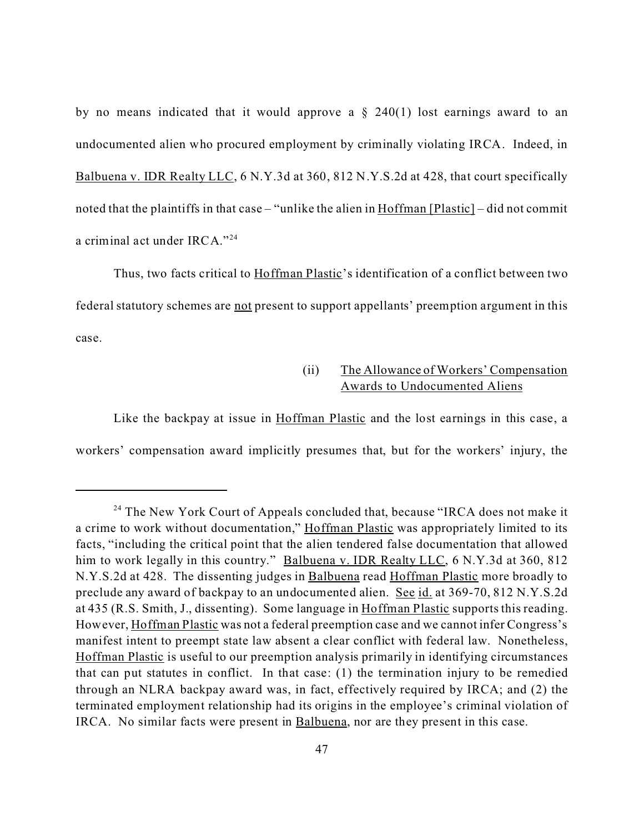by no means indicated that it would approve a  $\S$  240(1) lost earnings award to an undocumented alien who procured employment by criminally violating IRCA. Indeed, in Balbuena v. IDR Realty LLC, 6 N.Y.3d at 360, 812 N.Y.S.2d at 428, that court specifically noted that the plaintiffs in that case – "unlike the alien in Hoffman [Plastic] – did not commit a criminal act under IRCA."<sup>24</sup>

Thus, two facts critical to Hoffman Plastic's identification of a conflict between two federal statutory schemes are not present to support appellants' preemption argument in this case.

# (ii) The Allowance of Workers' Compensation Awards to Undocumented Aliens

Like the backpay at issue in Hoffman Plastic and the lost earnings in this case, a workers' compensation award implicitly presumes that, but for the workers' injury, the

<sup>&</sup>lt;sup>24</sup> The New York Court of Appeals concluded that, because "IRCA does not make it a crime to work without documentation," Hoffman Plastic was appropriately limited to its facts, "including the critical point that the alien tendered false documentation that allowed him to work legally in this country." Balbuena v. IDR Realty LLC, 6 N.Y.3d at 360, 812 N.Y.S.2d at 428. The dissenting judges in Balbuena read Hoffman Plastic more broadly to preclude any award of backpay to an undocumented alien. See id. at 369-70, 812 N.Y.S.2d at 435 (R.S. Smith, J., dissenting). Some language in Hoffman Plastic supports this reading. However, Hoffman Plastic was not a federal preemption case and we cannot infer Congress's manifest intent to preempt state law absent a clear conflict with federal law. Nonetheless, Hoffman Plastic is useful to our preemption analysis primarily in identifying circumstances that can put statutes in conflict. In that case: (1) the termination injury to be remedied through an NLRA backpay award was, in fact, effectively required by IRCA; and (2) the terminated employment relationship had its origins in the employee's criminal violation of IRCA. No similar facts were present in Balbuena, nor are they present in this case.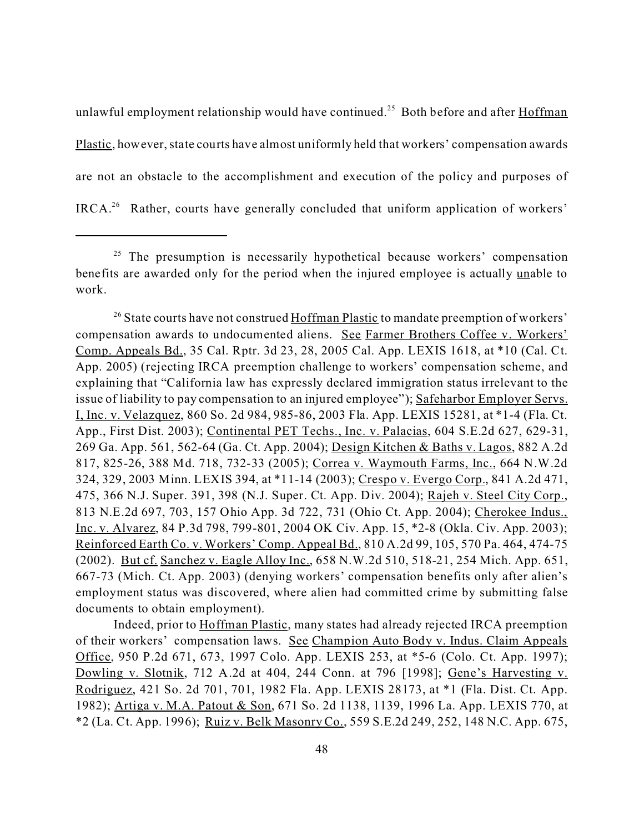unlawful employment relationship would have continued.<sup>25</sup> Both before and after Hoffman Plastic, however, state courts have almost uniformly held that workers' compensation awards are not an obstacle to the accomplishment and execution of the policy and purposes of IRCA.<sup>26</sup> Rather, courts have generally concluded that uniform application of workers'

Indeed, prior to Hoffman Plastic, many states had already rejected IRCA preemption of their workers' compensation laws. See Champion Auto Body v. Indus. Claim Appeals Office, 950 P.2d 671, 673, 1997 Colo. App. LEXIS 253, at \*5-6 (Colo. Ct. App. 1997); Dowling v. Slotnik, 712 A.2d at 404, 244 Conn. at 796 [1998]; Gene's Harvesting v. Rodriguez, 421 So. 2d 701, 701, 1982 Fla. App. LEXIS 28173, at \*1 (Fla. Dist. Ct. App. 1982); Artiga v. M.A. Patout & Son, 671 So. 2d 1138, 1139, 1996 La. App. LEXIS 770, at \*2 (La. Ct. App. 1996); Ruiz v. Belk Masonry Co., 559 S.E.2d 249, 252, 148 N.C. App. 675,

 $25$  The presumption is necessarily hypothetical because workers' compensation benefits are awarded only for the period when the injured employee is actually unable to work.

<sup>&</sup>lt;sup>26</sup> State courts have not construed Hoffman Plastic to mandate preemption of workers' compensation awards to undocumented aliens. See Farmer Brothers Coffee v. Workers' Comp. Appeals Bd., 35 Cal. Rptr. 3d 23, 28, 2005 Cal. App. LEXIS 1618, at \*10 (Cal. Ct. App. 2005) (rejecting IRCA preemption challenge to workers' compensation scheme, and explaining that "California law has expressly declared immigration status irrelevant to the issue of liability to pay compensation to an injured employee"); Safeharbor Employer Servs. I, Inc. v. Velazquez, 860 So. 2d 984, 985-86, 2003 Fla. App. LEXIS 15281, at \*1-4 (Fla. Ct. App., First Dist. 2003); Continental PET Techs., Inc. v. Palacias, 604 S.E.2d 627, 629-31, 269 Ga. App. 561, 562-64 (Ga. Ct. App. 2004); Design Kitchen & Baths v. Lagos, 882 A.2d 817, 825-26, 388 Md. 718, 732-33 (2005); Correa v. Waymouth Farms, Inc., 664 N.W.2d 324, 329, 2003 Minn. LEXIS 394, at \*11-14 (2003); Crespo v. Evergo Corp., 841 A.2d 471, 475, 366 N.J. Super. 391, 398 (N.J. Super. Ct. App. Div. 2004); Rajeh v. Steel City Corp., 813 N.E.2d 697, 703, 157 Ohio App. 3d 722, 731 (Ohio Ct. App. 2004); Cherokee Indus., Inc. v. Alvarez, 84 P.3d 798, 799-801, 2004 OK Civ. App. 15, \*2-8 (Okla. Civ. App. 2003); Reinforced Earth Co. v. Workers' Comp. Appeal Bd., 810 A.2d 99, 105, 570 Pa. 464, 474-75 (2002). But cf. Sanchez v. Eagle Alloy Inc., 658 N.W.2d 510, 518-21, 254 Mich. App. 651, 667-73 (Mich. Ct. App. 2003) (denying workers' compensation benefits only after alien's employment status was discovered, where alien had committed crime by submitting false documents to obtain employment).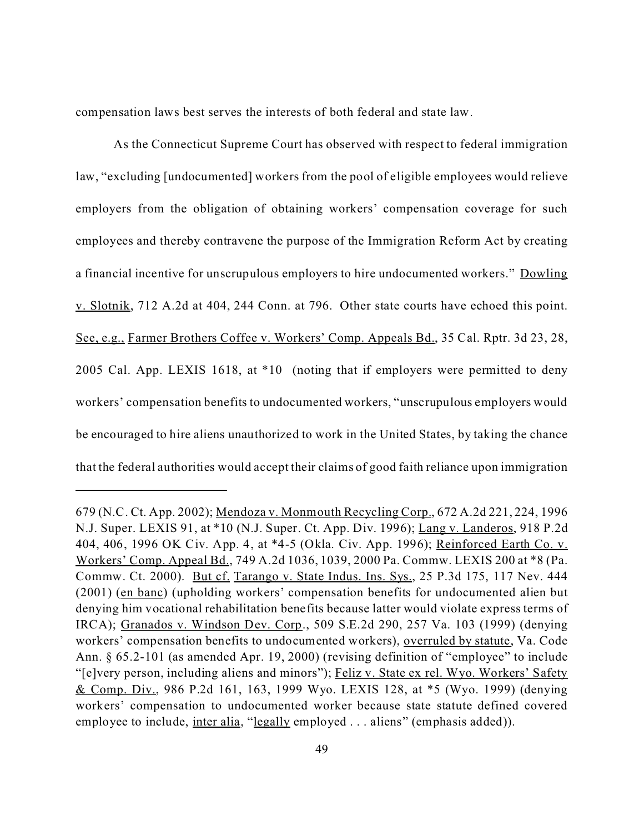compensation laws best serves the interests of both federal and state law.

As the Connecticut Supreme Court has observed with respect to federal immigration law, "excluding [undocumented] workers from the pool of eligible employees would relieve employers from the obligation of obtaining workers' compensation coverage for such employees and thereby contravene the purpose of the Immigration Reform Act by creating a financial incentive for unscrupulous employers to hire undocumented workers." Dowling v. Slotnik, 712 A.2d at 404, 244 Conn. at 796. Other state courts have echoed this point. See, e.g., Farmer Brothers Coffee v. Workers' Comp. Appeals Bd., 35 Cal. Rptr. 3d 23, 28, 2005 Cal. App. LEXIS 1618, at \*10 (noting that if employers were permitted to deny workers' compensation benefits to undocumented workers, "unscrupulous employers would be encouraged to hire aliens unauthorized to work in the United States, by taking the chance that the federal authorities would accept their claims of good faith reliance upon immigration

<sup>679 (</sup>N.C. Ct. App. 2002); Mendoza v. Monmouth Recycling Corp., 672 A.2d 221, 224, 1996 N.J. Super. LEXIS 91, at \*10 (N.J. Super. Ct. App. Div. 1996); Lang v. Landeros, 918 P.2d 404, 406, 1996 OK Civ. App. 4, at \*4-5 (Okla. Civ. App. 1996); Reinforced Earth Co. v. Workers' Comp. Appeal Bd., 749 A.2d 1036, 1039, 2000 Pa. Commw. LEXIS 200 at \*8 (Pa. Commw. Ct. 2000). But cf. Tarango v. State Indus. Ins. Sys., 25 P.3d 175, 117 Nev. 444 (2001) (en banc) (upholding workers' compensation benefits for undocumented alien but denying him vocational rehabilitation benefits because latter would violate express terms of IRCA); Granados v. Windson Dev. Corp., 509 S.E.2d 290, 257 Va. 103 (1999) (denying workers' compensation benefits to undocumented workers), overruled by statute, Va. Code Ann. § 65.2-101 (as amended Apr. 19, 2000) (revising definition of "employee" to include "[e]very person, including aliens and minors"); Feliz v. State ex rel. Wyo. Workers' Safety & Comp. Div., 986 P.2d 161, 163, 1999 Wyo. LEXIS 128, at \*5 (Wyo. 1999) (denying workers' compensation to undocumented worker because state statute defined covered employee to include, <u>inter alia</u>, "<u>legally</u> employed . . . aliens" (emphasis added)).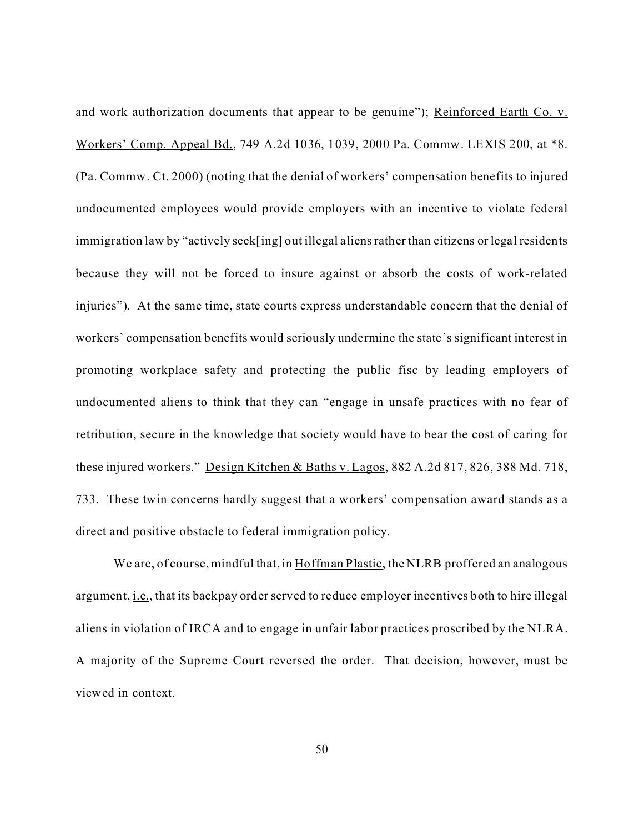and work authorization documents that appear to be genuine"); Reinforced Earth Co. v. Workers' Comp. Appeal Bd., 749 A.2d 1036, 1039, 2000 Pa. Commw. LEXIS 200, at \*8. (Pa. Commw. Ct. 2000) (noting that the denial of workers' compensation benefits to injured undocumented employees would provide employers with an incentive to violate federal immigration law by "actively seek[ing] out illegal aliens rather than citizens or legal residents because they will not be forced to insure against or absorb the costs of work-related injuries"). At the same time, state courts express understandable concern that the denial of workers' compensation benefits would seriously undermine the state's significant interest in promoting workplace safety and protecting the public fisc by leading employers of undocumented aliens to think that they can "engage in unsafe practices with no fear of retribution, secure in the knowledge that society would have to bear the cost of caring for these injured workers." Design Kitchen & Baths v. Lagos, 882 A.2d 817, 826, 388 Md. 718, 733. These twin concerns hardly suggest that a workers' compensation award stands as a direct and positive obstacle to federal immigration policy.

We are, of course, mindful that, in Hoffman Plastic, the NLRB proffered an analogous argument, i.e., that its backpay order served to reduce employer incentives both to hire illegal aliens in violation of IRCA and to engage in unfair labor practices proscribed by the NLRA. A majority of the Supreme Court reversed the order. That decision, however, must be viewed in context.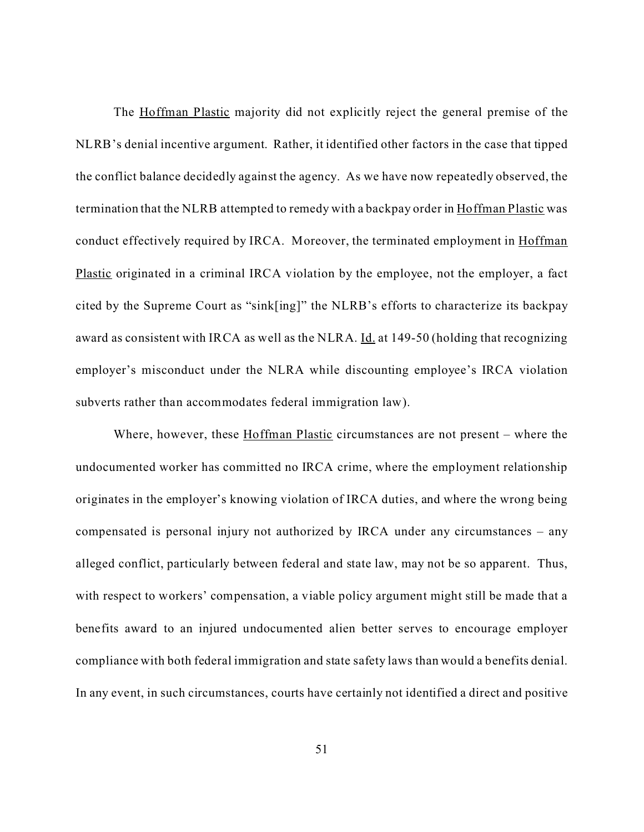The Hoffman Plastic majority did not explicitly reject the general premise of the NLRB's denial incentive argument. Rather, it identified other factors in the case that tipped the conflict balance decidedly against the agency. As we have now repeatedly observed, the termination that the NLRB attempted to remedy with a backpay order in Hoffman Plastic was conduct effectively required by IRCA. Moreover, the terminated employment in Hoffman Plastic originated in a criminal IRCA violation by the employee, not the employer, a fact cited by the Supreme Court as "sink[ing]" the NLRB's efforts to characterize its backpay award as consistent with IRCA as well as the NLRA. Id. at 149-50 (holding that recognizing employer's misconduct under the NLRA while discounting employee's IRCA violation subverts rather than accommodates federal immigration law).

Where, however, these Hoffman Plastic circumstances are not present – where the undocumented worker has committed no IRCA crime, where the employment relationship originates in the employer's knowing violation of IRCA duties, and where the wrong being compensated is personal injury not authorized by IRCA under any circumstances – any alleged conflict, particularly between federal and state law, may not be so apparent. Thus, with respect to workers' compensation, a viable policy argument might still be made that a benefits award to an injured undocumented alien better serves to encourage employer compliance with both federal immigration and state safety laws than would a benefits denial. In any event, in such circumstances, courts have certainly not identified a direct and positive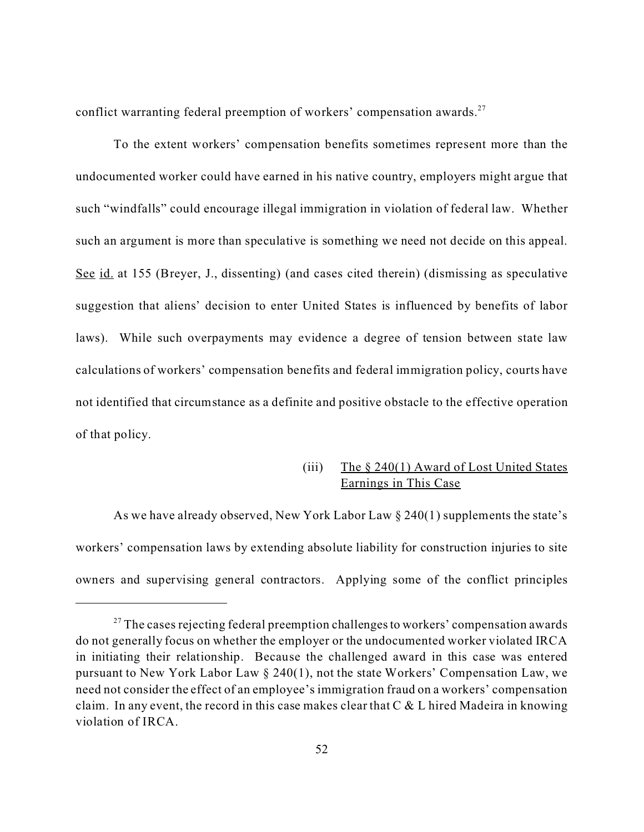conflict warranting federal preemption of workers' compensation awards. $27$ 

To the extent workers' compensation benefits sometimes represent more than the undocumented worker could have earned in his native country, employers might argue that such "windfalls" could encourage illegal immigration in violation of federal law. Whether such an argument is more than speculative is something we need not decide on this appeal. See id. at 155 (Breyer, J., dissenting) (and cases cited therein) (dismissing as speculative suggestion that aliens' decision to enter United States is influenced by benefits of labor laws). While such overpayments may evidence a degree of tension between state law calculations of workers' compensation benefits and federal immigration policy, courts have not identified that circumstance as a definite and positive obstacle to the effective operation of that policy.

## (iii) The  $\S 240(1)$  Award of Lost United States Earnings in This Case

As we have already observed, New York Labor Law § 240(1) supplements the state's workers' compensation laws by extending absolute liability for construction injuries to site owners and supervising general contractors. Applying some of the conflict principles

 $27$  The cases rejecting federal preemption challenges to workers' compensation awards do not generally focus on whether the employer or the undocumented worker violated IRCA in initiating their relationship. Because the challenged award in this case was entered pursuant to New York Labor Law § 240(1), not the state Workers' Compensation Law, we need not consider the effect of an employee's immigration fraud on a workers' compensation claim. In any event, the record in this case makes clear that  $C \& L$  hired Madeira in knowing violation of IRCA.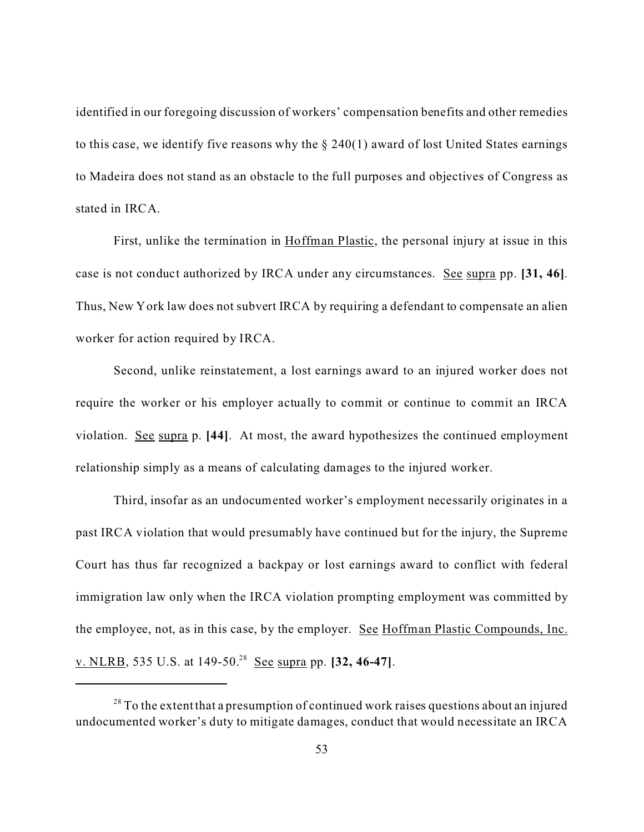identified in our foregoing discussion of workers' compensation benefits and other remedies to this case, we identify five reasons why the  $\S 240(1)$  award of lost United States earnings to Madeira does not stand as an obstacle to the full purposes and objectives of Congress as stated in IRCA.

First, unlike the termination in Hoffman Plastic, the personal injury at issue in this case is not conduct authorized by IRCA under any circumstances. See supra pp. **[31, 46]**. Thus, New York law does not subvert IRCA by requiring a defendant to compensate an alien worker for action required by IRCA.

Second, unlike reinstatement, a lost earnings award to an injured worker does not require the worker or his employer actually to commit or continue to commit an IRCA violation. See supra p. **[44]**. At most, the award hypothesizes the continued employment relationship simply as a means of calculating damages to the injured worker.

Third, insofar as an undocumented worker's employment necessarily originates in a past IRCA violation that would presumably have continued but for the injury, the Supreme Court has thus far recognized a backpay or lost earnings award to conflict with federal immigration law only when the IRCA violation prompting employment was committed by the employee, not, as in this case, by the employer. See Hoffman Plastic Compounds, Inc. v. NLRB, 535 U.S. at 149-50.<sup>28</sup> See supra pp. **[32, 46-47]**.

 $28$  To the extent that a presumption of continued work raises questions about an injured undocumented worker's duty to mitigate damages, conduct that would necessitate an IRCA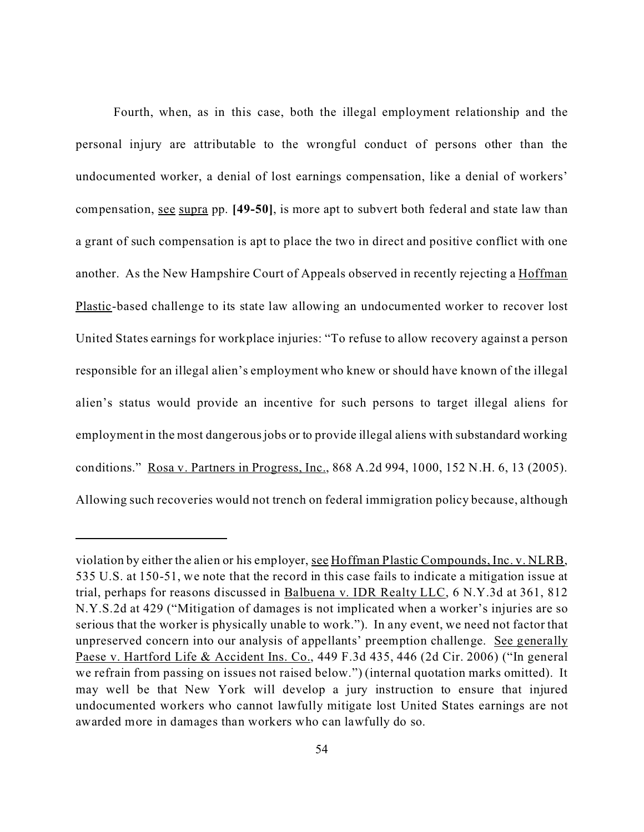Fourth, when, as in this case, both the illegal employment relationship and the personal injury are attributable to the wrongful conduct of persons other than the undocumented worker, a denial of lost earnings compensation, like a denial of workers' compensation, see supra pp. **[49-50]**, is more apt to subvert both federal and state law than a grant of such compensation is apt to place the two in direct and positive conflict with one another. As the New Hampshire Court of Appeals observed in recently rejecting a Hoffman Plastic-based challenge to its state law allowing an undocumented worker to recover lost United States earnings for workplace injuries: "To refuse to allow recovery against a person responsible for an illegal alien's employment who knew or should have known of the illegal alien's status would provide an incentive for such persons to target illegal aliens for employment in the most dangerous jobs or to provide illegal aliens with substandard working conditions." Rosa v. Partners in Progress, Inc., 868 A.2d 994, 1000, 152 N.H. 6, 13 (2005). Allowing such recoveries would not trench on federal immigration policy because, although

violation by either the alien or his employer, see Hoffman Plastic Compounds, Inc. v. NLRB, 535 U.S. at 150-51, we note that the record in this case fails to indicate a mitigation issue at trial, perhaps for reasons discussed in Balbuena v. IDR Realty LLC, 6 N.Y.3d at 361, 812 N.Y.S.2d at 429 ("Mitigation of damages is not implicated when a worker's injuries are so serious that the worker is physically unable to work."). In any event, we need not factor that unpreserved concern into our analysis of appellants' preemption challenge. See generally Paese v. Hartford Life & Accident Ins. Co., 449 F.3d 435, 446 (2d Cir. 2006) ("In general we refrain from passing on issues not raised below.") (internal quotation marks omitted). It may well be that New York will develop a jury instruction to ensure that injured undocumented workers who cannot lawfully mitigate lost United States earnings are not awarded more in damages than workers who can lawfully do so.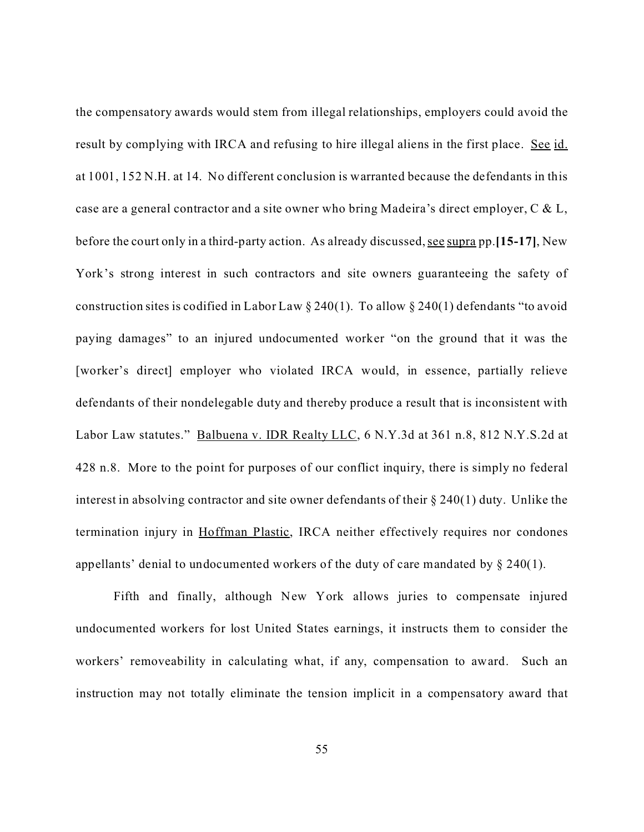the compensatory awards would stem from illegal relationships, employers could avoid the result by complying with IRCA and refusing to hire illegal aliens in the first place. See id. at 1001, 152 N.H. at 14. No different conclusion is warranted because the defendants in this case are a general contractor and a site owner who bring Madeira's direct employer, C & L, before the court only in a third-party action. As already discussed,see supra pp.**[15-17]**, New York's strong interest in such contractors and site owners guaranteeing the safety of construction sites is codified in Labor Law  $\S 240(1)$ . To allow  $\S 240(1)$  defendants "to avoid paying damages" to an injured undocumented worker "on the ground that it was the [worker's direct] employer who violated IRCA would, in essence, partially relieve defendants of their nondelegable duty and thereby produce a result that is inconsistent with Labor Law statutes." Balbuena v. IDR Realty LLC, 6 N.Y.3d at 361 n.8, 812 N.Y.S.2d at 428 n.8. More to the point for purposes of our conflict inquiry, there is simply no federal interest in absolving contractor and site owner defendants of their § 240(1) duty. Unlike the termination injury in Hoffman Plastic, IRCA neither effectively requires nor condones appellants' denial to undocumented workers of the duty of care mandated by § 240(1).

Fifth and finally, although New York allows juries to compensate injured undocumented workers for lost United States earnings, it instructs them to consider the workers' removeability in calculating what, if any, compensation to award. Such an instruction may not totally eliminate the tension implicit in a compensatory award that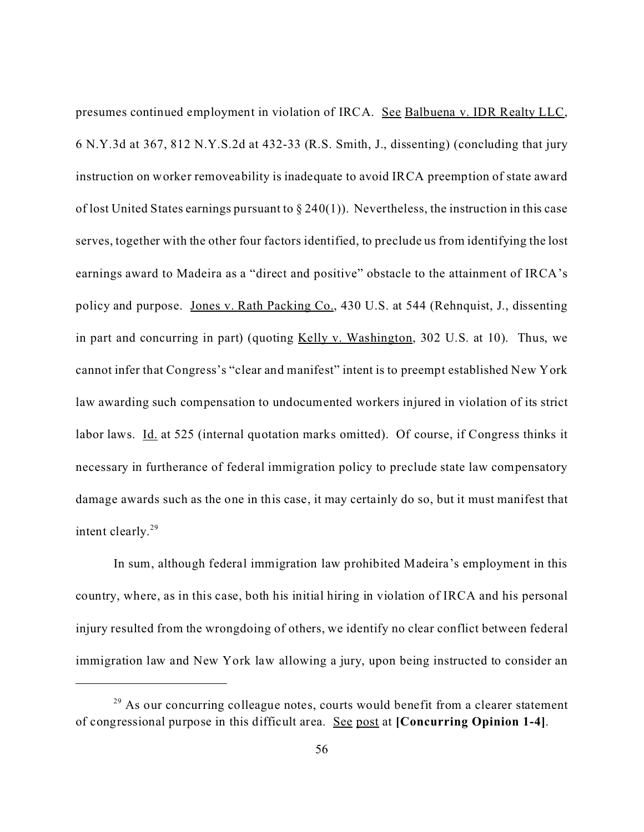presumes continued employment in violation of IRCA. See Balbuena v. IDR Realty LLC, 6 N.Y.3d at 367, 812 N.Y.S.2d at 432-33 (R.S. Smith, J., dissenting) (concluding that jury instruction on worker removeability is inadequate to avoid IRCA preemption of state award of lost United States earnings pursuant to  $\S 240(1)$ ). Nevertheless, the instruction in this case serves, together with the other four factors identified, to preclude us from identifying the lost earnings award to Madeira as a "direct and positive" obstacle to the attainment of IRCA's policy and purpose. Jones v. Rath Packing Co., 430 U.S. at 544 (Rehnquist, J., dissenting in part and concurring in part) (quoting Kelly v. Washington, 302 U.S. at 10). Thus, we cannot infer that Congress's "clear and manifest" intent is to preempt established New York law awarding such compensation to undocumented workers injured in violation of its strict labor laws. Id. at 525 (internal quotation marks omitted). Of course, if Congress thinks it necessary in furtherance of federal immigration policy to preclude state law compensatory damage awards such as the one in this case, it may certainly do so, but it must manifest that intent clearly.<sup>29</sup>

In sum, although federal immigration law prohibited Madeira's employment in this country, where, as in this case, both his initial hiring in violation of IRCA and his personal injury resulted from the wrongdoing of others, we identify no clear conflict between federal immigration law and New York law allowing a jury, upon being instructed to consider an

 $29$  As our concurring colleague notes, courts would benefit from a clearer statement of congressional purpose in this difficult area. See post at **[Concurring Opinion 1-4]**.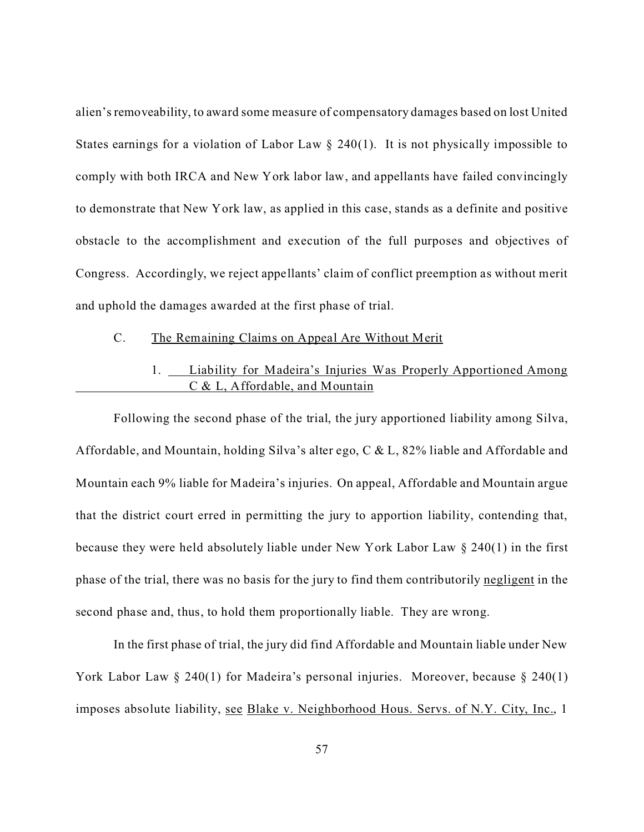alien's removeability, to award some measure of compensatory damages based on lost United States earnings for a violation of Labor Law  $\S$  240(1). It is not physically impossible to comply with both IRCA and New York labor law, and appellants have failed convincingly to demonstrate that New York law, as applied in this case, stands as a definite and positive obstacle to the accomplishment and execution of the full purposes and objectives of Congress. Accordingly, we reject appellants' claim of conflict preemption as without merit and uphold the damages awarded at the first phase of trial.

## C. The Remaining Claims on Appeal Are Without Merit

# 1. Liability for Madeira's Injuries Was Properly Apportioned Among C & L, Affordable, and Mountain

Following the second phase of the trial, the jury apportioned liability among Silva, Affordable, and Mountain, holding Silva's alter ego, C & L, 82% liable and Affordable and Mountain each 9% liable for Madeira's injuries. On appeal, Affordable and Mountain argue that the district court erred in permitting the jury to apportion liability, contending that, because they were held absolutely liable under New York Labor Law § 240(1) in the first phase of the trial, there was no basis for the jury to find them contributorily negligent in the second phase and, thus, to hold them proportionally liable. They are wrong.

In the first phase of trial, the jury did find Affordable and Mountain liable under New York Labor Law § 240(1) for Madeira's personal injuries. Moreover, because § 240(1) imposes absolute liability, see Blake v. Neighborhood Hous. Servs. of N.Y. City, Inc., 1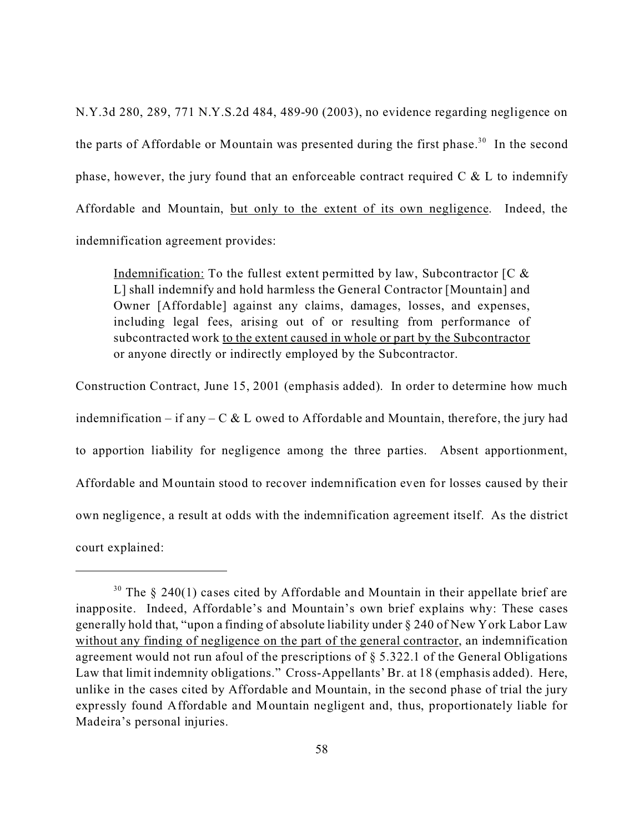N.Y.3d 280, 289, 771 N.Y.S.2d 484, 489-90 (2003), no evidence regarding negligence on the parts of Affordable or Mountain was presented during the first phase.<sup>30</sup> In the second phase, however, the jury found that an enforceable contract required  $C \& L$  to indemnify Affordable and Mountain, but only to the extent of its own negligence. Indeed, the indemnification agreement provides:

Indemnification: To the fullest extent permitted by law, Subcontractor  $\begin{bmatrix} C & \& \end{bmatrix}$ L] shall indemnify and hold harmless the General Contractor [Mountain] and Owner [Affordable] against any claims, damages, losses, and expenses, including legal fees, arising out of or resulting from performance of subcontracted work to the extent caused in whole or part by the Subcontractor or anyone directly or indirectly employed by the Subcontractor.

Construction Contract, June 15, 2001 (emphasis added). In order to determine how much indemnification – if any – C & L owed to Affordable and Mountain, therefore, the jury had to apportion liability for negligence among the three parties. Absent apportionment, Affordable and Mountain stood to recover indemnification even for losses caused by their own negligence, a result at odds with the indemnification agreement itself. As the district court explained:

 $30$  The § 240(1) cases cited by Affordable and Mountain in their appellate brief are inapposite. Indeed, Affordable's and Mountain's own brief explains why: These cases generally hold that, "upon a finding of absolute liability under § 240 of New York Labor Law without any finding of negligence on the part of the general contractor, an indemnification agreement would not run afoul of the prescriptions of § 5.322.1 of the General Obligations Law that limit indemnity obligations." Cross-Appellants' Br. at 18 (emphasis added). Here, unlike in the cases cited by Affordable and Mountain, in the second phase of trial the jury expressly found Affordable and Mountain negligent and, thus, proportionately liable for Madeira's personal injuries.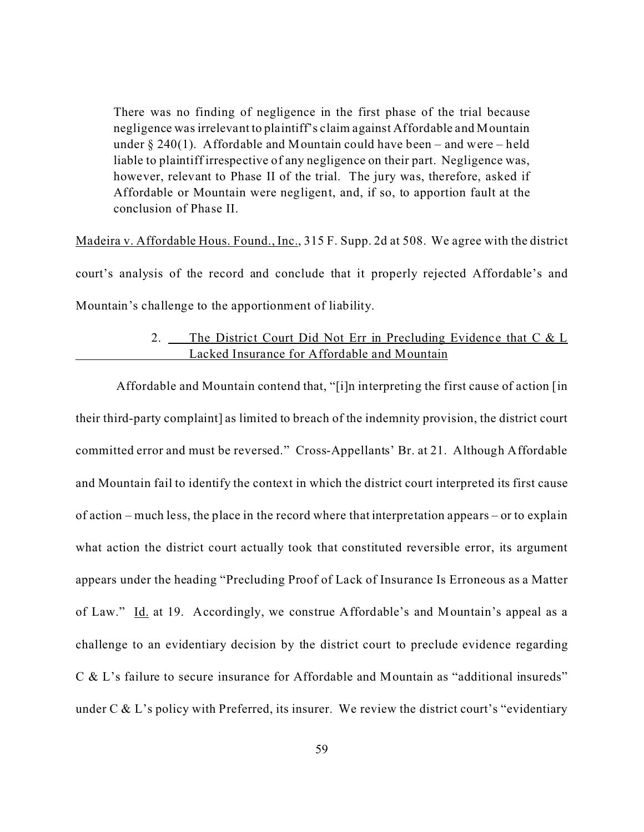There was no finding of negligence in the first phase of the trial because negligence was irrelevant to plaintiff's claim against Affordable and Mountain under  $\S 240(1)$ . Affordable and Mountain could have been – and were – held liable to plaintiff irrespective of any negligence on their part. Negligence was, however, relevant to Phase II of the trial. The jury was, therefore, asked if Affordable or Mountain were negligent, and, if so, to apportion fault at the conclusion of Phase II.

Madeira v. Affordable Hous. Found., Inc., 315 F. Supp. 2d at 508. We agree with the district court's analysis of the record and conclude that it properly rejected Affordable's and Mountain's challenge to the apportionment of liability.

# 2. The District Court Did Not Err in Precluding Evidence that C & L Lacked Insurance for Affordable and Mountain

 Affordable and Mountain contend that, "[i]n interpreting the first cause of action [in their third-party complaint] as limited to breach of the indemnity provision, the district court committed error and must be reversed." Cross-Appellants' Br. at 21. Although Affordable and Mountain fail to identify the context in which the district court interpreted its first cause of action – much less, the place in the record where that interpretation appears – or to explain what action the district court actually took that constituted reversible error, its argument appears under the heading "Precluding Proof of Lack of Insurance Is Erroneous as a Matter of Law." Id. at 19. Accordingly, we construe Affordable's and Mountain's appeal as a challenge to an evidentiary decision by the district court to preclude evidence regarding C & L's failure to secure insurance for Affordable and Mountain as "additional insureds" under  $C & L$ 's policy with Preferred, its insurer. We review the district court's "evidentiary"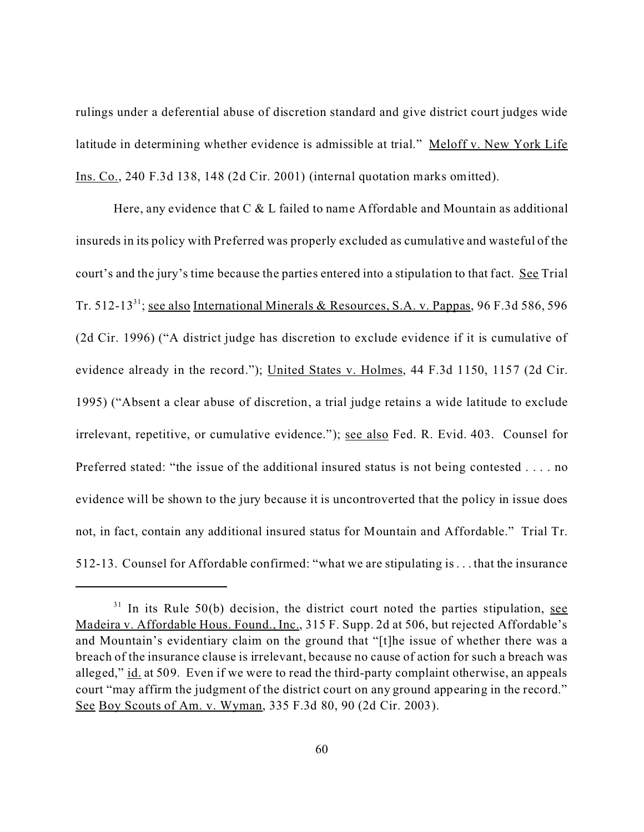rulings under a deferential abuse of discretion standard and give district court judges wide latitude in determining whether evidence is admissible at trial." Meloff v. New York Life Ins. Co., 240 F.3d 138, 148 (2d Cir. 2001) (internal quotation marks omitted).

Here, any evidence that  $C \& L$  failed to name Affordable and Mountain as additional insureds in its policy with Preferred was properly excluded as cumulative and wasteful of the court's and the jury's time because the parties entered into a stipulation to that fact. See Trial Tr. 512-13<sup>31</sup>; <u>see also International Minerals & Resources, S.A. v. Pappas</u>, 96 F.3d 586, 596 (2d Cir. 1996) ("A district judge has discretion to exclude evidence if it is cumulative of evidence already in the record."); United States v. Holmes, 44 F.3d 1150, 1157 (2d Cir. 1995) ("Absent a clear abuse of discretion, a trial judge retains a wide latitude to exclude irrelevant, repetitive, or cumulative evidence."); see also Fed. R. Evid. 403. Counsel for Preferred stated: "the issue of the additional insured status is not being contested . . . . no evidence will be shown to the jury because it is uncontroverted that the policy in issue does not, in fact, contain any additional insured status for Mountain and Affordable." Trial Tr. 512-13. Counsel for Affordable confirmed: "what we are stipulating is . . . that the insurance

 $31$  In its Rule 50(b) decision, the district court noted the parties stipulation, see Madeira v. Affordable Hous. Found., Inc., 315 F. Supp. 2d at 506, but rejected Affordable's and Mountain's evidentiary claim on the ground that "[t]he issue of whether there was a breach of the insurance clause is irrelevant, because no cause of action for such a breach was alleged," id. at 509. Even if we were to read the third-party complaint otherwise, an appeals court "may affirm the judgment of the district court on any ground appearing in the record." See Boy Scouts of Am. v. Wyman, 335 F.3d 80, 90 (2d Cir. 2003).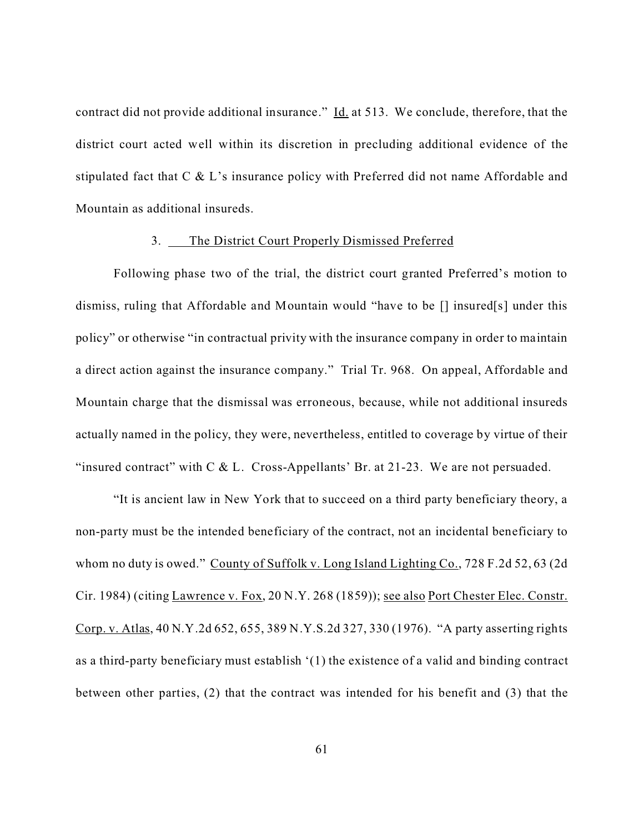contract did not provide additional insurance."  $\underline{Id}$  at 513. We conclude, therefore, that the district court acted well within its discretion in precluding additional evidence of the stipulated fact that C & L's insurance policy with Preferred did not name Affordable and Mountain as additional insureds.

#### 3. The District Court Properly Dismissed Preferred

Following phase two of the trial, the district court granted Preferred's motion to dismiss, ruling that Affordable and Mountain would "have to be [] insured[s] under this policy" or otherwise "in contractual privity with the insurance company in order to maintain a direct action against the insurance company." Trial Tr. 968. On appeal, Affordable and Mountain charge that the dismissal was erroneous, because, while not additional insureds actually named in the policy, they were, nevertheless, entitled to coverage by virtue of their "insured contract" with C & L. Cross-Appellants' Br. at 21-23. We are not persuaded.

"It is ancient law in New York that to succeed on a third party beneficiary theory, a non-party must be the intended beneficiary of the contract, not an incidental beneficiary to whom no duty is owed." County of Suffolk v. Long Island Lighting Co., 728 F.2d 52, 63 (2d) Cir. 1984) (citing Lawrence v. Fox, 20 N.Y. 268 (1859)); see also Port Chester Elec. Constr. Corp. v. Atlas, 40 N.Y.2d 652, 655, 389 N.Y.S.2d 327, 330 (1976). "A party asserting rights as a third-party beneficiary must establish '(1) the existence of a valid and binding contract between other parties, (2) that the contract was intended for his benefit and (3) that the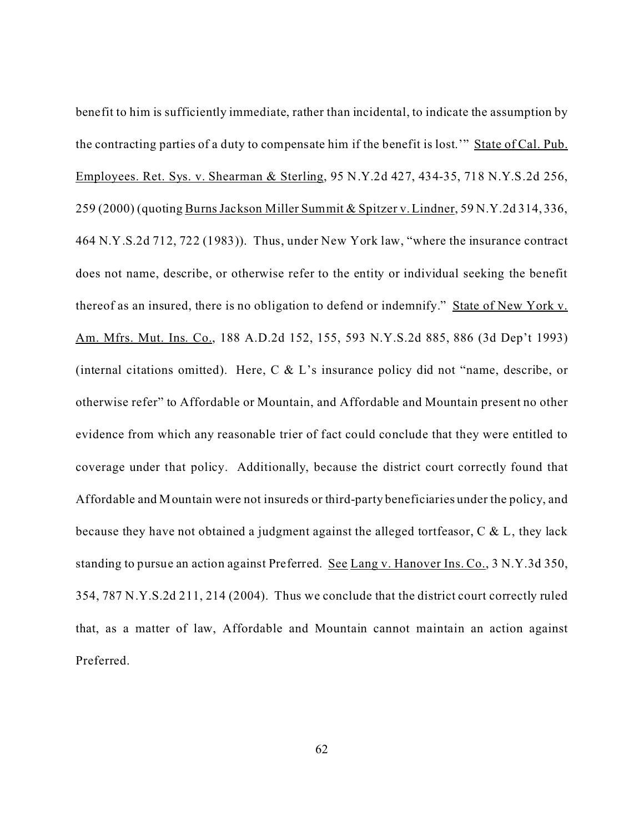benefit to him is sufficiently immediate, rather than incidental, to indicate the assumption by the contracting parties of a duty to compensate him if the benefit is lost.'" State of Cal. Pub. Employees. Ret. Sys. v. Shearman & Sterling, 95 N.Y.2d 427, 434-35, 718 N.Y.S.2d 256, 259 (2000) (quoting Burns Jackson Miller Summit & Spitzer v. Lindner, 59 N.Y.2d 314, 336, 464 N.Y.S.2d 712, 722 (1983)). Thus, under New York law, "where the insurance contract does not name, describe, or otherwise refer to the entity or individual seeking the benefit thereof as an insured, there is no obligation to defend or indemnify." State of New York v. Am. Mfrs. Mut. Ins. Co., 188 A.D.2d 152, 155, 593 N.Y.S.2d 885, 886 (3d Dep't 1993) (internal citations omitted). Here, C & L's insurance policy did not "name, describe, or otherwise refer" to Affordable or Mountain, and Affordable and Mountain present no other evidence from which any reasonable trier of fact could conclude that they were entitled to coverage under that policy. Additionally, because the district court correctly found that Affordable and Mountain were not insureds or third-party beneficiaries under the policy, and because they have not obtained a judgment against the alleged tortfeasor, C & L, they lack standing to pursue an action against Preferred. See Lang v. Hanover Ins. Co., 3 N.Y.3d 350, 354, 787 N.Y.S.2d 211, 214 (2004). Thus we conclude that the district court correctly ruled that, as a matter of law, Affordable and Mountain cannot maintain an action against Preferred.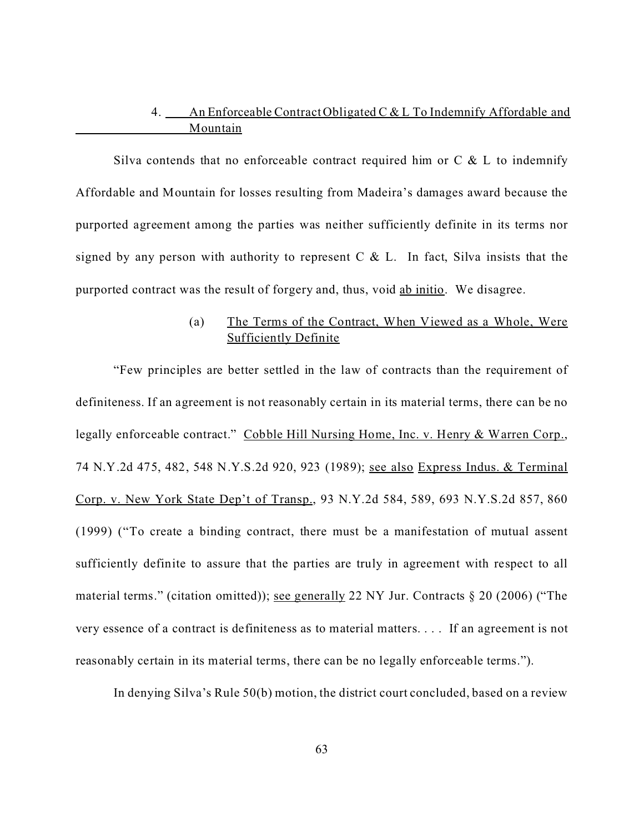# 4. An Enforceable Contract Obligated C & L To Indemnify Affordable and Mountain

Silva contends that no enforceable contract required him or  $C \& L$  to indemnify Affordable and Mountain for losses resulting from Madeira's damages award because the purported agreement among the parties was neither sufficiently definite in its terms nor signed by any person with authority to represent  $C \& L$ . In fact, Silva insists that the purported contract was the result of forgery and, thus, void ab initio. We disagree.

# (a) The Terms of the Contract, When Viewed as a Whole, Were Sufficiently Definite

"Few principles are better settled in the law of contracts than the requirement of definiteness. If an agreement is not reasonably certain in its material terms, there can be no legally enforceable contract." Cobble Hill Nursing Home, Inc. v. Henry & Warren Corp., 74 N.Y.2d 475, 482, 548 N.Y.S.2d 920, 923 (1989); see also Express Indus. & Terminal Corp. v. New York State Dep't of Transp., 93 N.Y.2d 584, 589, 693 N.Y.S.2d 857, 860 (1999) ("To create a binding contract, there must be a manifestation of mutual assent sufficiently definite to assure that the parties are truly in agreement with respect to all material terms." (citation omitted)); see generally 22 NY Jur. Contracts § 20 (2006) ("The very essence of a contract is definiteness as to material matters. . . . If an agreement is not reasonably certain in its material terms, there can be no legally enforceable terms.").

In denying Silva's Rule 50(b) motion, the district court concluded, based on a review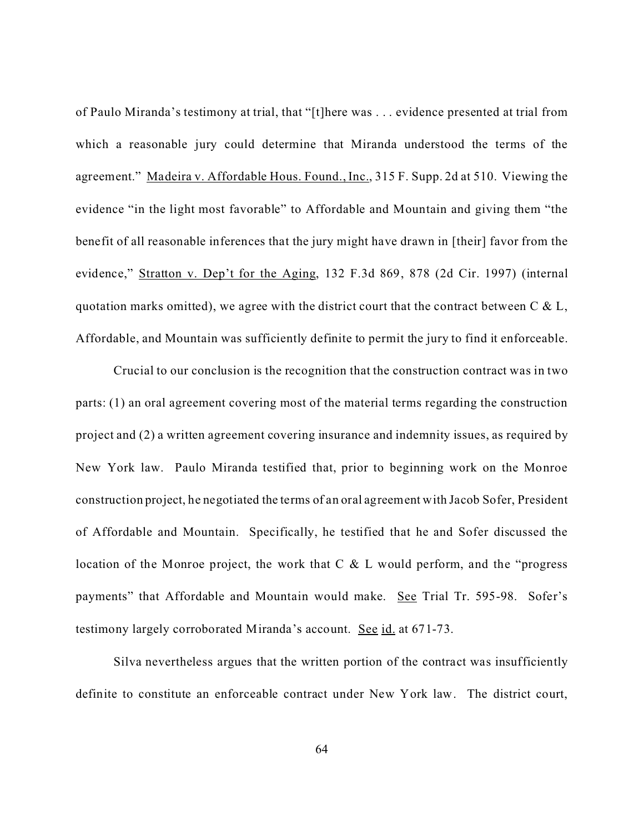of Paulo Miranda's testimony at trial, that "[t]here was . . . evidence presented at trial from which a reasonable jury could determine that Miranda understood the terms of the agreement." Madeira v. Affordable Hous. Found., Inc., 315 F. Supp. 2d at 510. Viewing the evidence "in the light most favorable" to Affordable and Mountain and giving them "the benefit of all reasonable inferences that the jury might have drawn in [their] favor from the evidence," Stratton v. Dep't for the Aging, 132 F.3d 869, 878 (2d Cir. 1997) (internal quotation marks omitted), we agree with the district court that the contract between  $C & L$ , Affordable, and Mountain was sufficiently definite to permit the jury to find it enforceable.

Crucial to our conclusion is the recognition that the construction contract was in two parts: (1) an oral agreement covering most of the material terms regarding the construction project and (2) a written agreement covering insurance and indemnity issues, as required by New York law. Paulo Miranda testified that, prior to beginning work on the Monroe construction project, he negotiated the terms of an oral agreement with Jacob Sofer, President of Affordable and Mountain. Specifically, he testified that he and Sofer discussed the location of the Monroe project, the work that C & L would perform, and the "progress payments" that Affordable and Mountain would make. See Trial Tr. 595-98. Sofer's testimony largely corroborated Miranda's account.See id. at 671-73.

Silva nevertheless argues that the written portion of the contract was insufficiently definite to constitute an enforceable contract under New York law. The district court,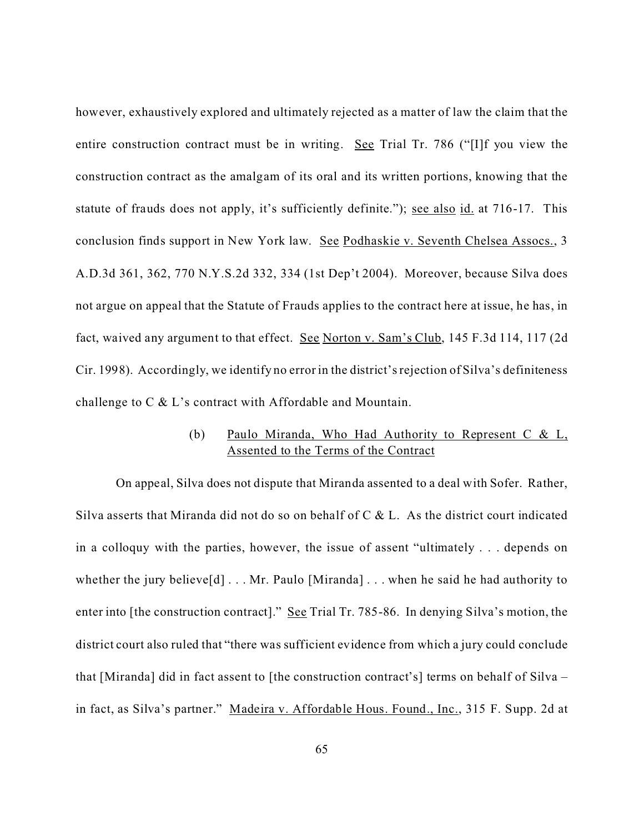however, exhaustively explored and ultimately rejected as a matter of law the claim that the entire construction contract must be in writing. See Trial Tr. 786 ("[I]f you view the construction contract as the amalgam of its oral and its written portions, knowing that the statute of frauds does not apply, it's sufficiently definite."); see also id. at 716-17. This conclusion finds support in New York law. See Podhaskie v. Seventh Chelsea Assocs., 3 A.D.3d 361, 362, 770 N.Y.S.2d 332, 334 (1st Dep't 2004). Moreover, because Silva does not argue on appeal that the Statute of Frauds applies to the contract here at issue, he has, in fact, waived any argument to that effect. See Norton v. Sam's Club, 145 F.3d 114, 117 (2d Cir. 1998). Accordingly, we identify no error in the district's rejection of Silva's definiteness challenge to C & L's contract with Affordable and Mountain.

# (b) Paulo Miranda, Who Had Authority to Represent C & L, Assented to the Terms of the Contract

 On appeal, Silva does not dispute that Miranda assented to a deal with Sofer. Rather, Silva asserts that Miranda did not do so on behalf of C & L. As the district court indicated in a colloquy with the parties, however, the issue of assent "ultimately . . . depends on whether the jury believe $[d] \dots Mr$ . Paulo [Miranda] ... when he said he had authority to enter into [the construction contract]." See Trial Tr. 785-86. In denying Silva's motion, the district court also ruled that "there was sufficient evidence from which a jury could conclude that [Miranda] did in fact assent to [the construction contract's] terms on behalf of Silva – in fact, as Silva's partner." Madeira v. Affordable Hous. Found., Inc., 315 F. Supp. 2d at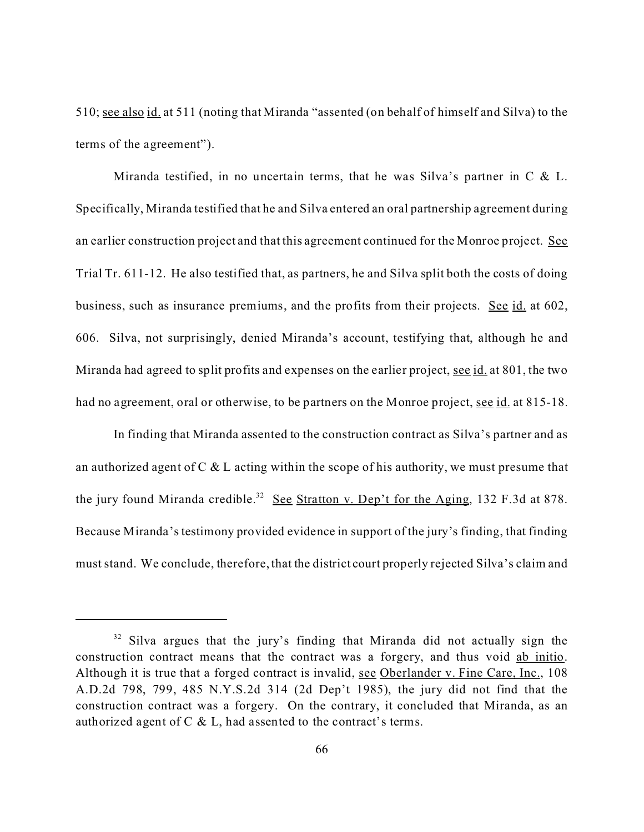510; see also id. at 511 (noting that Miranda "assented (on behalf of himself and Silva) to the terms of the agreement").

Miranda testified, in no uncertain terms, that he was Silva's partner in  $C \& L$ . Specifically, Miranda testified that he and Silva entered an oral partnership agreement during an earlier construction project and that this agreement continued for the Monroe project. See Trial Tr. 611-12. He also testified that, as partners, he and Silva split both the costs of doing business, such as insurance premiums, and the profits from their projects. See id. at 602, 606. Silva, not surprisingly, denied Miranda's account, testifying that, although he and Miranda had agreed to split profits and expenses on the earlier project, see id. at 801, the two had no agreement, oral or otherwise, to be partners on the Monroe project, see id. at 815-18.

In finding that Miranda assented to the construction contract as Silva's partner and as an authorized agent of  $C \& L$  acting within the scope of his authority, we must presume that the jury found Miranda credible.<sup>32</sup> See Stratton v. Dep't for the Aging, 132 F.3d at 878. Because Miranda's testimony provided evidence in support of the jury's finding, that finding must stand. We conclude, therefore, that the district court properly rejected Silva's claim and

 $32$  Silva argues that the jury's finding that Miranda did not actually sign the construction contract means that the contract was a forgery, and thus void ab initio. Although it is true that a forged contract is invalid, see Oberlander v. Fine Care, Inc., 108 A.D.2d 798, 799, 485 N.Y.S.2d 314 (2d Dep't 1985), the jury did not find that the construction contract was a forgery. On the contrary, it concluded that Miranda, as an authorized agent of C & L, had assented to the contract's terms.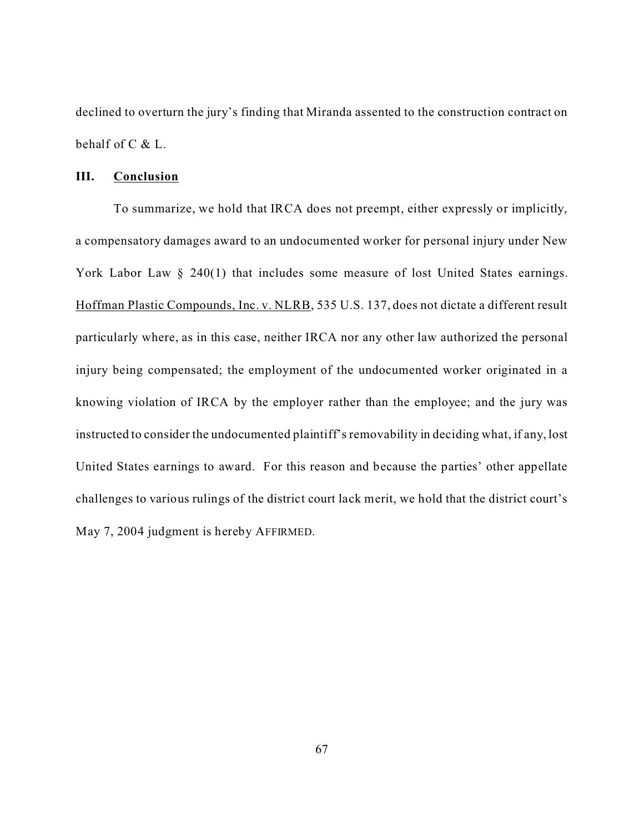declined to overturn the jury's finding that Miranda assented to the construction contract on behalf of C & L.

## **III. Conclusion**

To summarize, we hold that IRCA does not preempt, either expressly or implicitly, a compensatory damages award to an undocumented worker for personal injury under New York Labor Law § 240(1) that includes some measure of lost United States earnings. Hoffman Plastic Compounds, Inc. v. NLRB, 535 U.S. 137, does not dictate a different result particularly where, as in this case, neither IRCA nor any other law authorized the personal injury being compensated; the employment of the undocumented worker originated in a knowing violation of IRCA by the employer rather than the employee; and the jury was instructed to consider the undocumented plaintiff's removability in deciding what, if any, lost United States earnings to award. For this reason and because the parties' other appellate challenges to various rulings of the district court lack merit, we hold that the district court's May 7, 2004 judgment is hereby AFFIRMED.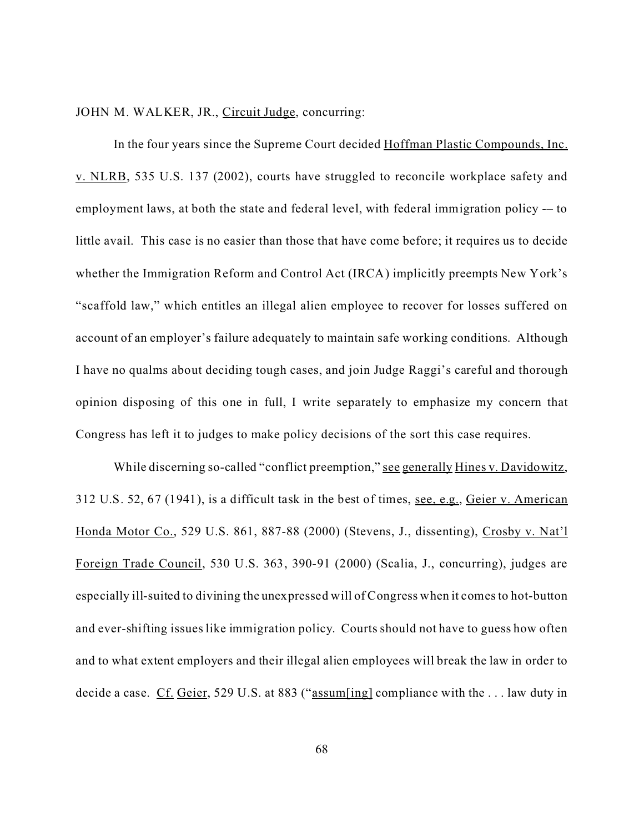JOHN M. WALKER, JR., Circuit Judge, concurring:

In the four years since the Supreme Court decided Hoffman Plastic Compounds, Inc. v. NLRB, 535 U.S. 137 (2002), courts have struggled to reconcile workplace safety and employment laws, at both the state and federal level, with federal immigration policy -– to little avail. This case is no easier than those that have come before; it requires us to decide whether the Immigration Reform and Control Act (IRCA) implicitly preempts New York's "scaffold law," which entitles an illegal alien employee to recover for losses suffered on account of an employer's failure adequately to maintain safe working conditions. Although I have no qualms about deciding tough cases, and join Judge Raggi's careful and thorough opinion disposing of this one in full, I write separately to emphasize my concern that Congress has left it to judges to make policy decisions of the sort this case requires.

While discerning so-called "conflict preemption," see generally Hines v. Davidowitz, 312 U.S. 52, 67 (1941), is a difficult task in the best of times, see, e.g., Geier v. American Honda Motor Co., 529 U.S. 861, 887-88 (2000) (Stevens, J., dissenting), Crosby v. Nat'l Foreign Trade Council, 530 U.S. 363, 390-91 (2000) (Scalia, J., concurring), judges are especially ill-suited to divining the unexpressed will of Congress when it comes to hot-button and ever-shifting issues like immigration policy. Courts should not have to guess how often and to what extent employers and their illegal alien employees will break the law in order to decide a case. Cf. Geier, 529 U.S. at 883 ("assum[ing] compliance with the ... law duty in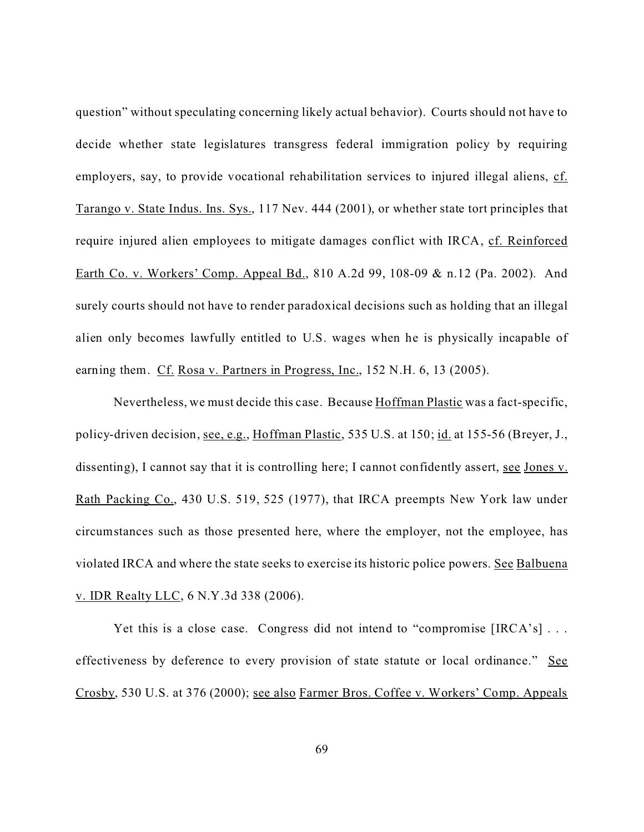question" without speculating concerning likely actual behavior). Courts should not have to decide whether state legislatures transgress federal immigration policy by requiring employers, say, to provide vocational rehabilitation services to injured illegal aliens, cf. Tarango v. State Indus. Ins. Sys., 117 Nev. 444 (2001), or whether state tort principles that require injured alien employees to mitigate damages conflict with IRCA, cf. Reinforced Earth Co. v. Workers' Comp. Appeal Bd., 810 A.2d 99, 108-09 & n.12 (Pa. 2002). And surely courts should not have to render paradoxical decisions such as holding that an illegal alien only becomes lawfully entitled to U.S. wages when he is physically incapable of earning them. Cf. Rosa v. Partners in Progress, Inc., 152 N.H. 6, 13 (2005).

Nevertheless, we must decide this case. Because Hoffman Plastic was a fact-specific, policy-driven decision, see, e.g., Hoffman Plastic, 535 U.S. at 150; id. at 155-56 (Breyer, J., dissenting), I cannot say that it is controlling here; I cannot confidently assert, see Jones v. Rath Packing Co., 430 U.S. 519, 525 (1977), that IRCA preempts New York law under circumstances such as those presented here, where the employer, not the employee, has violated IRCA and where the state seeks to exercise its historic police powers. See Balbuena v. IDR Realty LLC, 6 N.Y.3d 338 (2006).

Yet this is a close case. Congress did not intend to "compromise [IRCA's]... effectiveness by deference to every provision of state statute or local ordinance." See Crosby, 530 U.S. at 376 (2000); see also Farmer Bros. Coffee v. Workers' Comp. Appeals